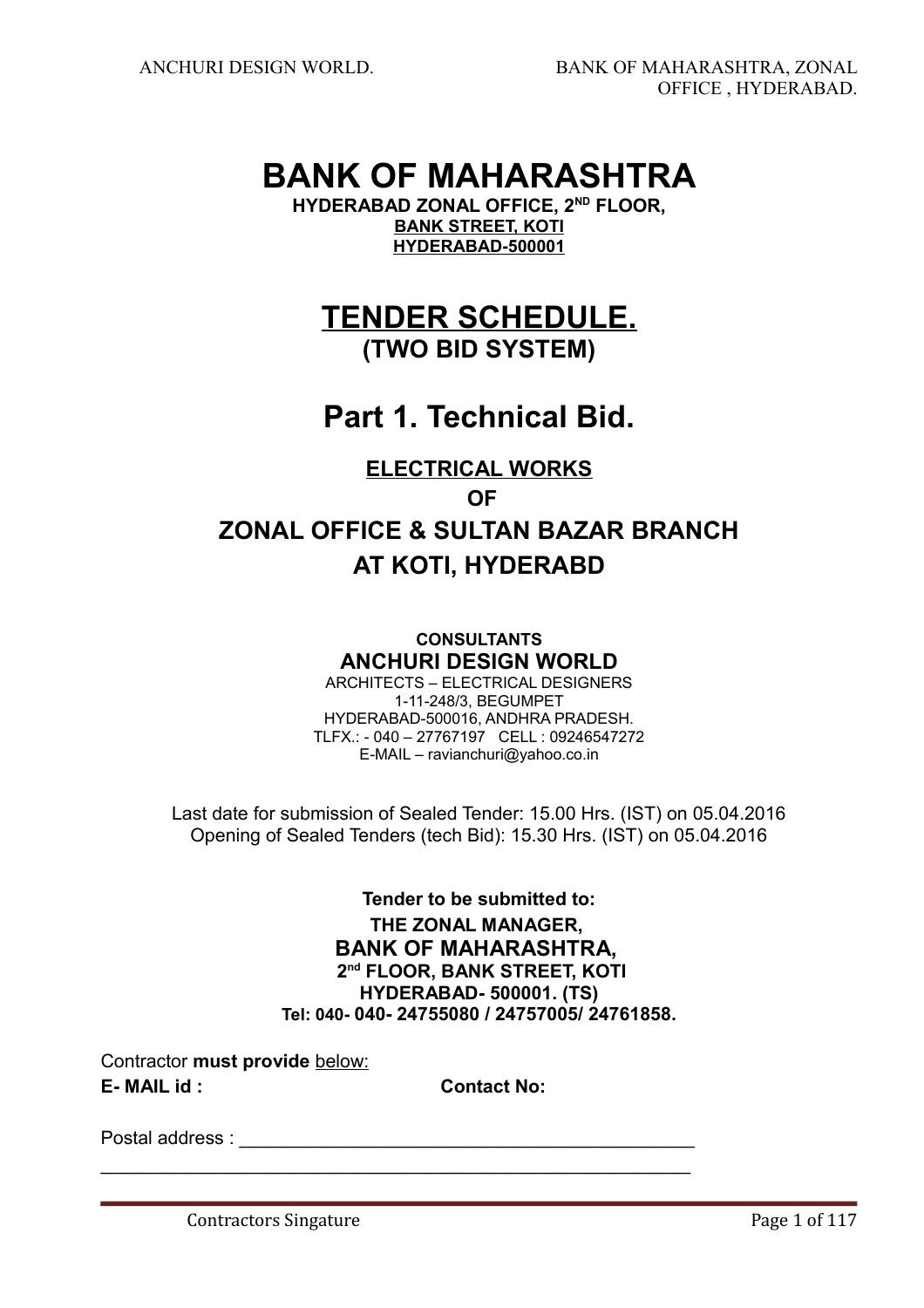# **BANK OF MAHARASHTRA**

**HYDERABAD ZONAL OFFICE, 2ND FLOOR, BANK STREET, KOTI HYDERABAD-500001**

**TENDER SCHEDULE. (TWO BID SYSTEM)**

# **Part 1. Technical Bid.**

# **ELECTRICAL WORKS**

# **OF**

# **ZONAL OFFICE & SULTAN BAZAR BRANCH AT KOTI, HYDERABD**

# **CONSULTANTS ANCHURI DESIGN WORLD**

ARCHITECTS – ELECTRICAL DESIGNERS 1-11-248/3, BEGUMPET HYDERABAD-500016, ANDHRA PRADESH. TLFX.: - 040 – 27767197 CELL : 09246547272 E-MAIL – ravianchuri@yahoo.co.in

Last date for submission of Sealed Tender: 15.00 Hrs. (IST) on 05.04.2016 Opening of Sealed Tenders (tech Bid): 15.30 Hrs. (IST) on 05.04.2016

> **Tender to be submitted to: THE ZONAL MANAGER, BANK OF MAHARASHTRA, 2nd FLOOR, BANK STREET, KOTI HYDERABAD- 500001. (TS) Tel: 040- 040- 24755080 / 24757005/ 24761858.**

Contractor **must provide** below:

**E- MAIL id : Contact No:**

 $\mathcal{L}_\text{max} = \mathcal{L}_\text{max} = \mathcal{L}_\text{max} = \mathcal{L}_\text{max} = \mathcal{L}_\text{max} = \mathcal{L}_\text{max} = \mathcal{L}_\text{max} = \mathcal{L}_\text{max} = \mathcal{L}_\text{max} = \mathcal{L}_\text{max} = \mathcal{L}_\text{max} = \mathcal{L}_\text{max} = \mathcal{L}_\text{max} = \mathcal{L}_\text{max} = \mathcal{L}_\text{max} = \mathcal{L}_\text{max} = \mathcal{L}_\text{max} = \mathcal{L}_\text{max} = \mathcal{$ 

Postal address : \_\_\_\_\_\_\_\_\_\_\_\_\_\_\_\_\_\_\_\_\_\_\_\_\_\_\_\_\_\_\_\_\_\_\_\_\_\_\_\_\_\_\_\_

Contractors Singature **Page 1 of 117**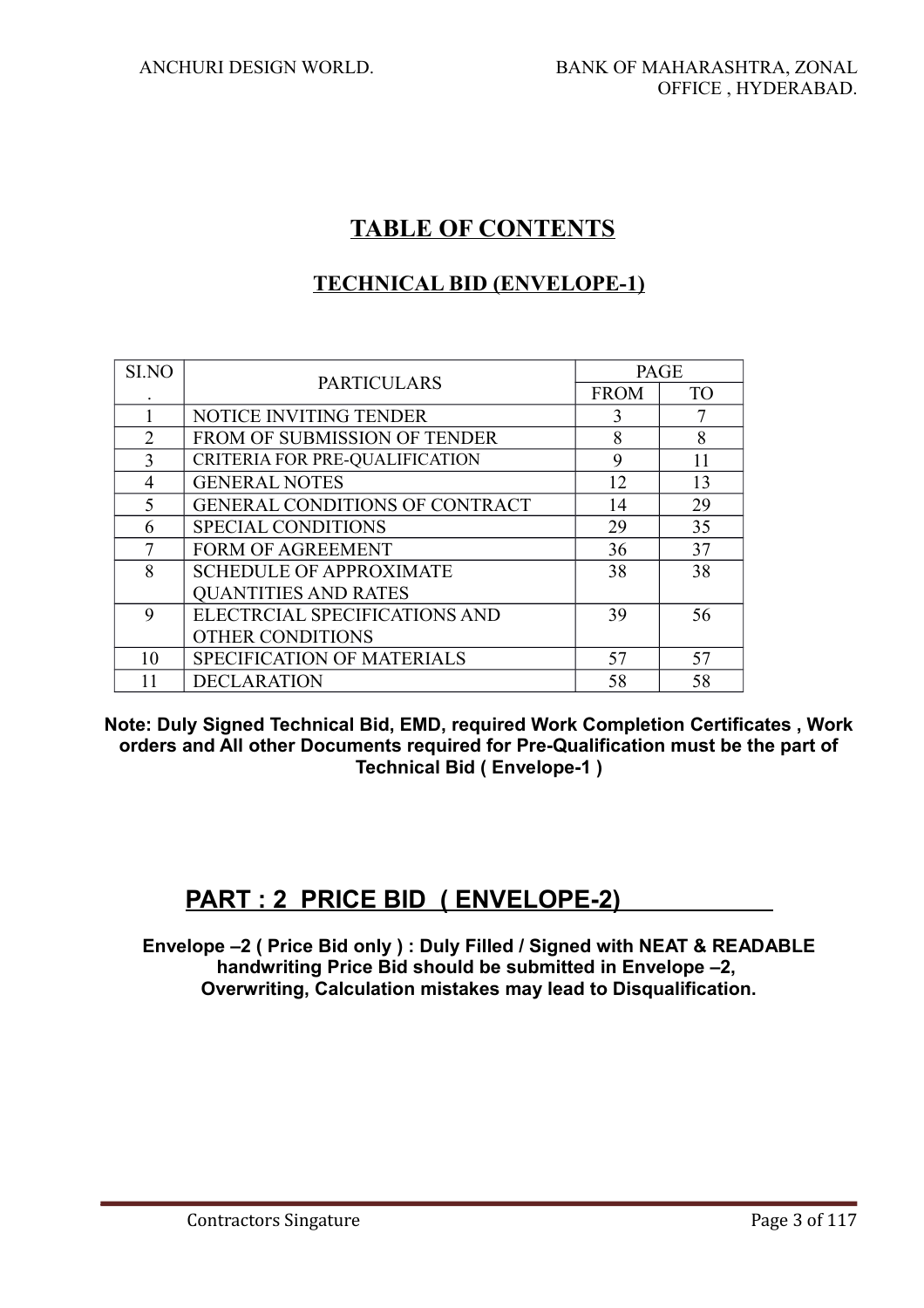# **TABLE OF CONTENTS**

# **TECHNICAL BID (ENVELOPE-1)**

| SI.NO          | <b>PARTICULARS</b>                    | <b>PAGE</b> |           |
|----------------|---------------------------------------|-------------|-----------|
|                |                                       | <b>FROM</b> | <b>TO</b> |
|                | NOTICE INVITING TENDER                | 3           |           |
| $\overline{2}$ | FROM OF SUBMISSION OF TENDER          | 8           | 8         |
| 3              | CRITERIA FOR PRE-QUALIFICATION        | 9           | 11        |
| 4              | <b>GENERAL NOTES</b>                  | 12          | 13        |
| 5              | <b>GENERAL CONDITIONS OF CONTRACT</b> | 14          | 29        |
| 6              | <b>SPECIAL CONDITIONS</b>             | 29          | 35        |
| 7              | <b>FORM OF AGREEMENT</b>              | 36          | 37        |
| 8              | <b>SCHEDULE OF APPROXIMATE</b><br>38  |             | 38        |
|                | <b>QUANTITIES AND RATES</b>           |             |           |
| 9              | ELECTRCIAL SPECIFICATIONS AND         | 39          | 56        |
|                | <b>OTHER CONDITIONS</b>               |             |           |
| 10             | SPECIFICATION OF MATERIALS            | 57          | 57        |
| 11             | <b>DECLARATION</b>                    | 58          | 58        |

**Note: Duly Signed Technical Bid, EMD, required Work Completion Certificates , Work orders and All other Documents required for Pre-Qualification must be the part of Technical Bid ( Envelope-1 )**

# **PART : 2 PRICE BID ( ENVELOPE-2)**

**Envelope –2 ( Price Bid only ) : Duly Filled / Signed with NEAT & READABLE handwriting Price Bid should be submitted in Envelope –2, Overwriting, Calculation mistakes may lead to Disqualification.**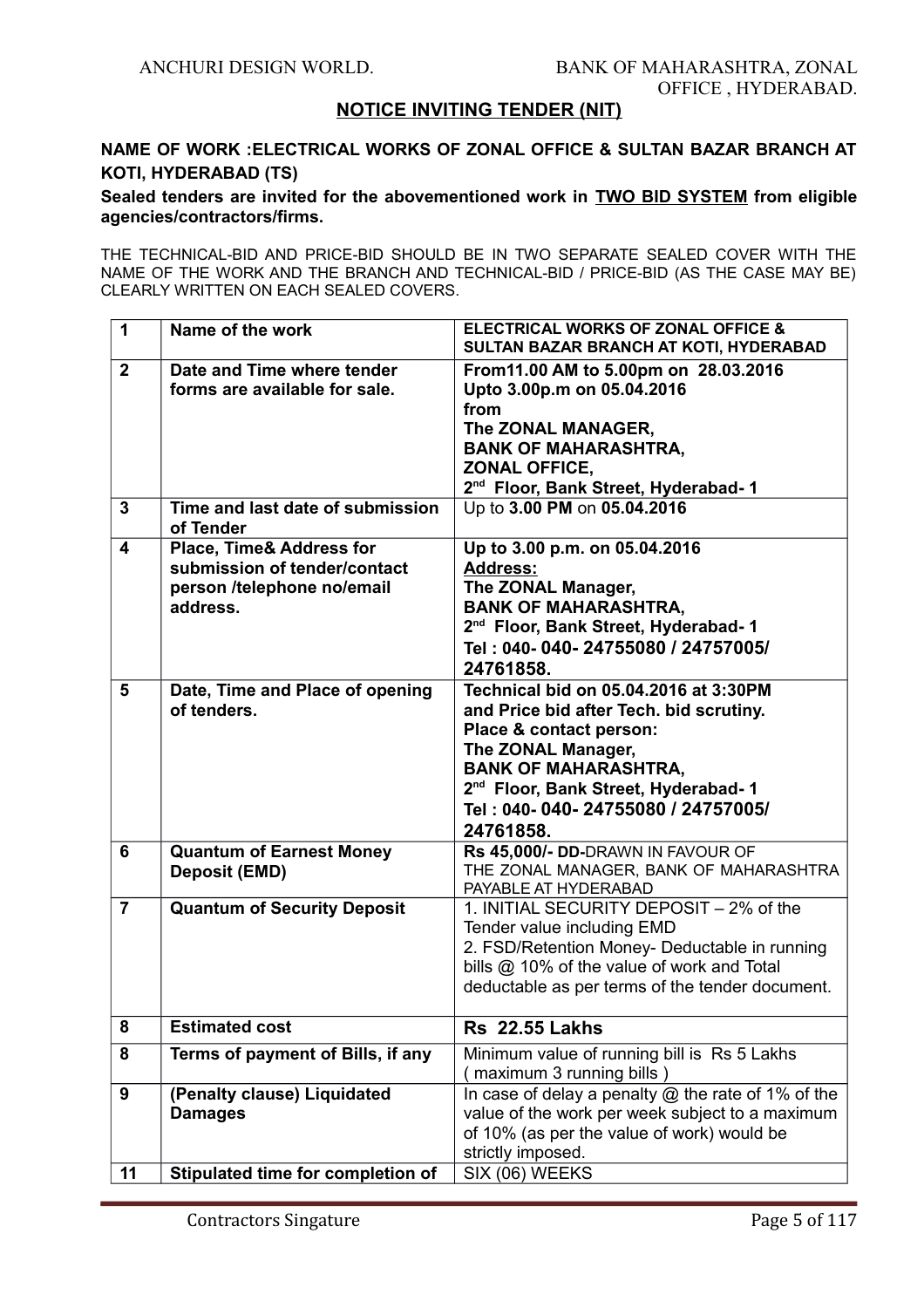#### **NOTICE INVITING TENDER (NIT)**

# **NAME OF WORK :ELECTRICAL WORKS OF ZONAL OFFICE & SULTAN BAZAR BRANCH AT KOTI, HYDERABAD (TS)**

**Sealed tenders are invited for the abovementioned work in TWO BID SYSTEM from eligible agencies/contractors/firms.**

THE TECHNICAL-BID AND PRICE-BID SHOULD BE IN TWO SEPARATE SEALED COVER WITH THE NAME OF THE WORK AND THE BRANCH AND TECHNICAL-BID / PRICE-BID (AS THE CASE MAY BE) CLEARLY WRITTEN ON EACH SEALED COVERS.

| 1              | Name of the work                                                                                              | <b>ELECTRICAL WORKS OF ZONAL OFFICE &amp;</b><br>SULTAN BAZAR BRANCH AT KOTI, HYDERABAD                                                                                                                                                                               |
|----------------|---------------------------------------------------------------------------------------------------------------|-----------------------------------------------------------------------------------------------------------------------------------------------------------------------------------------------------------------------------------------------------------------------|
| $\mathbf{2}$   | Date and Time where tender<br>forms are available for sale.                                                   | From 11.00 AM to 5.00pm on 28.03.2016<br>Upto 3.00p.m on 05.04.2016<br>from<br>The ZONAL MANAGER,<br><b>BANK OF MAHARASHTRA,</b><br><b>ZONAL OFFICE,</b><br>2 <sup>nd</sup> Floor, Bank Street, Hyderabad-1                                                           |
| 3              | Time and last date of submission<br>of Tender                                                                 | Up to 3.00 PM on 05.04.2016                                                                                                                                                                                                                                           |
| 4              | <b>Place, Time&amp; Address for</b><br>submission of tender/contact<br>person /telephone no/email<br>address. | Up to 3.00 p.m. on 05.04.2016<br><b>Address:</b><br>The ZONAL Manager,<br><b>BANK OF MAHARASHTRA,</b><br>2 <sup>nd</sup> Floor, Bank Street, Hyderabad-1<br>Tel: 040-040-24755080 / 24757005/<br>24761858.                                                            |
| 5              | Date, Time and Place of opening<br>of tenders.                                                                | Technical bid on 05.04.2016 at 3:30PM<br>and Price bid after Tech. bid scrutiny.<br>Place & contact person:<br>The ZONAL Manager,<br><b>BANK OF MAHARASHTRA,</b><br>2 <sup>nd</sup> Floor, Bank Street, Hyderabad-1<br>Tel: 040-040-24755080 / 24757005/<br>24761858. |
| 6              | <b>Quantum of Earnest Money</b><br><b>Deposit (EMD)</b>                                                       | Rs 45,000/- DD-DRAWN IN FAVOUR OF<br>THE ZONAL MANAGER, BANK OF MAHARASHTRA<br>PAYABLE AT HYDERABAD                                                                                                                                                                   |
| $\overline{7}$ | <b>Quantum of Security Deposit</b>                                                                            | 1. INITIAL SECURITY DEPOSIT - 2% of the<br>Tender value including EMD<br>2. FSD/Retention Money- Deductable in running<br>bills @ 10% of the value of work and Total<br>deductable as per terms of the tender document.                                               |
| 8              | <b>Estimated cost</b>                                                                                         | <b>Rs</b> 22.55 Lakhs                                                                                                                                                                                                                                                 |
| 8              | Terms of payment of Bills, if any                                                                             | Minimum value of running bill is Rs 5 Lakhs<br>maximum 3 running bills)                                                                                                                                                                                               |
| 9              | (Penalty clause) Liquidated<br><b>Damages</b>                                                                 | In case of delay a penalty $@$ the rate of 1% of the<br>value of the work per week subject to a maximum<br>of 10% (as per the value of work) would be<br>strictly imposed.                                                                                            |
| 11             | Stipulated time for completion of                                                                             | SIX (06) WEEKS                                                                                                                                                                                                                                                        |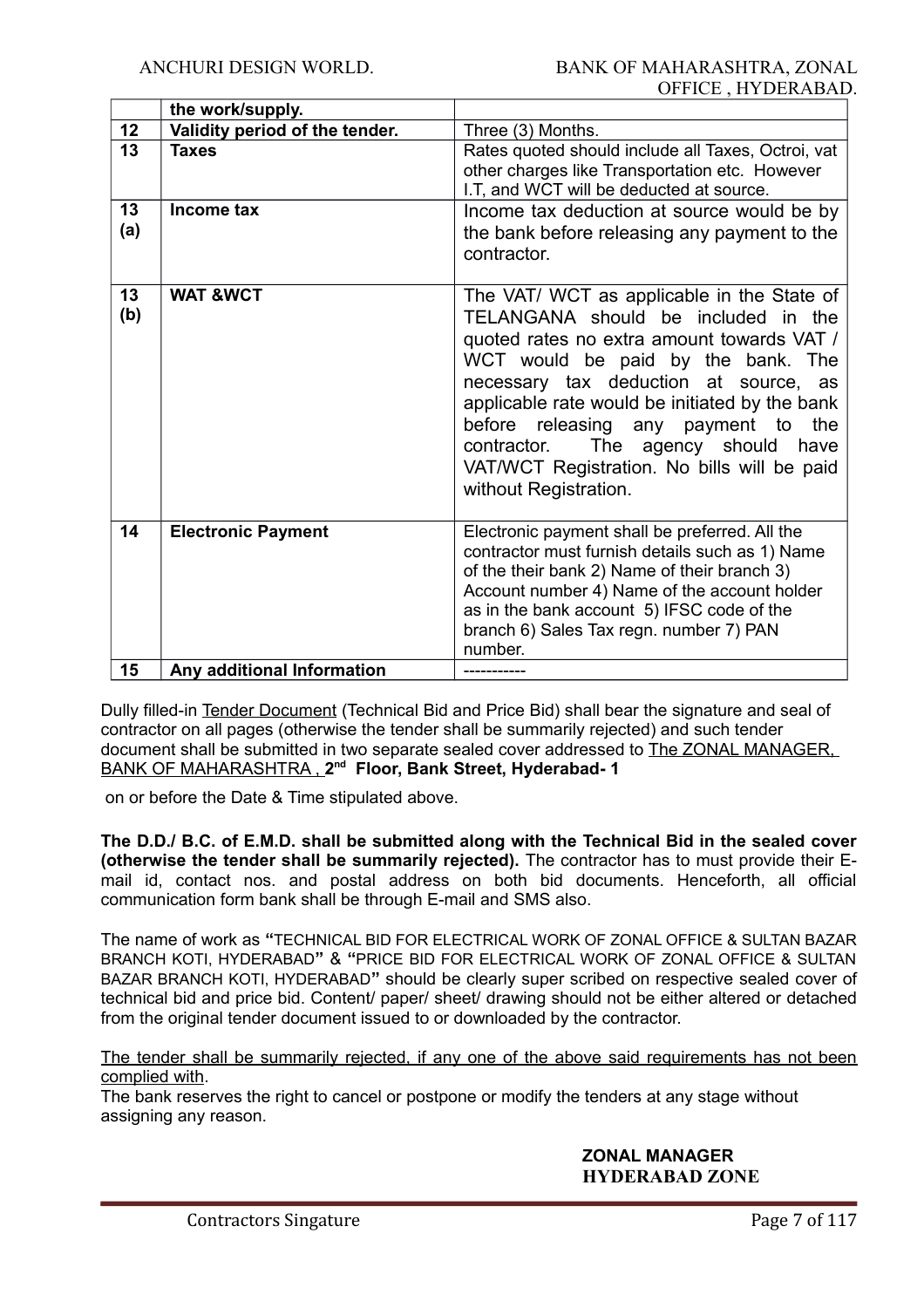|           | the work/supply.               |                                                                                                                                                                                                                                                                                                                                                                                                                             |
|-----------|--------------------------------|-----------------------------------------------------------------------------------------------------------------------------------------------------------------------------------------------------------------------------------------------------------------------------------------------------------------------------------------------------------------------------------------------------------------------------|
| 12        | Validity period of the tender. | Three (3) Months.                                                                                                                                                                                                                                                                                                                                                                                                           |
| 13        | <b>Taxes</b>                   | Rates quoted should include all Taxes, Octroi, vat<br>other charges like Transportation etc. However<br>I.T, and WCT will be deducted at source.                                                                                                                                                                                                                                                                            |
| 13<br>(a) | Income tax                     | Income tax deduction at source would be by<br>the bank before releasing any payment to the<br>contractor.                                                                                                                                                                                                                                                                                                                   |
| 13<br>(b) | <b>WAT &amp;WCT</b>            | The VAT/ WCT as applicable in the State of<br>TELANGANA should be included in the<br>quoted rates no extra amount towards VAT /<br>WCT would be paid by the bank. The<br>necessary tax deduction at source, as<br>applicable rate would be initiated by the bank<br>before releasing any payment to<br>the<br>contractor. The agency should<br>have<br>VAT/WCT Registration. No bills will be paid<br>without Registration. |
| 14        | <b>Electronic Payment</b>      | Electronic payment shall be preferred. All the<br>contractor must furnish details such as 1) Name<br>of the their bank 2) Name of their branch 3)<br>Account number 4) Name of the account holder<br>as in the bank account 5) IFSC code of the<br>branch 6) Sales Tax regn. number 7) PAN<br>number.                                                                                                                       |
| 15        | Any additional Information     |                                                                                                                                                                                                                                                                                                                                                                                                                             |

Dully filled-in Tender Document (Technical Bid and Price Bid) shall bear the signature and seal of contractor on all pages (otherwise the tender shall be summarily rejected) and such tender document shall be submitted in two separate sealed cover addressed to The ZONAL MANAGER, BANK OF MAHARASHTRA , **2 nd Floor, Bank Street, Hyderabad- 1**

on or before the Date & Time stipulated above.

**The D.D./ B.C. of E.M.D. shall be submitted along with the Technical Bid in the sealed cover (otherwise the tender shall be summarily rejected).** The contractor has to must provide their Email id, contact nos. and postal address on both bid documents. Henceforth, all official communication form bank shall be through E-mail and SMS also.

The name of work as **"**TECHNICAL BID FOR ELECTRICAL WORK OF ZONAL OFFICE & SULTAN BAZAR BRANCH KOTI, HYDERABAD**"** & **"**PRICE BID FOR ELECTRICAL WORK OF ZONAL OFFICE & SULTAN BAZAR BRANCH KOTI, HYDERABAD**"** should be clearly super scribed on respective sealed cover of technical bid and price bid. Content/ paper/ sheet/ drawing should not be either altered or detached from the original tender document issued to or downloaded by the contractor.

The tender shall be summarily rejected, if any one of the above said requirements has not been complied with.

The bank reserves the right to cancel or postpone or modify the tenders at any stage without assigning any reason.

#### **ZONAL MANAGER HYDERABAD ZONE**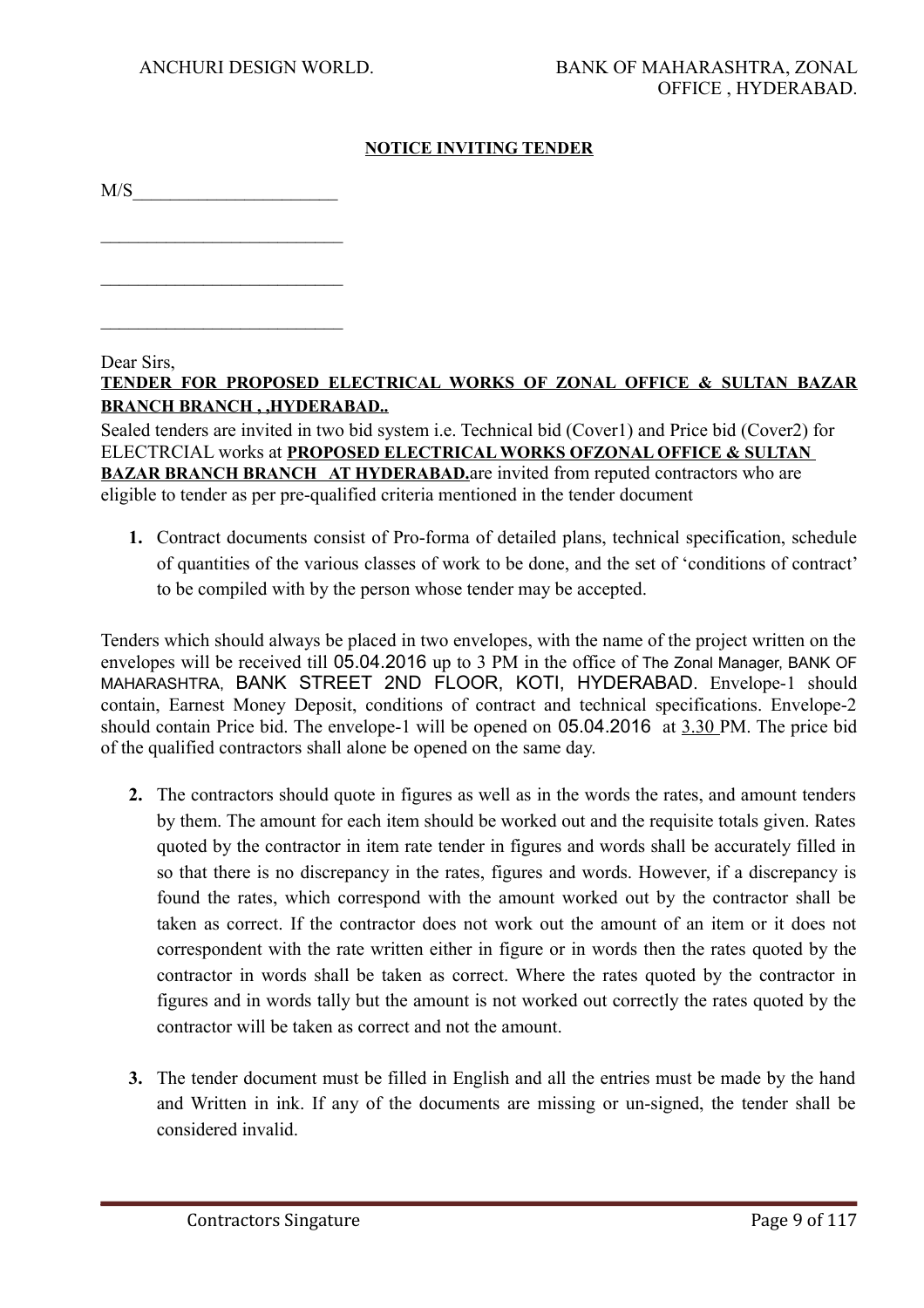## **NOTICE INVITING TENDER**

 $M/S$ 

 $\mathcal{L}_\text{max}$  , where  $\mathcal{L}_\text{max}$  and  $\mathcal{L}_\text{max}$ 

 $\mathcal{L}_\text{max}$  , where  $\mathcal{L}_\text{max}$  and  $\mathcal{L}_\text{max}$ 

 $\mathcal{L}_\text{max}$ 

Dear Sirs.

# **TENDER FOR PROPOSED ELECTRICAL WORKS OF ZONAL OFFICE & SULTAN BAZAR BRANCH BRANCH , ,HYDERABAD..**

Sealed tenders are invited in two bid system i.e. Technical bid (Cover1) and Price bid (Cover2) for ELECTRCIAL works at **PROPOSED ELECTRICAL WORKS OFZONAL OFFICE & SULTAN BAZAR BRANCH BRANCH AT HYDERABAD.** are invited from reputed contractors who are eligible to tender as per pre-qualified criteria mentioned in the tender document

**1.** Contract documents consist of Pro-forma of detailed plans, technical specification, schedule of quantities of the various classes of work to be done, and the set of 'conditions of contract' to be compiled with by the person whose tender may be accepted.

Tenders which should always be placed in two envelopes, with the name of the project written on the envelopes will be received till 05.04.2016 up to 3 PM in the office of The Zonal Manager, BANK OF MAHARASHTRA, BANK STREET 2ND FLOOR, KOTI, HYDERABAD. Envelope-1 should contain, Earnest Money Deposit, conditions of contract and technical specifications. Envelope-2 should contain Price bid. The envelope-1 will be opened on 05.04.2016 at 3.30 PM. The price bid of the qualified contractors shall alone be opened on the same day.

- **2.** The contractors should quote in figures as well as in the words the rates, and amount tenders by them. The amount for each item should be worked out and the requisite totals given. Rates quoted by the contractor in item rate tender in figures and words shall be accurately filled in so that there is no discrepancy in the rates, figures and words. However, if a discrepancy is found the rates, which correspond with the amount worked out by the contractor shall be taken as correct. If the contractor does not work out the amount of an item or it does not correspondent with the rate written either in figure or in words then the rates quoted by the contractor in words shall be taken as correct. Where the rates quoted by the contractor in figures and in words tally but the amount is not worked out correctly the rates quoted by the contractor will be taken as correct and not the amount.
- **3.** The tender document must be filled in English and all the entries must be made by the hand and Written in ink. If any of the documents are missing or un-signed, the tender shall be considered invalid.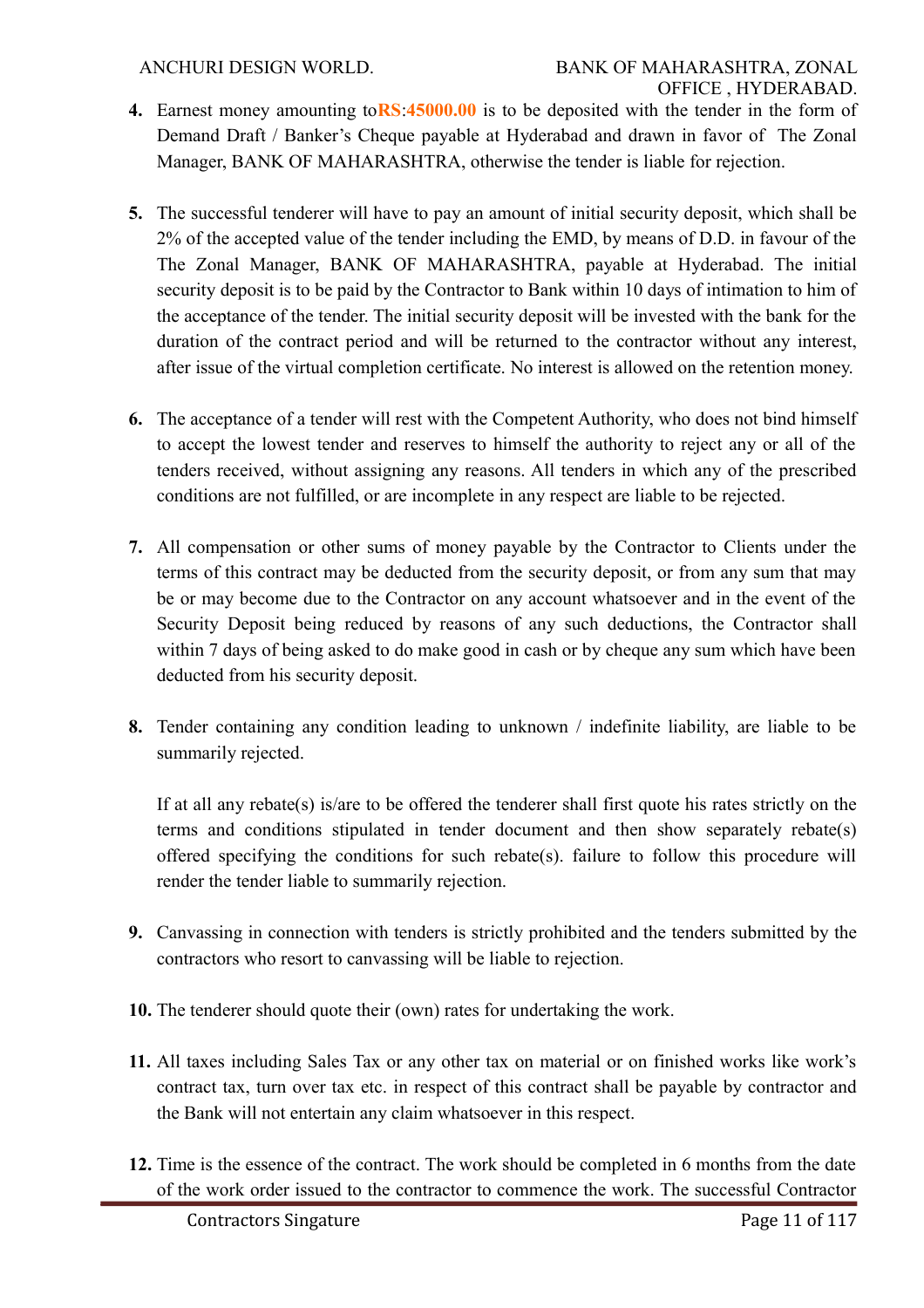- **4.** Earnest money amounting to**RS**:**45000.00** is to be deposited with the tender in the form of Demand Draft / Banker's Cheque payable at Hyderabad and drawn in favor of The Zonal Manager, BANK OF MAHARASHTRA, otherwise the tender is liable for rejection.
- **5.** The successful tenderer will have to pay an amount of initial security deposit, which shall be 2% of the accepted value of the tender including the EMD, by means of D.D. in favour of the The Zonal Manager, BANK OF MAHARASHTRA, payable at Hyderabad. The initial security deposit is to be paid by the Contractor to Bank within 10 days of intimation to him of the acceptance of the tender. The initial security deposit will be invested with the bank for the duration of the contract period and will be returned to the contractor without any interest, after issue of the virtual completion certificate. No interest is allowed on the retention money.
- **6.** The acceptance of a tender will rest with the Competent Authority, who does not bind himself to accept the lowest tender and reserves to himself the authority to reject any or all of the tenders received, without assigning any reasons. All tenders in which any of the prescribed conditions are not fulfilled, or are incomplete in any respect are liable to be rejected.
- **7.** All compensation or other sums of money payable by the Contractor to Clients under the terms of this contract may be deducted from the security deposit, or from any sum that may be or may become due to the Contractor on any account whatsoever and in the event of the Security Deposit being reduced by reasons of any such deductions, the Contractor shall within 7 days of being asked to do make good in cash or by cheque any sum which have been deducted from his security deposit.
- **8.** Tender containing any condition leading to unknown / indefinite liability, are liable to be summarily rejected.

If at all any rebate(s) is/are to be offered the tenderer shall first quote his rates strictly on the terms and conditions stipulated in tender document and then show separately rebate(s) offered specifying the conditions for such rebate(s). failure to follow this procedure will render the tender liable to summarily rejection.

- **9.** Canvassing in connection with tenders is strictly prohibited and the tenders submitted by the contractors who resort to canvassing will be liable to rejection.
- **10.** The tenderer should quote their (own) rates for undertaking the work.
- **11.** All taxes including Sales Tax or any other tax on material or on finished works like work's contract tax, turn over tax etc. in respect of this contract shall be payable by contractor and the Bank will not entertain any claim whatsoever in this respect.
- **12.** Time is the essence of the contract. The work should be completed in 6 months from the date of the work order issued to the contractor to commence the work. The successful Contractor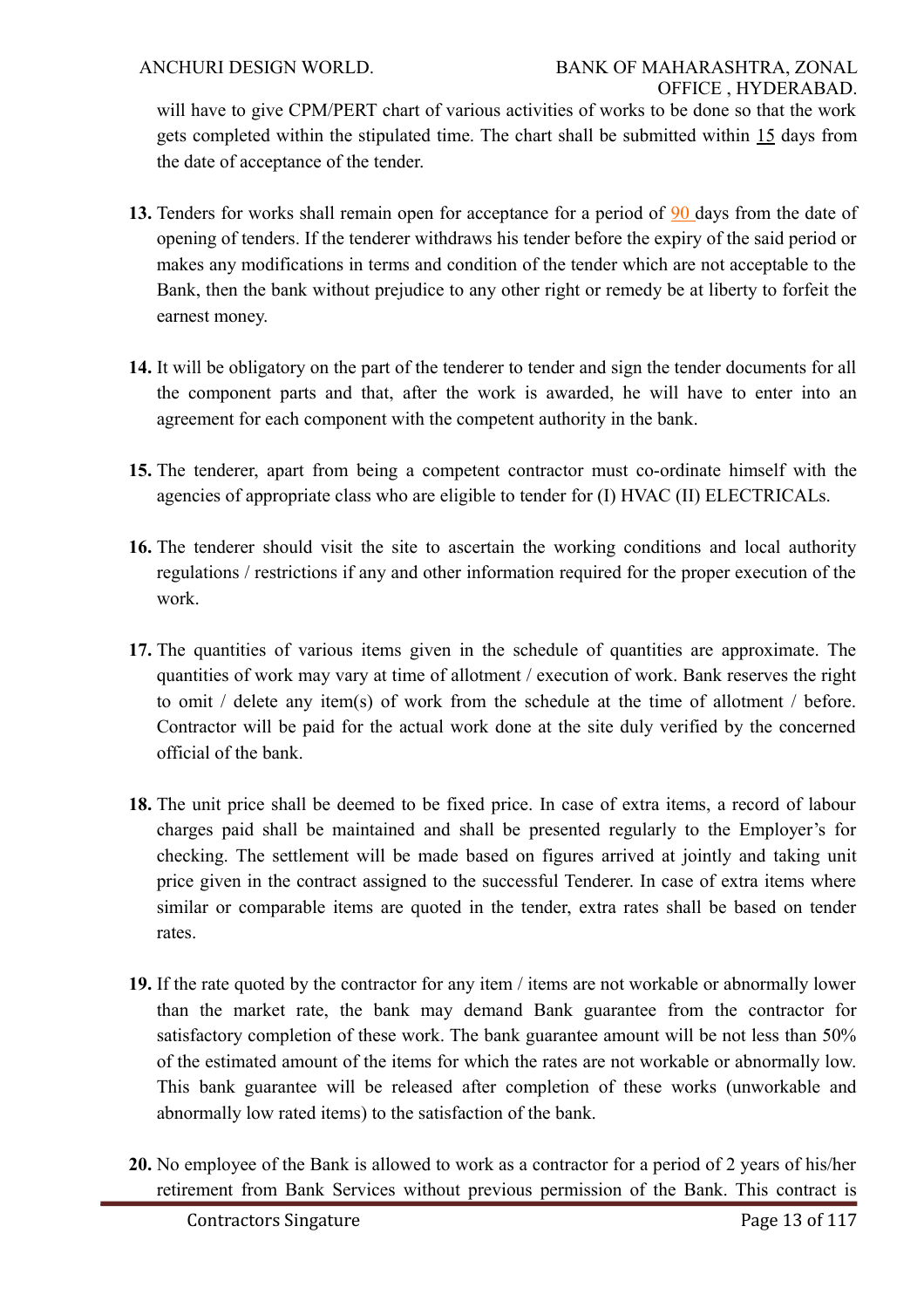will have to give CPM/PERT chart of various activities of works to be done so that the work gets completed within the stipulated time. The chart shall be submitted within 15 days from the date of acceptance of the tender.

- **13.** Tenders for works shall remain open for acceptance for a period of 90 days from the date of opening of tenders. If the tenderer withdraws his tender before the expiry of the said period or makes any modifications in terms and condition of the tender which are not acceptable to the Bank, then the bank without prejudice to any other right or remedy be at liberty to forfeit the earnest money.
- **14.** It will be obligatory on the part of the tenderer to tender and sign the tender documents for all the component parts and that, after the work is awarded, he will have to enter into an agreement for each component with the competent authority in the bank.
- **15.** The tenderer, apart from being a competent contractor must co-ordinate himself with the agencies of appropriate class who are eligible to tender for (I) HVAC (II) ELECTRICALs.
- **16.** The tenderer should visit the site to ascertain the working conditions and local authority regulations / restrictions if any and other information required for the proper execution of the work.
- **17.** The quantities of various items given in the schedule of quantities are approximate. The quantities of work may vary at time of allotment / execution of work. Bank reserves the right to omit / delete any item(s) of work from the schedule at the time of allotment / before. Contractor will be paid for the actual work done at the site duly verified by the concerned official of the bank.
- **18.** The unit price shall be deemed to be fixed price. In case of extra items, a record of labour charges paid shall be maintained and shall be presented regularly to the Employer's for checking. The settlement will be made based on figures arrived at jointly and taking unit price given in the contract assigned to the successful Tenderer. In case of extra items where similar or comparable items are quoted in the tender, extra rates shall be based on tender rates.
- **19.** If the rate quoted by the contractor for any item / items are not workable or abnormally lower than the market rate, the bank may demand Bank guarantee from the contractor for satisfactory completion of these work. The bank guarantee amount will be not less than 50% of the estimated amount of the items for which the rates are not workable or abnormally low. This bank guarantee will be released after completion of these works (unworkable and abnormally low rated items) to the satisfaction of the bank.
- **20.** No employee of the Bank is allowed to work as a contractor for a period of 2 years of his/her retirement from Bank Services without previous permission of the Bank. This contract is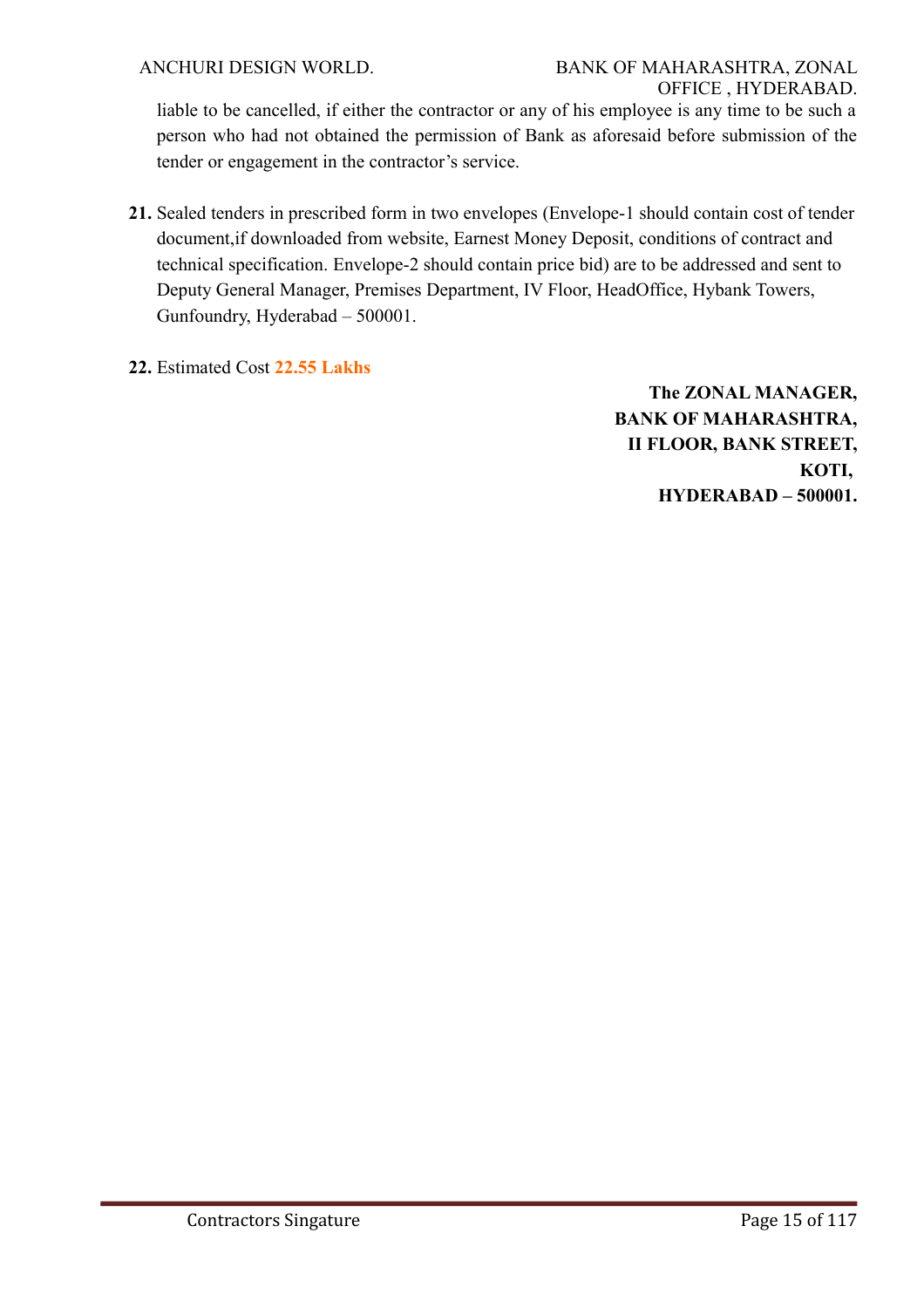liable to be cancelled, if either the contractor or any of his employee is any time to be such a person who had not obtained the permission of Bank as aforesaid before submission of the tender or engagement in the contractor's service.

- **21.** Sealed tenders in prescribed form in two envelopes (Envelope-1 should contain cost of tender document,if downloaded from website, Earnest Money Deposit, conditions of contract and technical specification. Envelope-2 should contain price bid) are to be addressed and sent to Deputy General Manager, Premises Department, IV Floor, HeadOffice, Hybank Towers, Gunfoundry, Hyderabad – 500001.
- **22.** Estimated Cost **22.55 Lakhs**

**The ZONAL MANAGER, BANK OF MAHARASHTRA, II FLOOR, BANK STREET, KOTI, HYDERABAD – 500001.**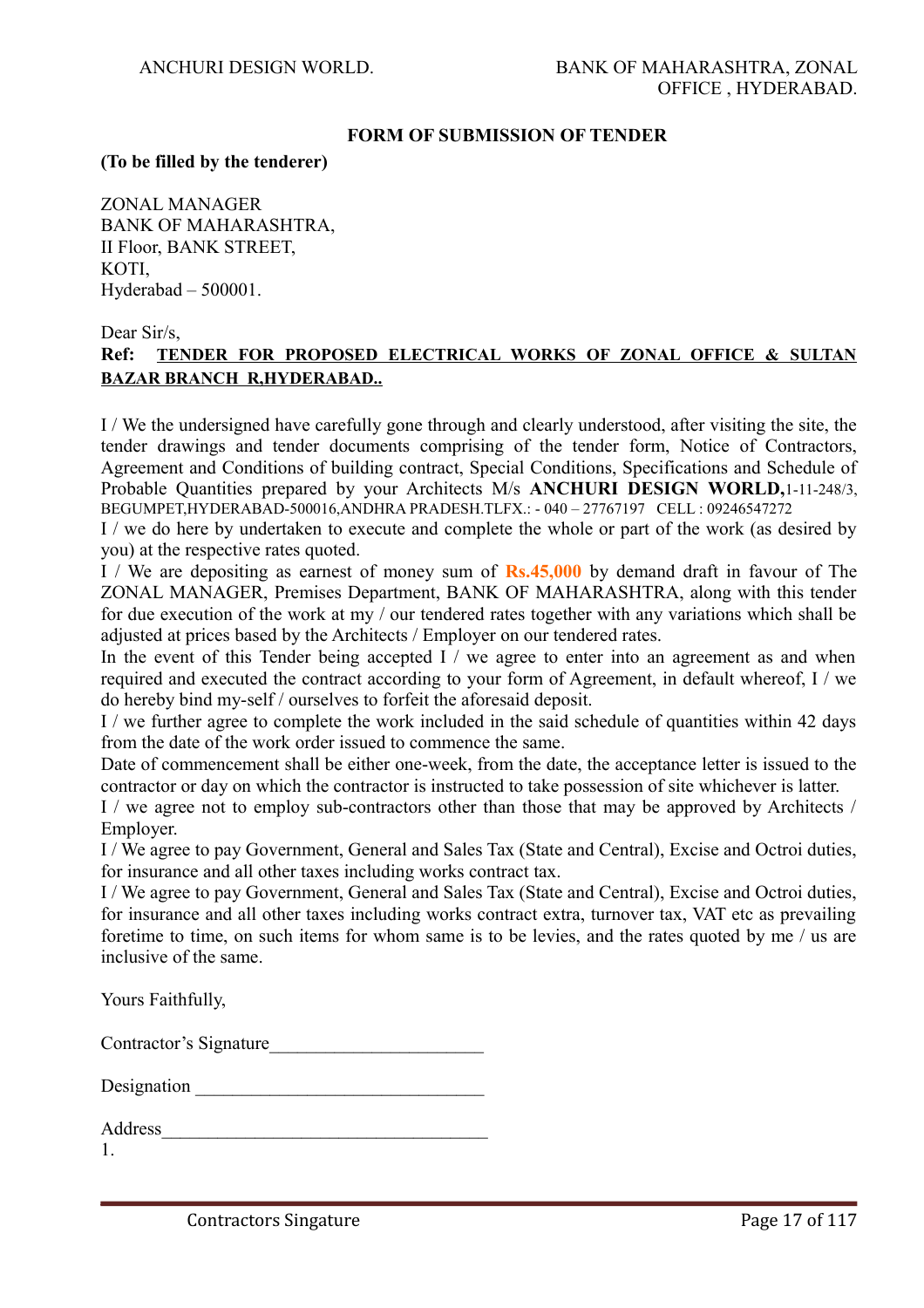#### **FORM OF SUBMISSION OF TENDER**

#### **(To be filled by the tenderer)**

ZONAL MANAGER BANK OF MAHARASHTRA, II Floor, BANK STREET, KOTI, Hyderabad – 500001.

Dear Sir/s.

# **Ref: TENDER FOR PROPOSED ELECTRICAL WORKS OF ZONAL OFFICE & SULTAN BAZAR BRANCH R,HYDERABAD..**

I / We the undersigned have carefully gone through and clearly understood, after visiting the site, the tender drawings and tender documents comprising of the tender form, Notice of Contractors, Agreement and Conditions of building contract, Special Conditions, Specifications and Schedule of Probable Quantities prepared by your Architects M/s **ANCHURI DESIGN WORLD,**1-11-248/3, BEGUMPET,HYDERABAD-500016,ANDHRA PRADESH.TLFX.: - 040 – 27767197 CELL : 09246547272

I / we do here by undertaken to execute and complete the whole or part of the work (as desired by you) at the respective rates quoted.

I / We are depositing as earnest of money sum of **Rs.45,000** by demand draft in favour of The ZONAL MANAGER, Premises Department, BANK OF MAHARASHTRA, along with this tender for due execution of the work at my / our tendered rates together with any variations which shall be adjusted at prices based by the Architects / Employer on our tendered rates.

In the event of this Tender being accepted  $I /$  we agree to enter into an agreement as and when required and executed the contract according to your form of Agreement, in default whereof, I / we do hereby bind my-self / ourselves to forfeit the aforesaid deposit.

I / we further agree to complete the work included in the said schedule of quantities within 42 days from the date of the work order issued to commence the same.

Date of commencement shall be either one-week, from the date, the acceptance letter is issued to the contractor or day on which the contractor is instructed to take possession of site whichever is latter.

I / we agree not to employ sub-contractors other than those that may be approved by Architects / **Employer** 

I / We agree to pay Government, General and Sales Tax (State and Central), Excise and Octroi duties, for insurance and all other taxes including works contract tax.

I / We agree to pay Government, General and Sales Tax (State and Central), Excise and Octroi duties, for insurance and all other taxes including works contract extra, turnover tax, VAT etc as prevailing foretime to time, on such items for whom same is to be levies, and the rates quoted by me / us are inclusive of the same.

Yours Faithfully,

|  | Contractor's Signature |  |
|--|------------------------|--|
|--|------------------------|--|

| Designation |  |
|-------------|--|
|             |  |

| Address |  |
|---------|--|
|         |  |

1.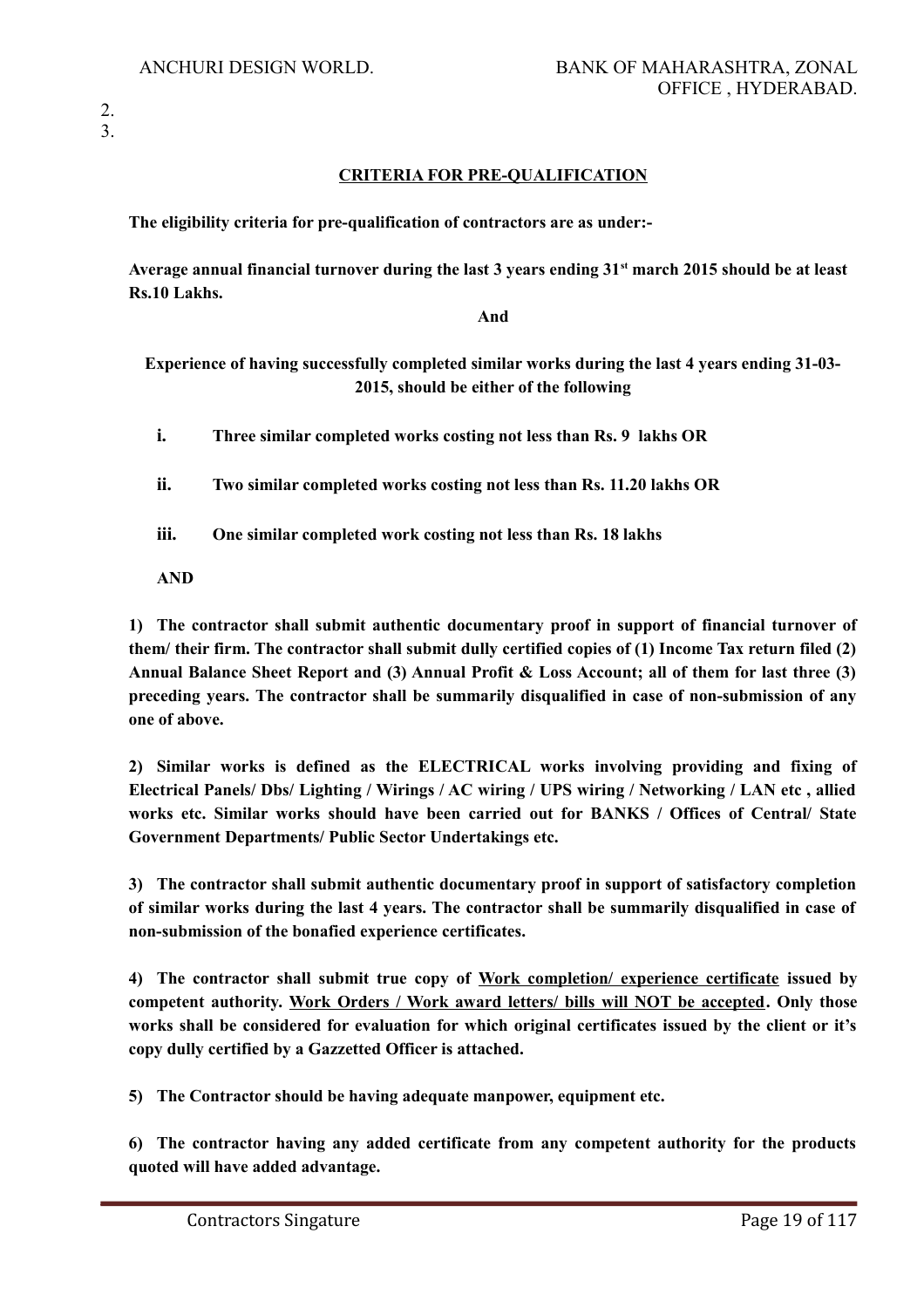#### **CRITERIA FOR PRE-QUALIFICATION**

**The eligibility criteria for pre-qualification of contractors are as under:-**

**Average annual financial turnover during the last 3 years ending 31st march 2015 should be at least Rs.10 Lakhs.**

**And**

# **Experience of having successfully completed similar works during the last 4 years ending 31-03- 2015, should be either of the following**

**i. Three similar completed works costing not less than Rs. 9 lakhs OR**

**ii. Two similar completed works costing not less than Rs. 11.20 lakhs OR**

**iii. One similar completed work costing not less than Rs. 18 lakhs** 

**AND**

**1) The contractor shall submit authentic documentary proof in support of financial turnover of them/ their firm. The contractor shall submit dully certified copies of (1) Income Tax return filed (2) Annual Balance Sheet Report and (3) Annual Profit & Loss Account; all of them for last three (3) preceding years. The contractor shall be summarily disqualified in case of non-submission of any one of above.**

**2) Similar works is defined as the ELECTRICAL works involving providing and fixing of Electrical Panels/ Dbs/ Lighting / Wirings / AC wiring / UPS wiring / Networking / LAN etc , allied works etc. Similar works should have been carried out for BANKS / Offices of Central/ State Government Departments/ Public Sector Undertakings etc.** 

**3) The contractor shall submit authentic documentary proof in support of satisfactory completion of similar works during the last 4 years. The contractor shall be summarily disqualified in case of non-submission of the bonafied experience certificates.** 

**4) The contractor shall submit true copy of Work completion/ experience certificate issued by competent authority. Work Orders / Work award letters/ bills will NOT be accepted. Only those works shall be considered for evaluation for which original certificates issued by the client or it's copy dully certified by a Gazzetted Officer is attached.**

**5) The Contractor should be having adequate manpower, equipment etc.** 

**6) The contractor having any added certificate from any competent authority for the products quoted will have added advantage.**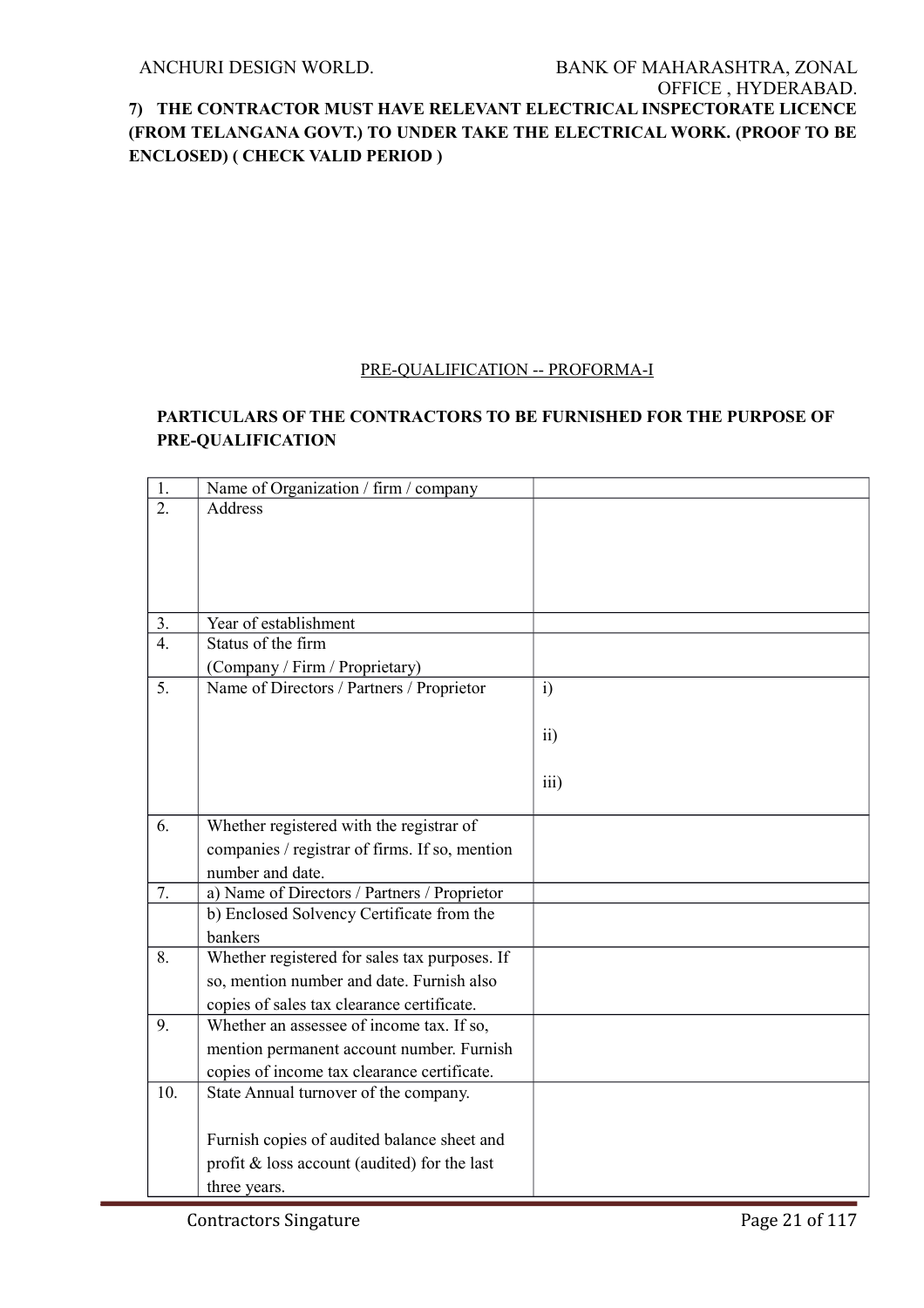#### PRE-QUALIFICATION -- PROFORMA-I

# **PARTICULARS OF THE CONTRACTORS TO BE FURNISHED FOR THE PURPOSE OF PRE-QUALIFICATION**

| 1.             | Name of Organization / firm / company           |                 |
|----------------|-------------------------------------------------|-----------------|
| 2.             | <b>Address</b>                                  |                 |
|                |                                                 |                 |
|                |                                                 |                 |
|                |                                                 |                 |
|                |                                                 |                 |
| 3.             | Year of establishment                           |                 |
| $\overline{4}$ | Status of the firm                              |                 |
|                | (Company / Firm / Proprietary)                  |                 |
| 5.             | Name of Directors / Partners / Proprietor       | i)              |
|                |                                                 |                 |
|                |                                                 | $\overline{11}$ |
|                |                                                 |                 |
|                |                                                 | iii)            |
|                |                                                 |                 |
| 6.             | Whether registered with the registrar of        |                 |
|                | companies / registrar of firms. If so, mention  |                 |
|                | number and date.                                |                 |
| 7.             | a) Name of Directors / Partners / Proprietor    |                 |
|                | b) Enclosed Solvency Certificate from the       |                 |
|                | bankers                                         |                 |
| 8.             | Whether registered for sales tax purposes. If   |                 |
|                | so, mention number and date. Furnish also       |                 |
|                | copies of sales tax clearance certificate.      |                 |
| 9.             | Whether an assessee of income tax. If so,       |                 |
|                | mention permanent account number. Furnish       |                 |
|                | copies of income tax clearance certificate.     |                 |
| 10.            | State Annual turnover of the company.           |                 |
|                |                                                 |                 |
|                |                                                 |                 |
|                | Furnish copies of audited balance sheet and     |                 |
|                | profit $\&$ loss account (audited) for the last |                 |
|                | three years.                                    |                 |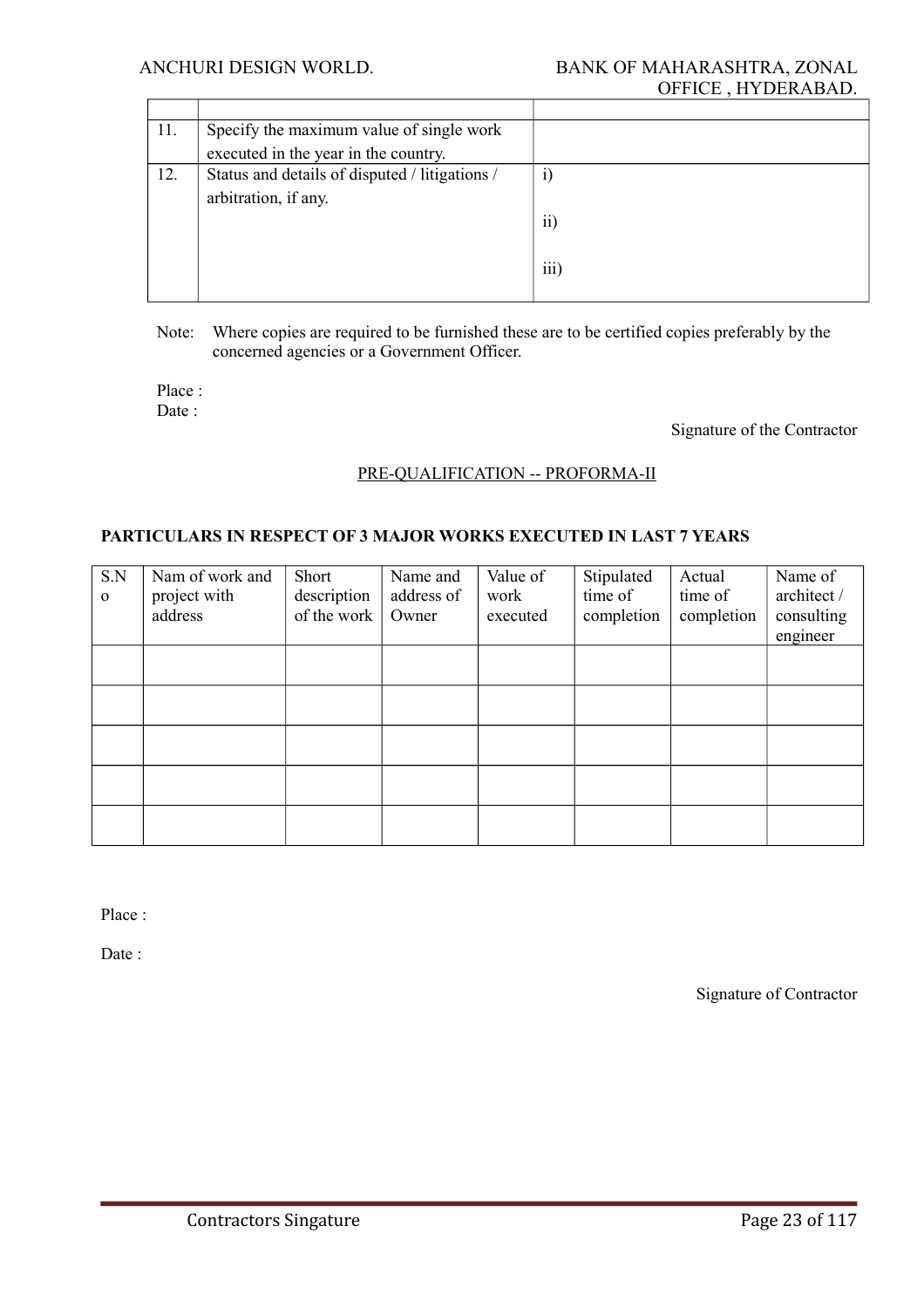| 11. | Specify the maximum value of single work       |                 |
|-----|------------------------------------------------|-----------------|
|     | executed in the year in the country.           |                 |
| 12. | Status and details of disputed / litigations / | 1)              |
|     | arbitration, if any.                           |                 |
|     |                                                | $\overline{ii}$ |
|     |                                                |                 |
|     |                                                | iii)            |
|     |                                                |                 |

Note: Where copies are required to be furnished these are to be certified copies preferably by the concerned agencies or a Government Officer.

Place : Date ·

Signature of the Contractor

#### PRE-QUALIFICATION -- PROFORMA-II

#### **PARTICULARS IN RESPECT OF 3 MAJOR WORKS EXECUTED IN LAST 7 YEARS**

| S.N<br>$\mathbf 0$ | Nam of work and<br>project with<br>address | Short<br>description<br>of the work | Name and<br>address of<br>Owner | Value of<br>work<br>executed | Stipulated<br>time of<br>completion | Actual<br>time of<br>completion | Name of<br>architect /<br>consulting<br>engineer |
|--------------------|--------------------------------------------|-------------------------------------|---------------------------------|------------------------------|-------------------------------------|---------------------------------|--------------------------------------------------|
|                    |                                            |                                     |                                 |                              |                                     |                                 |                                                  |
|                    |                                            |                                     |                                 |                              |                                     |                                 |                                                  |
|                    |                                            |                                     |                                 |                              |                                     |                                 |                                                  |
|                    |                                            |                                     |                                 |                              |                                     |                                 |                                                  |
|                    |                                            |                                     |                                 |                              |                                     |                                 |                                                  |

Place :

Date :

Signature of Contractor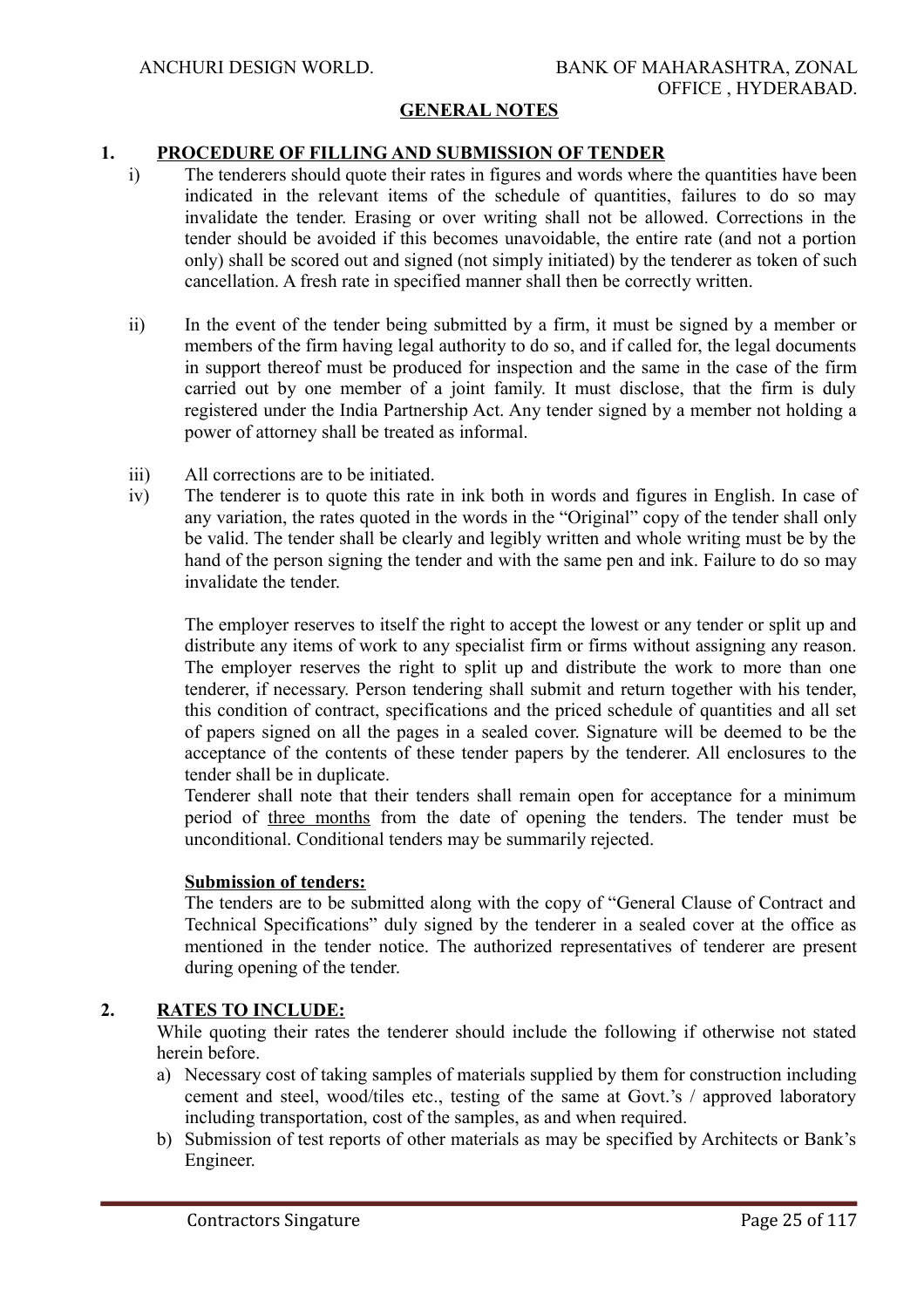#### **GENERAL NOTES**

#### **1. PROCEDURE OF FILLING AND SUBMISSION OF TENDER**

- i) The tenderers should quote their rates in figures and words where the quantities have been indicated in the relevant items of the schedule of quantities, failures to do so may invalidate the tender. Erasing or over writing shall not be allowed. Corrections in the tender should be avoided if this becomes unavoidable, the entire rate (and not a portion only) shall be scored out and signed (not simply initiated) by the tenderer as token of such cancellation. A fresh rate in specified manner shall then be correctly written.
- ii) In the event of the tender being submitted by a firm, it must be signed by a member or members of the firm having legal authority to do so, and if called for, the legal documents in support thereof must be produced for inspection and the same in the case of the firm carried out by one member of a joint family. It must disclose, that the firm is duly registered under the India Partnership Act. Any tender signed by a member not holding a power of attorney shall be treated as informal.
- iii) All corrections are to be initiated.
- iv) The tenderer is to quote this rate in ink both in words and figures in English. In case of any variation, the rates quoted in the words in the "Original" copy of the tender shall only be valid. The tender shall be clearly and legibly written and whole writing must be by the hand of the person signing the tender and with the same pen and ink. Failure to do so may invalidate the tender.

The employer reserves to itself the right to accept the lowest or any tender or split up and distribute any items of work to any specialist firm or firms without assigning any reason. The employer reserves the right to split up and distribute the work to more than one tenderer, if necessary. Person tendering shall submit and return together with his tender, this condition of contract, specifications and the priced schedule of quantities and all set of papers signed on all the pages in a sealed cover. Signature will be deemed to be the acceptance of the contents of these tender papers by the tenderer. All enclosures to the tender shall be in duplicate.

Tenderer shall note that their tenders shall remain open for acceptance for a minimum period of three months from the date of opening the tenders. The tender must be unconditional. Conditional tenders may be summarily rejected.

#### **Submission of tenders:**

The tenders are to be submitted along with the copy of "General Clause of Contract and Technical Specifications" duly signed by the tenderer in a sealed cover at the office as mentioned in the tender notice. The authorized representatives of tenderer are present during opening of the tender.

## **2. RATES TO INCLUDE:**

While quoting their rates the tenderer should include the following if otherwise not stated herein before.

- a) Necessary cost of taking samples of materials supplied by them for construction including cement and steel, wood/tiles etc., testing of the same at Govt.'s / approved laboratory including transportation, cost of the samples, as and when required.
- b) Submission of test reports of other materials as may be specified by Architects or Bank's Engineer.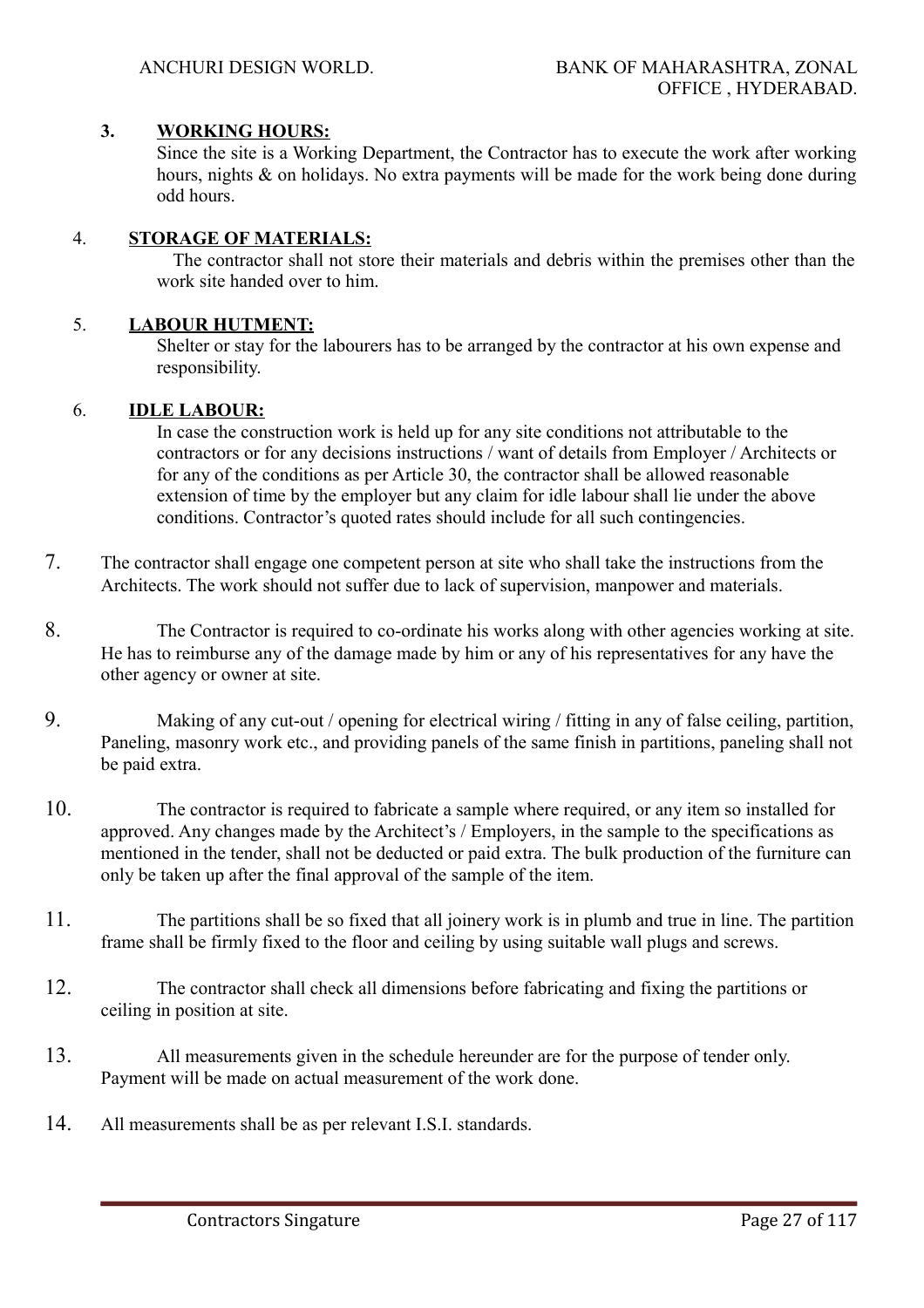# **3. WORKING HOURS:**

Since the site is a Working Department, the Contractor has to execute the work after working hours, nights & on holidays. No extra payments will be made for the work being done during odd hours.

# 4. **STORAGE OF MATERIALS:**

 The contractor shall not store their materials and debris within the premises other than the work site handed over to him.

# 5. **LABOUR HUTMENT:**

Shelter or stay for the labourers has to be arranged by the contractor at his own expense and responsibility.

# 6. **IDLE LABOUR:**

 In case the construction work is held up for any site conditions not attributable to the contractors or for any decisions instructions / want of details from Employer / Architects or for any of the conditions as per Article 30, the contractor shall be allowed reasonable extension of time by the employer but any claim for idle labour shall lie under the above conditions. Contractor's quoted rates should include for all such contingencies.

- 7. The contractor shall engage one competent person at site who shall take the instructions from the Architects. The work should not suffer due to lack of supervision, manpower and materials.
- 8. The Contractor is required to co-ordinate his works along with other agencies working at site. He has to reimburse any of the damage made by him or any of his representatives for any have the other agency or owner at site.
- 9. Making of any cut-out / opening for electrical wiring / fitting in any of false ceiling, partition, Paneling, masonry work etc., and providing panels of the same finish in partitions, paneling shall not be paid extra.
- 10. The contractor is required to fabricate a sample where required, or any item so installed for approved. Any changes made by the Architect's / Employers, in the sample to the specifications as mentioned in the tender, shall not be deducted or paid extra. The bulk production of the furniture can only be taken up after the final approval of the sample of the item.
- 11. The partitions shall be so fixed that all joinery work is in plumb and true in line. The partition frame shall be firmly fixed to the floor and ceiling by using suitable wall plugs and screws.
- 12. The contractor shall check all dimensions before fabricating and fixing the partitions or ceiling in position at site.
- 13. All measurements given in the schedule hereunder are for the purpose of tender only. Payment will be made on actual measurement of the work done.
- 14. All measurements shall be as per relevant I.S.I. standards.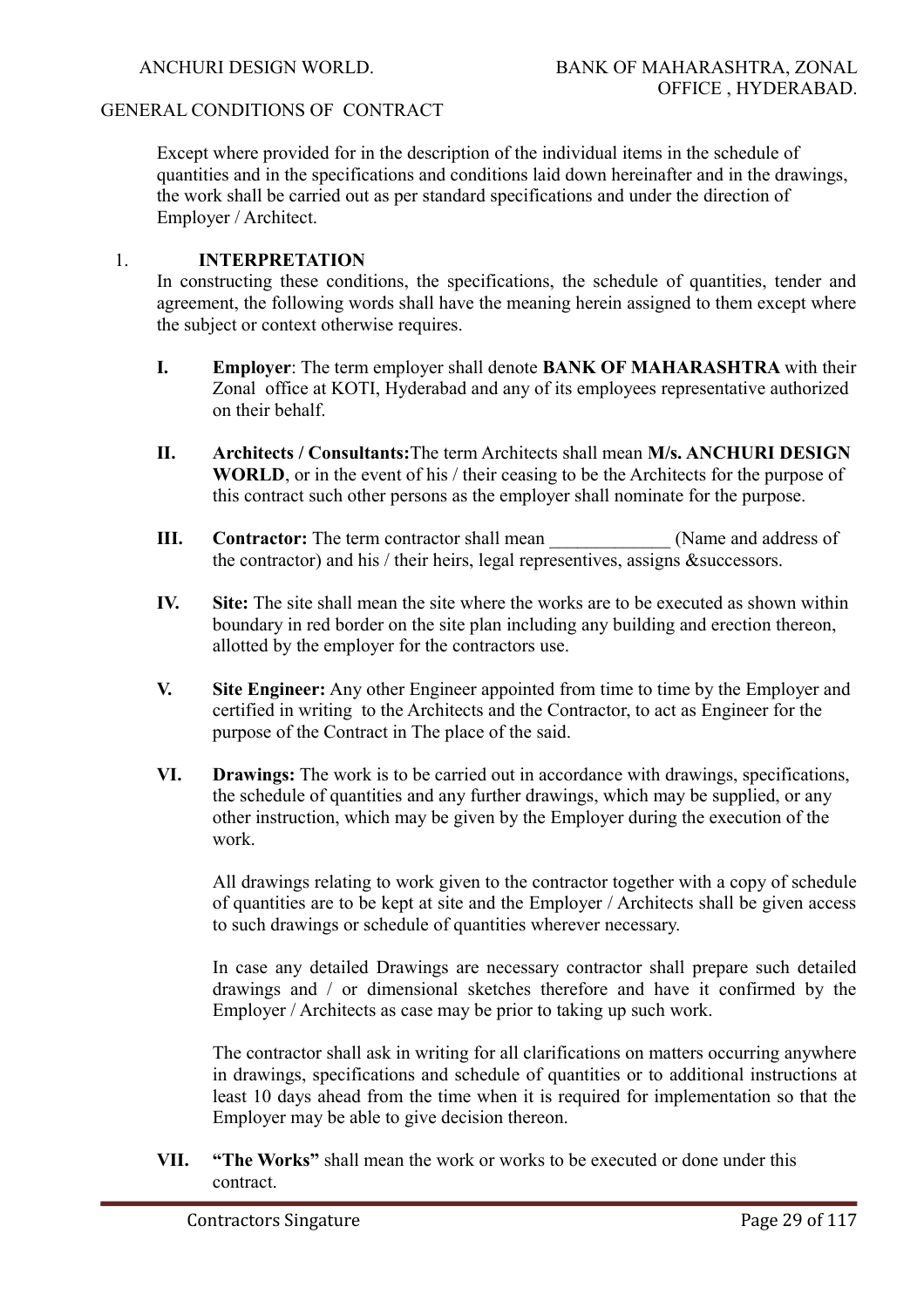#### GENERAL CONDITIONS OF CONTRACT

Except where provided for in the description of the individual items in the schedule of quantities and in the specifications and conditions laid down hereinafter and in the drawings, the work shall be carried out as per standard specifications and under the direction of Employer / Architect.

#### 1. **INTERPRETATION**

In constructing these conditions, the specifications, the schedule of quantities, tender and agreement, the following words shall have the meaning herein assigned to them except where the subject or context otherwise requires.

- **I. Employer**: The term employer shall denote **BANK OF MAHARASHTRA** with their Zonal office at KOTI, Hyderabad and any of its employees representative authorized on their behalf.
- **II. Architects / Consultants:**The term Architects shall mean **M/s. ANCHURI DESIGN WORLD**, or in the event of his / their ceasing to be the Architects for the purpose of this contract such other persons as the employer shall nominate for the purpose.
- **III. Contractor:** The term contractor shall mean  $\blacksquare$  (Name and address of the contractor) and his / their heirs, legal representives, assigns &successors.
- **IV. Site:** The site shall mean the site where the works are to be executed as shown within boundary in red border on the site plan including any building and erection thereon, allotted by the employer for the contractors use.
- **V. Site Engineer:** Any other Engineer appointed from time to time by the Employer and certified in writing to the Architects and the Contractor, to act as Engineer for the purpose of the Contract in The place of the said.
- **VI. Drawings:** The work is to be carried out in accordance with drawings, specifications, the schedule of quantities and any further drawings, which may be supplied, or any other instruction, which may be given by the Employer during the execution of the work.

All drawings relating to work given to the contractor together with a copy of schedule of quantities are to be kept at site and the Employer / Architects shall be given access to such drawings or schedule of quantities wherever necessary.

In case any detailed Drawings are necessary contractor shall prepare such detailed drawings and / or dimensional sketches therefore and have it confirmed by the Employer / Architects as case may be prior to taking up such work.

The contractor shall ask in writing for all clarifications on matters occurring anywhere in drawings, specifications and schedule of quantities or to additional instructions at least 10 days ahead from the time when it is required for implementation so that the Employer may be able to give decision thereon.

**VII. "The Works"** shall mean the work or works to be executed or done under this contract.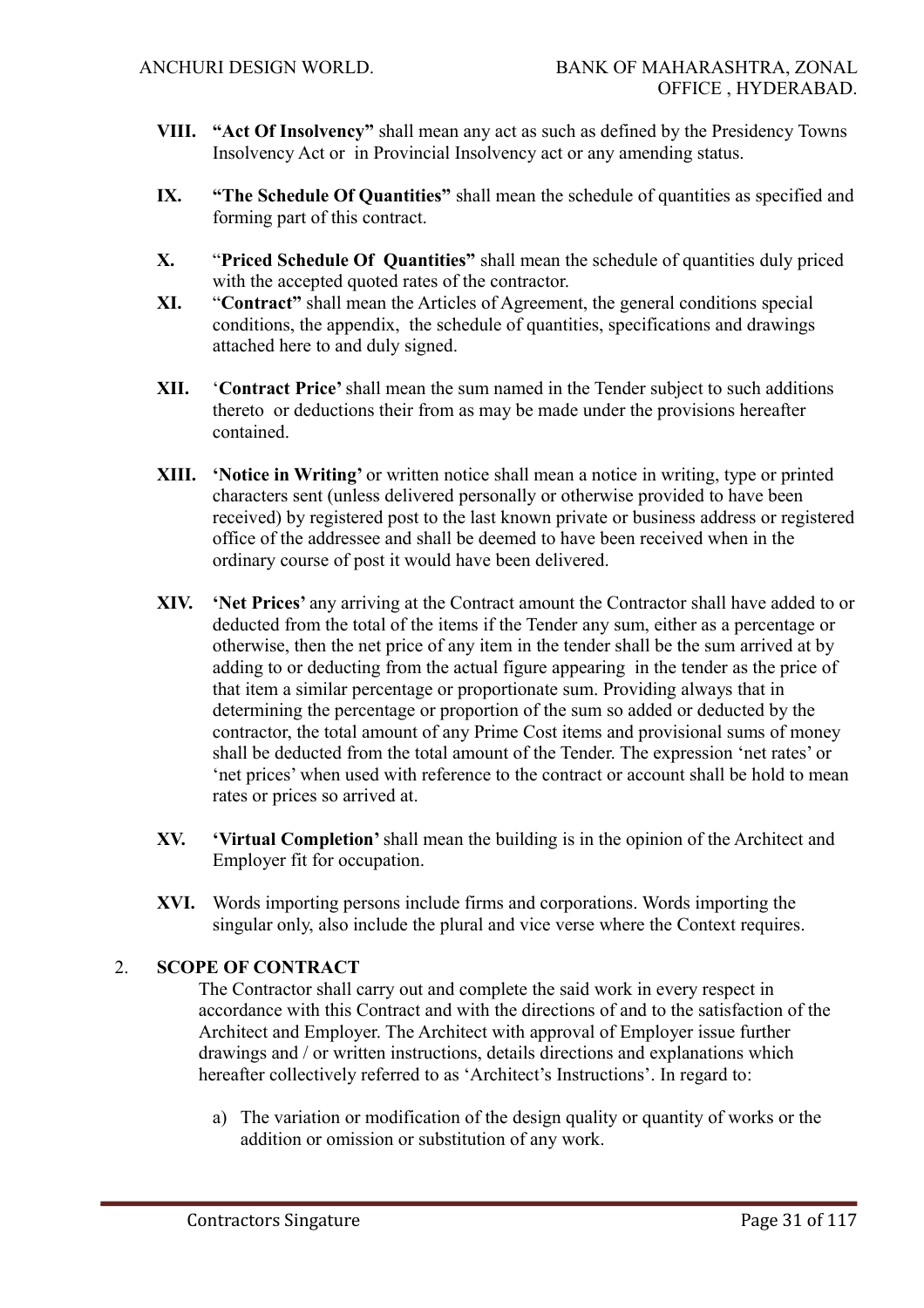- **VIII. "Act Of Insolvency"** shall mean any act as such as defined by the Presidency Towns Insolvency Act or in Provincial Insolvency act or any amending status.
- **IX. "The Schedule Of Quantities"** shall mean the schedule of quantities as specified and forming part of this contract.
- **X.** "**Priced Schedule Of Quantities"** shall mean the schedule of quantities duly priced with the accepted quoted rates of the contractor.
- **XI.** "**Contract"** shall mean the Articles of Agreement, the general conditions special conditions, the appendix, the schedule of quantities, specifications and drawings attached here to and duly signed.
- **XII.** '**Contract Price'** shall mean the sum named in the Tender subject to such additions thereto or deductions their from as may be made under the provisions hereafter contained.
- **XIII. 'Notice in Writing'** or written notice shall mean a notice in writing, type or printed characters sent (unless delivered personally or otherwise provided to have been received) by registered post to the last known private or business address or registered office of the addressee and shall be deemed to have been received when in the ordinary course of post it would have been delivered.
- **XIV. 'Net Prices'** any arriving at the Contract amount the Contractor shall have added to or deducted from the total of the items if the Tender any sum, either as a percentage or otherwise, then the net price of any item in the tender shall be the sum arrived at by adding to or deducting from the actual figure appearing in the tender as the price of that item a similar percentage or proportionate sum. Providing always that in determining the percentage or proportion of the sum so added or deducted by the contractor, the total amount of any Prime Cost items and provisional sums of money shall be deducted from the total amount of the Tender. The expression 'net rates' or 'net prices' when used with reference to the contract or account shall be hold to mean rates or prices so arrived at.
- **XV. 'Virtual Completion'** shall mean the building is in the opinion of the Architect and Employer fit for occupation.
- **XVI.** Words importing persons include firms and corporations. Words importing the singular only, also include the plural and vice verse where the Context requires.

# 2. **SCOPE OF CONTRACT**

The Contractor shall carry out and complete the said work in every respect in accordance with this Contract and with the directions of and to the satisfaction of the Architect and Employer. The Architect with approval of Employer issue further drawings and / or written instructions, details directions and explanations which hereafter collectively referred to as 'Architect's Instructions'. In regard to:

a) The variation or modification of the design quality or quantity of works or the addition or omission or substitution of any work.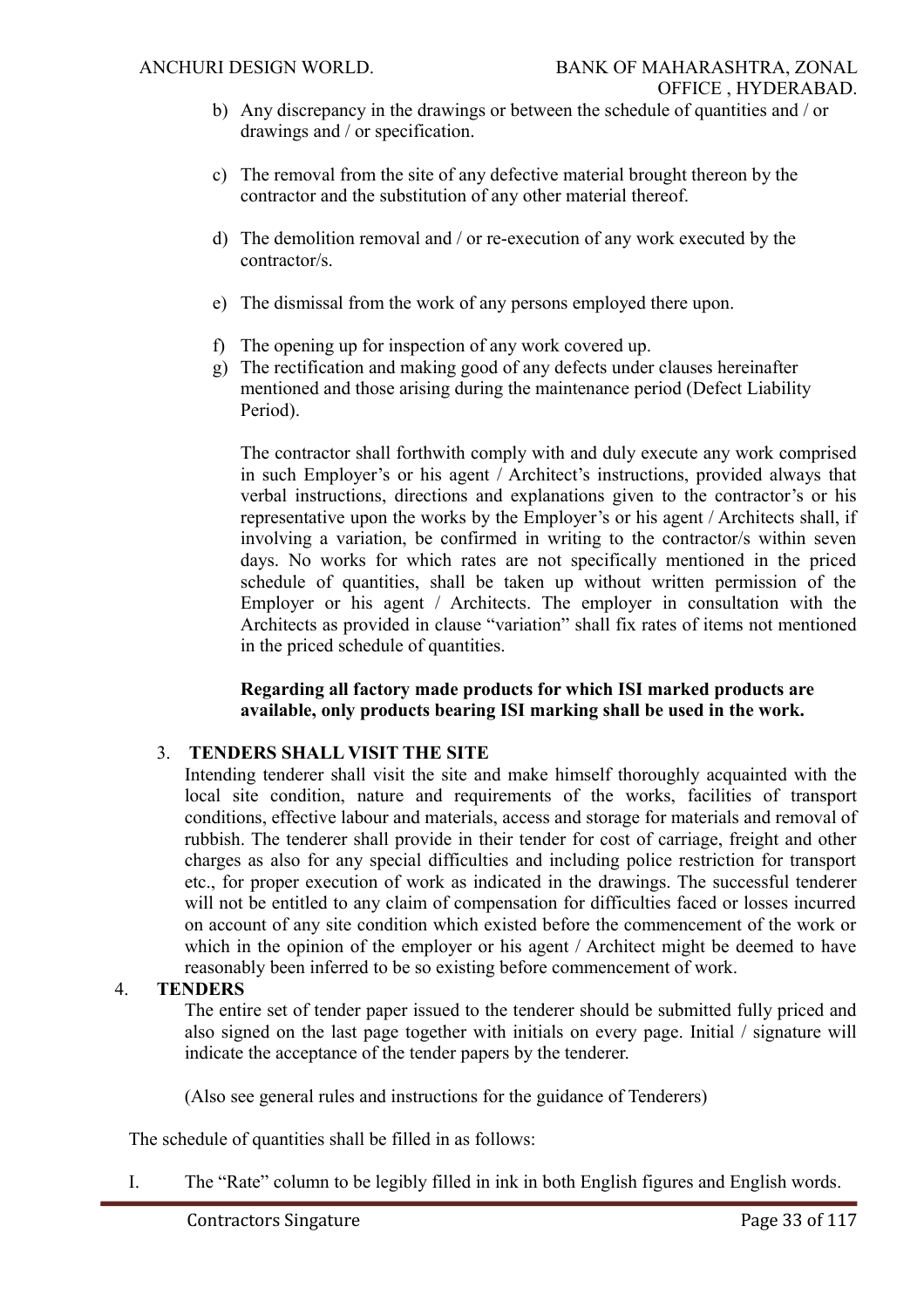- b) Any discrepancy in the drawings or between the schedule of quantities and / or drawings and / or specification.
- c) The removal from the site of any defective material brought thereon by the contractor and the substitution of any other material thereof.
- d) The demolition removal and / or re-execution of any work executed by the contractor/s.
- e) The dismissal from the work of any persons employed there upon.
- f) The opening up for inspection of any work covered up.
- g) The rectification and making good of any defects under clauses hereinafter mentioned and those arising during the maintenance period (Defect Liability Period).

The contractor shall forthwith comply with and duly execute any work comprised in such Employer's or his agent / Architect's instructions, provided always that verbal instructions, directions and explanations given to the contractor's or his representative upon the works by the Employer's or his agent / Architects shall, if involving a variation, be confirmed in writing to the contractor/s within seven days. No works for which rates are not specifically mentioned in the priced schedule of quantities, shall be taken up without written permission of the Employer or his agent / Architects. The employer in consultation with the Architects as provided in clause "variation" shall fix rates of items not mentioned in the priced schedule of quantities.

#### **Regarding all factory made products for which ISI marked products are available, only products bearing ISI marking shall be used in the work.**

# 3. **TENDERS SHALL VISIT THE SITE**

Intending tenderer shall visit the site and make himself thoroughly acquainted with the local site condition, nature and requirements of the works, facilities of transport conditions, effective labour and materials, access and storage for materials and removal of rubbish. The tenderer shall provide in their tender for cost of carriage, freight and other charges as also for any special difficulties and including police restriction for transport etc., for proper execution of work as indicated in the drawings. The successful tenderer will not be entitled to any claim of compensation for difficulties faced or losses incurred on account of any site condition which existed before the commencement of the work or which in the opinion of the employer or his agent / Architect might be deemed to have reasonably been inferred to be so existing before commencement of work.

# 4. **TENDERS**

The entire set of tender paper issued to the tenderer should be submitted fully priced and also signed on the last page together with initials on every page. Initial / signature will indicate the acceptance of the tender papers by the tenderer.

(Also see general rules and instructions for the guidance of Tenderers)

The schedule of quantities shall be filled in as follows:

I. The "Rate" column to be legibly filled in ink in both English figures and English words.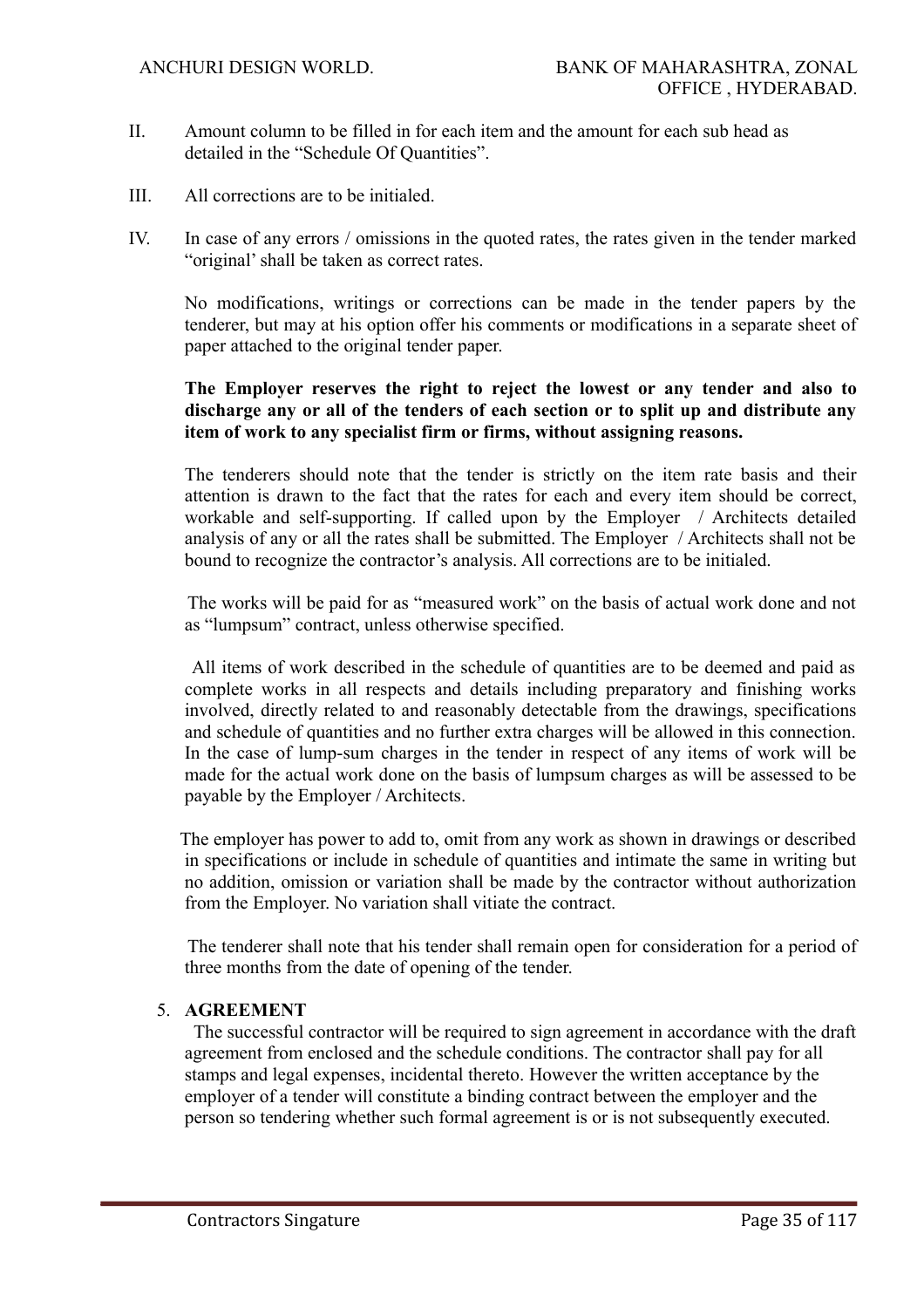- II. Amount column to be filled in for each item and the amount for each sub head as detailed in the "Schedule Of Quantities".
- III. All corrections are to be initialed.
- IV. In case of any errors / omissions in the quoted rates, the rates given in the tender marked "original' shall be taken as correct rates.

No modifications, writings or corrections can be made in the tender papers by the tenderer, but may at his option offer his comments or modifications in a separate sheet of paper attached to the original tender paper.

# **The Employer reserves the right to reject the lowest or any tender and also to discharge any or all of the tenders of each section or to split up and distribute any item of work to any specialist firm or firms, without assigning reasons.**

The tenderers should note that the tender is strictly on the item rate basis and their attention is drawn to the fact that the rates for each and every item should be correct, workable and self-supporting. If called upon by the Employer / Architects detailed analysis of any or all the rates shall be submitted. The Employer / Architects shall not be bound to recognize the contractor's analysis. All corrections are to be initialed.

 The works will be paid for as "measured work" on the basis of actual work done and not as "lumpsum" contract, unless otherwise specified.

 All items of work described in the schedule of quantities are to be deemed and paid as complete works in all respects and details including preparatory and finishing works involved, directly related to and reasonably detectable from the drawings, specifications and schedule of quantities and no further extra charges will be allowed in this connection. In the case of lump-sum charges in the tender in respect of any items of work will be made for the actual work done on the basis of lumpsum charges as will be assessed to be payable by the Employer / Architects.

 The employer has power to add to, omit from any work as shown in drawings or described in specifications or include in schedule of quantities and intimate the same in writing but no addition, omission or variation shall be made by the contractor without authorization from the Employer. No variation shall vitiate the contract.

 The tenderer shall note that his tender shall remain open for consideration for a period of three months from the date of opening of the tender.

# 5. **AGREEMENT**

 The successful contractor will be required to sign agreement in accordance with the draft agreement from enclosed and the schedule conditions. The contractor shall pay for all stamps and legal expenses, incidental thereto. However the written acceptance by the employer of a tender will constitute a binding contract between the employer and the person so tendering whether such formal agreement is or is not subsequently executed.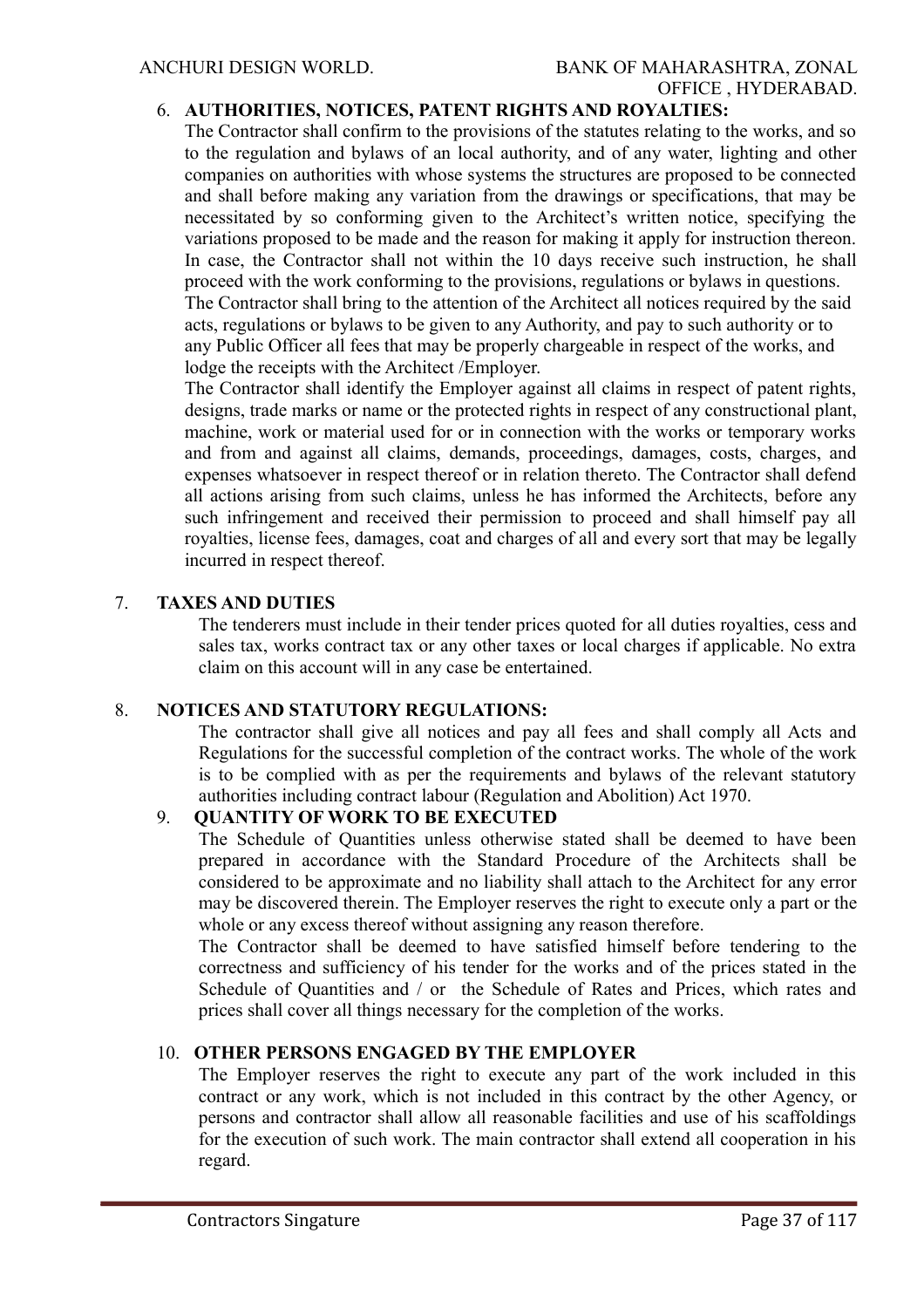# ANCHURI DESIGN WORLD. BANK OF MAHARASHTRA, ZONAL OFFICE , HYDERABAD.

# 6. **AUTHORITIES, NOTICES, PATENT RIGHTS AND ROYALTIES:**

The Contractor shall confirm to the provisions of the statutes relating to the works, and so to the regulation and bylaws of an local authority, and of any water, lighting and other companies on authorities with whose systems the structures are proposed to be connected and shall before making any variation from the drawings or specifications, that may be necessitated by so conforming given to the Architect's written notice, specifying the variations proposed to be made and the reason for making it apply for instruction thereon. In case, the Contractor shall not within the 10 days receive such instruction, he shall proceed with the work conforming to the provisions, regulations or bylaws in questions. The Contractor shall bring to the attention of the Architect all notices required by the said acts, regulations or bylaws to be given to any Authority, and pay to such authority or to any Public Officer all fees that may be properly chargeable in respect of the works, and lodge the receipts with the Architect /Employer.

The Contractor shall identify the Employer against all claims in respect of patent rights, designs, trade marks or name or the protected rights in respect of any constructional plant, machine, work or material used for or in connection with the works or temporary works and from and against all claims, demands, proceedings, damages, costs, charges, and expenses whatsoever in respect thereof or in relation thereto. The Contractor shall defend all actions arising from such claims, unless he has informed the Architects, before any such infringement and received their permission to proceed and shall himself pay all royalties, license fees, damages, coat and charges of all and every sort that may be legally incurred in respect thereof.

#### 7. **TAXES AND DUTIES**

The tenderers must include in their tender prices quoted for all duties royalties, cess and sales tax, works contract tax or any other taxes or local charges if applicable. No extra claim on this account will in any case be entertained.

#### 8. **NOTICES AND STATUTORY REGULATIONS:**

The contractor shall give all notices and pay all fees and shall comply all Acts and Regulations for the successful completion of the contract works. The whole of the work is to be complied with as per the requirements and bylaws of the relevant statutory authorities including contract labour (Regulation and Abolition) Act 1970.

# 9. **QUANTITY OF WORK TO BE EXECUTED**

The Schedule of Quantities unless otherwise stated shall be deemed to have been prepared in accordance with the Standard Procedure of the Architects shall be considered to be approximate and no liability shall attach to the Architect for any error may be discovered therein. The Employer reserves the right to execute only a part or the whole or any excess thereof without assigning any reason therefore.

The Contractor shall be deemed to have satisfied himself before tendering to the correctness and sufficiency of his tender for the works and of the prices stated in the Schedule of Quantities and / or the Schedule of Rates and Prices, which rates and prices shall cover all things necessary for the completion of the works.

#### 10. **OTHER PERSONS ENGAGED BY THE EMPLOYER**

The Employer reserves the right to execute any part of the work included in this contract or any work, which is not included in this contract by the other Agency, or persons and contractor shall allow all reasonable facilities and use of his scaffoldings for the execution of such work. The main contractor shall extend all cooperation in his regard.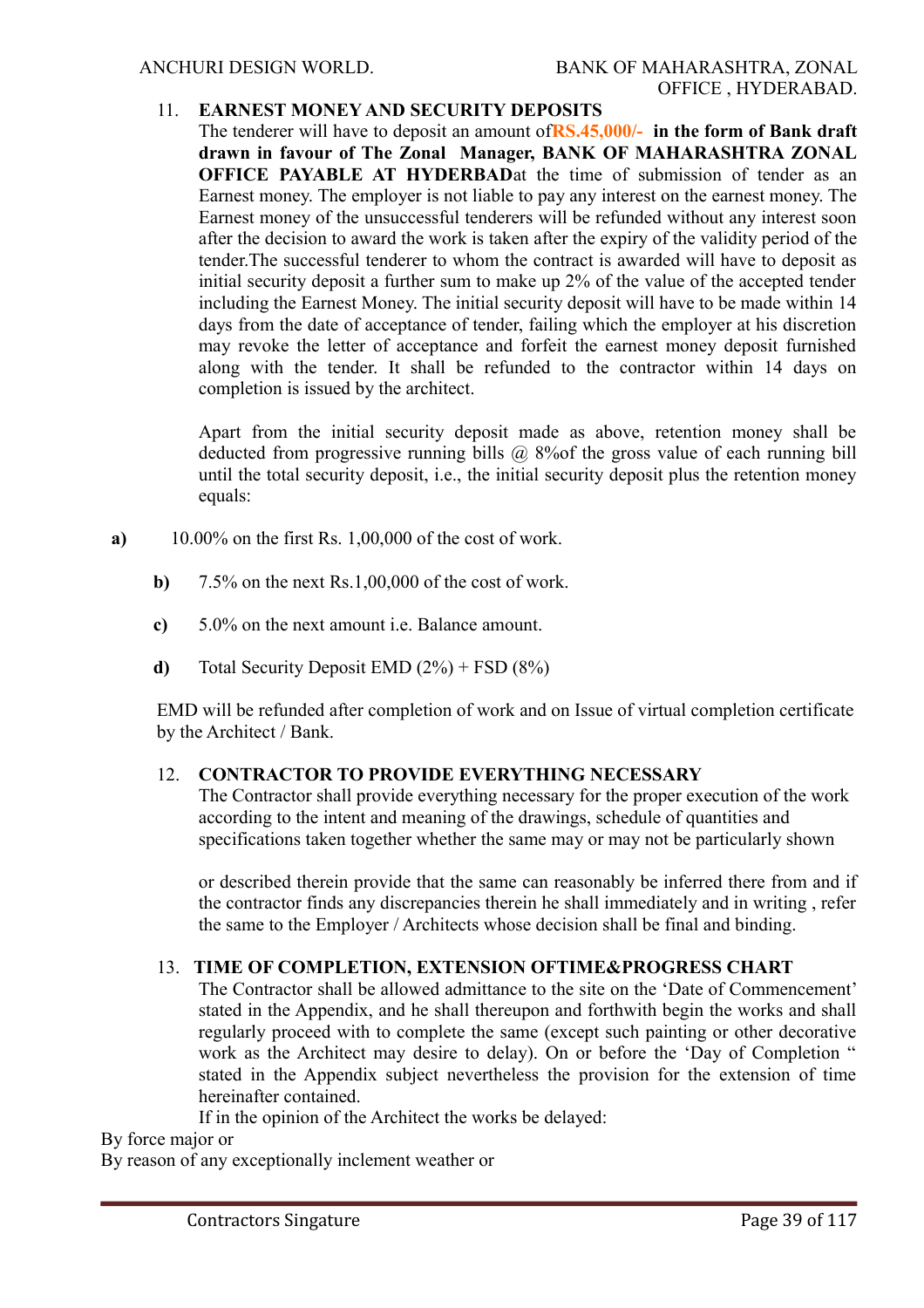# 11. **EARNEST MONEY AND SECURITY DEPOSITS**

The tenderer will have to deposit an amount of**RS.45,000/- in the form of Bank draft drawn in favour of The Zonal Manager, BANK OF MAHARASHTRA ZONAL OFFICE PAYABLE AT HYDERBAD**at the time of submission of tender as an Earnest money. The employer is not liable to pay any interest on the earnest money. The Earnest money of the unsuccessful tenderers will be refunded without any interest soon after the decision to award the work is taken after the expiry of the validity period of the tender.The successful tenderer to whom the contract is awarded will have to deposit as initial security deposit a further sum to make up 2% of the value of the accepted tender including the Earnest Money. The initial security deposit will have to be made within 14 days from the date of acceptance of tender, failing which the employer at his discretion may revoke the letter of acceptance and forfeit the earnest money deposit furnished along with the tender. It shall be refunded to the contractor within 14 days on completion is issued by the architect.

Apart from the initial security deposit made as above, retention money shall be deducted from progressive running bills @ 8% of the gross value of each running bill until the total security deposit, i.e., the initial security deposit plus the retention money equals:

- **a)** 10.00% on the first Rs. 1,00,000 of the cost of work.
	- **b)** 7.5% on the next Rs.1,00,000 of the cost of work.
	- **c)** 5.0% on the next amount i.e. Balance amount.
	- **d)** Total Security Deposit EMD (2%) + FSD (8%)

EMD will be refunded after completion of work and on Issue of virtual completion certificate by the Architect / Bank.

# 12. **CONTRACTOR TO PROVIDE EVERYTHING NECESSARY**

The Contractor shall provide everything necessary for the proper execution of the work according to the intent and meaning of the drawings, schedule of quantities and specifications taken together whether the same may or may not be particularly shown

or described therein provide that the same can reasonably be inferred there from and if the contractor finds any discrepancies therein he shall immediately and in writing , refer the same to the Employer / Architects whose decision shall be final and binding.

# 13. **TIME OF COMPLETION, EXTENSION OFTIME&PROGRESS CHART**

The Contractor shall be allowed admittance to the site on the 'Date of Commencement' stated in the Appendix, and he shall thereupon and forthwith begin the works and shall regularly proceed with to complete the same (except such painting or other decorative work as the Architect may desire to delay). On or before the 'Day of Completion " stated in the Appendix subject nevertheless the provision for the extension of time hereinafter contained.

If in the opinion of the Architect the works be delayed:

By force major or

By reason of any exceptionally inclement weather or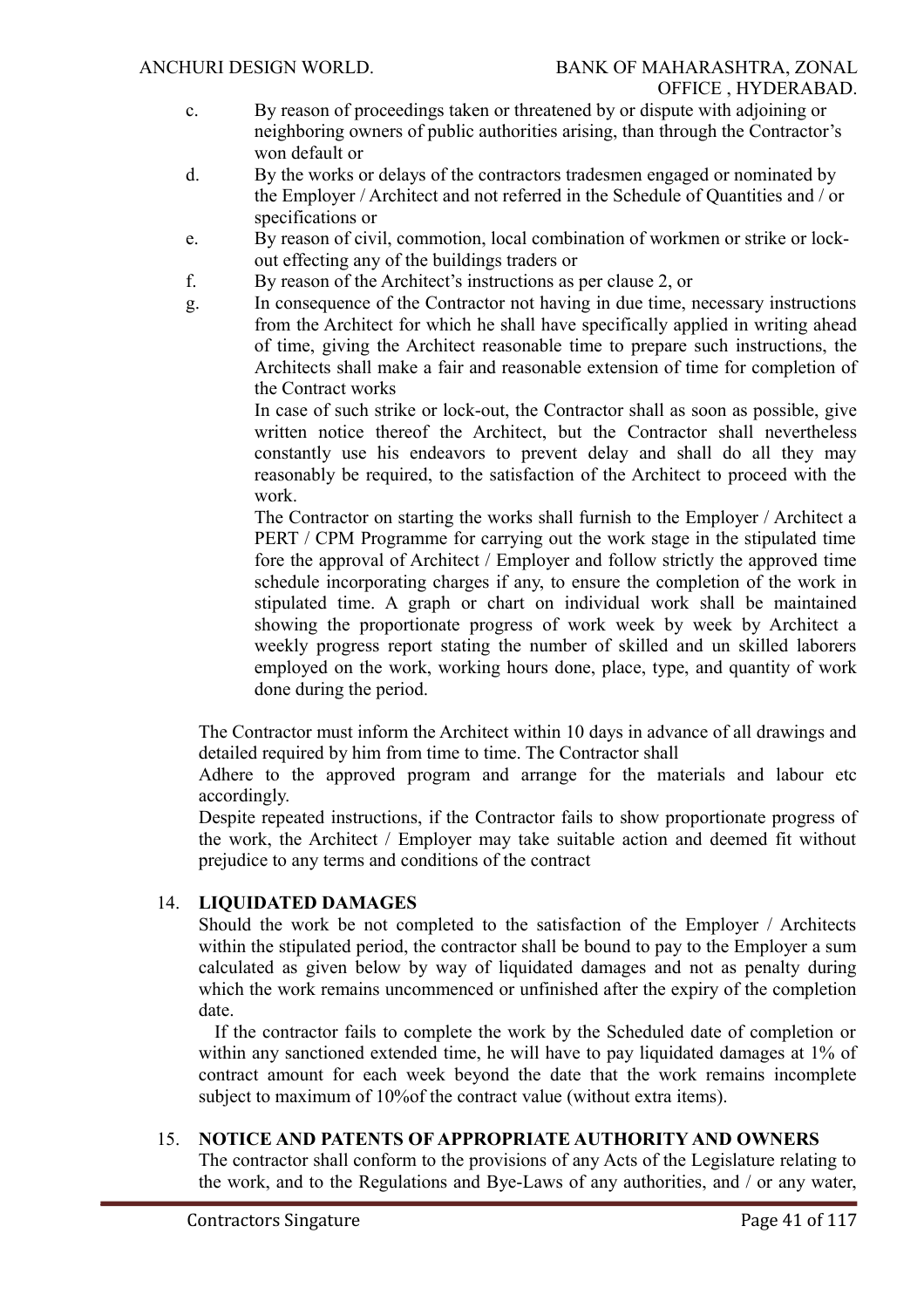- c. By reason of proceedings taken or threatened by or dispute with adjoining or neighboring owners of public authorities arising, than through the Contractor's won default or
- d. By the works or delays of the contractors tradesmen engaged or nominated by the Employer / Architect and not referred in the Schedule of Quantities and / or specifications or
- e. By reason of civil, commotion, local combination of workmen or strike or lockout effecting any of the buildings traders or
- f. By reason of the Architect's instructions as per clause 2, or
- g. In consequence of the Contractor not having in due time, necessary instructions from the Architect for which he shall have specifically applied in writing ahead of time, giving the Architect reasonable time to prepare such instructions, the Architects shall make a fair and reasonable extension of time for completion of the Contract works

In case of such strike or lock-out, the Contractor shall as soon as possible, give written notice thereof the Architect, but the Contractor shall nevertheless constantly use his endeavors to prevent delay and shall do all they may reasonably be required, to the satisfaction of the Architect to proceed with the work.

The Contractor on starting the works shall furnish to the Employer / Architect a PERT / CPM Programme for carrying out the work stage in the stipulated time fore the approval of Architect / Employer and follow strictly the approved time schedule incorporating charges if any, to ensure the completion of the work in stipulated time. A graph or chart on individual work shall be maintained showing the proportionate progress of work week by week by Architect a weekly progress report stating the number of skilled and un skilled laborers employed on the work, working hours done, place, type, and quantity of work done during the period.

The Contractor must inform the Architect within 10 days in advance of all drawings and detailed required by him from time to time. The Contractor shall

Adhere to the approved program and arrange for the materials and labour etc accordingly.

Despite repeated instructions, if the Contractor fails to show proportionate progress of the work, the Architect / Employer may take suitable action and deemed fit without prejudice to any terms and conditions of the contract

#### 14. **LIQUIDATED DAMAGES**

Should the work be not completed to the satisfaction of the Employer / Architects within the stipulated period, the contractor shall be bound to pay to the Employer a sum calculated as given below by way of liquidated damages and not as penalty during which the work remains uncommenced or unfinished after the expiry of the completion date.

 If the contractor fails to complete the work by the Scheduled date of completion or within any sanctioned extended time, he will have to pay liquidated damages at 1% of contract amount for each week beyond the date that the work remains incomplete subject to maximum of 10%of the contract value (without extra items).

# 15. **NOTICE AND PATENTS OF APPROPRIATE AUTHORITY AND OWNERS**

The contractor shall conform to the provisions of any Acts of the Legislature relating to the work, and to the Regulations and Bye-Laws of any authorities, and / or any water,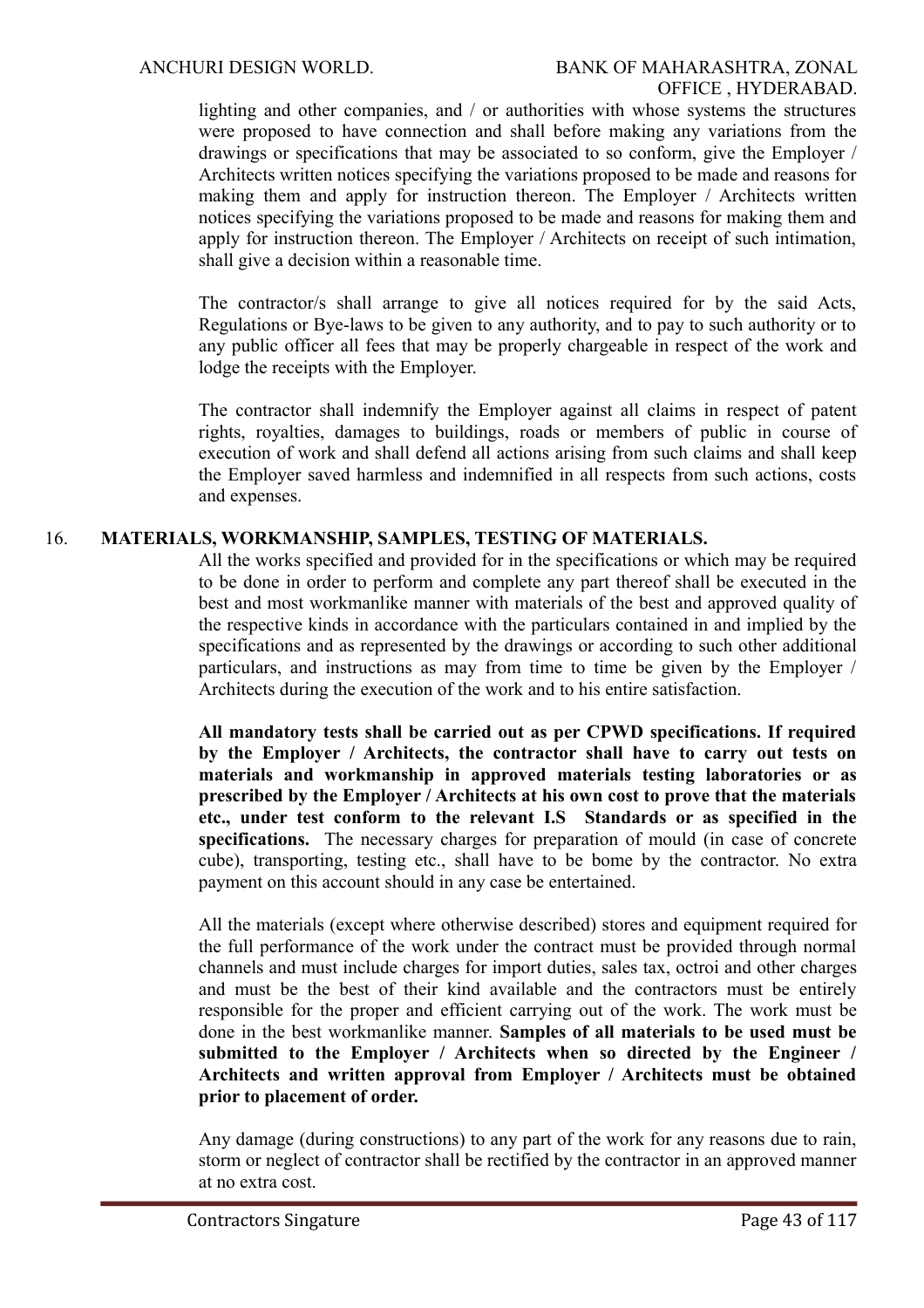lighting and other companies, and / or authorities with whose systems the structures were proposed to have connection and shall before making any variations from the drawings or specifications that may be associated to so conform, give the Employer / Architects written notices specifying the variations proposed to be made and reasons for making them and apply for instruction thereon. The Employer / Architects written notices specifying the variations proposed to be made and reasons for making them and apply for instruction thereon. The Employer / Architects on receipt of such intimation, shall give a decision within a reasonable time.

The contractor/s shall arrange to give all notices required for by the said Acts, Regulations or Bye-laws to be given to any authority, and to pay to such authority or to any public officer all fees that may be properly chargeable in respect of the work and lodge the receipts with the Employer.

The contractor shall indemnify the Employer against all claims in respect of patent rights, royalties, damages to buildings, roads or members of public in course of execution of work and shall defend all actions arising from such claims and shall keep the Employer saved harmless and indemnified in all respects from such actions, costs and expenses.

# 16. **MATERIALS, WORKMANSHIP, SAMPLES, TESTING OF MATERIALS.**

All the works specified and provided for in the specifications or which may be required to be done in order to perform and complete any part thereof shall be executed in the best and most workmanlike manner with materials of the best and approved quality of the respective kinds in accordance with the particulars contained in and implied by the specifications and as represented by the drawings or according to such other additional particulars, and instructions as may from time to time be given by the Employer / Architects during the execution of the work and to his entire satisfaction.

**All mandatory tests shall be carried out as per CPWD specifications. If required by the Employer / Architects, the contractor shall have to carry out tests on materials and workmanship in approved materials testing laboratories or as prescribed by the Employer / Architects at his own cost to prove that the materials etc., under test conform to the relevant I.S Standards or as specified in the specifications.** The necessary charges for preparation of mould (in case of concrete cube), transporting, testing etc., shall have to be bome by the contractor. No extra payment on this account should in any case be entertained.

All the materials (except where otherwise described) stores and equipment required for the full performance of the work under the contract must be provided through normal channels and must include charges for import duties, sales tax, octroi and other charges and must be the best of their kind available and the contractors must be entirely responsible for the proper and efficient carrying out of the work. The work must be done in the best workmanlike manner. **Samples of all materials to be used must be submitted to the Employer / Architects when so directed by the Engineer / Architects and written approval from Employer / Architects must be obtained prior to placement of order.**

Any damage (during constructions) to any part of the work for any reasons due to rain, storm or neglect of contractor shall be rectified by the contractor in an approved manner at no extra cost.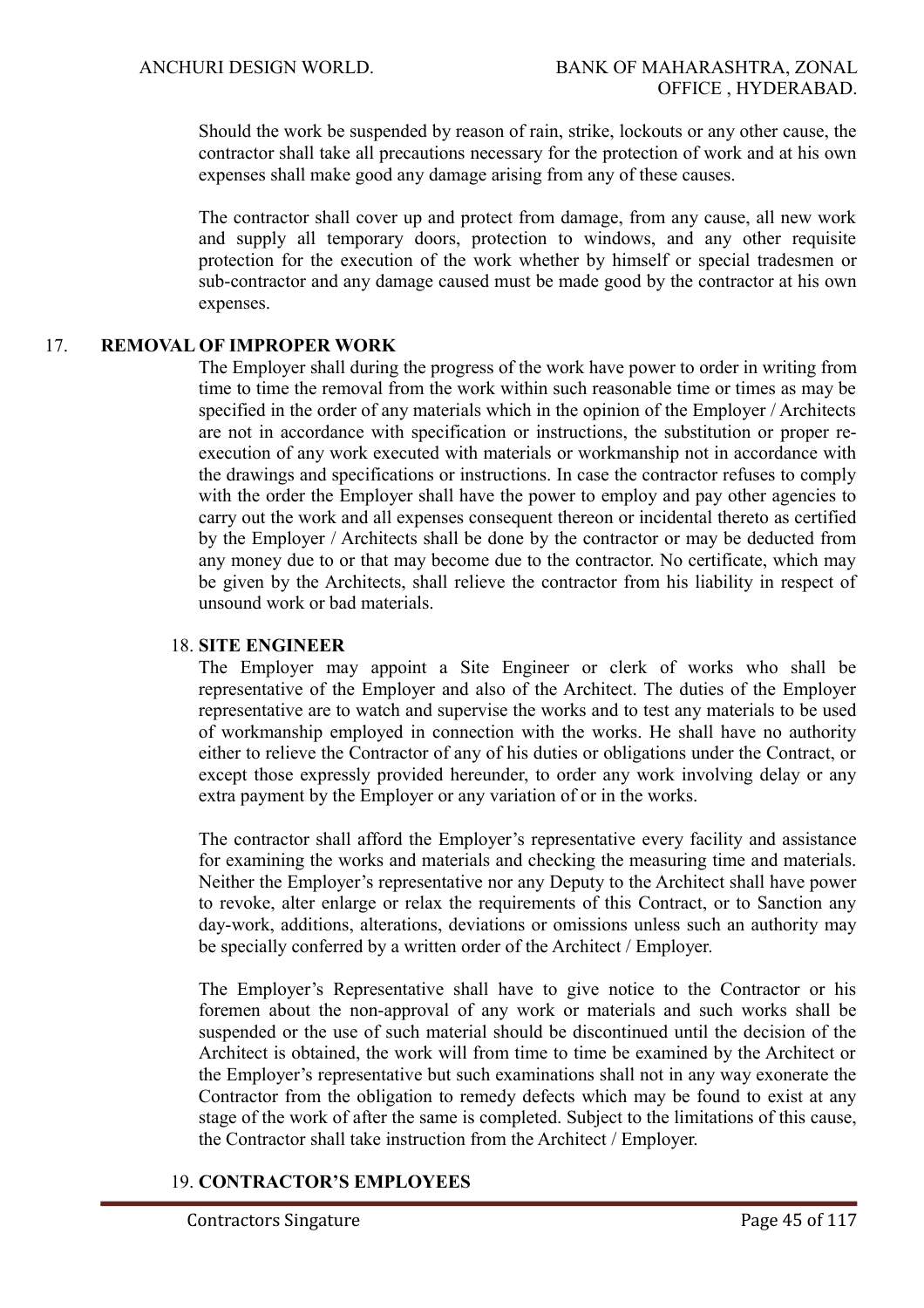Should the work be suspended by reason of rain, strike, lockouts or any other cause, the contractor shall take all precautions necessary for the protection of work and at his own expenses shall make good any damage arising from any of these causes.

The contractor shall cover up and protect from damage, from any cause, all new work and supply all temporary doors, protection to windows, and any other requisite protection for the execution of the work whether by himself or special tradesmen or sub-contractor and any damage caused must be made good by the contractor at his own expenses.

# 17. **REMOVAL OF IMPROPER WORK**

The Employer shall during the progress of the work have power to order in writing from time to time the removal from the work within such reasonable time or times as may be specified in the order of any materials which in the opinion of the Employer / Architects are not in accordance with specification or instructions, the substitution or proper reexecution of any work executed with materials or workmanship not in accordance with the drawings and specifications or instructions. In case the contractor refuses to comply with the order the Employer shall have the power to employ and pay other agencies to carry out the work and all expenses consequent thereon or incidental thereto as certified by the Employer / Architects shall be done by the contractor or may be deducted from any money due to or that may become due to the contractor. No certificate, which may be given by the Architects, shall relieve the contractor from his liability in respect of unsound work or bad materials.

#### 18. **SITE ENGINEER**

The Employer may appoint a Site Engineer or clerk of works who shall be representative of the Employer and also of the Architect. The duties of the Employer representative are to watch and supervise the works and to test any materials to be used of workmanship employed in connection with the works. He shall have no authority either to relieve the Contractor of any of his duties or obligations under the Contract, or except those expressly provided hereunder, to order any work involving delay or any extra payment by the Employer or any variation of or in the works.

The contractor shall afford the Employer's representative every facility and assistance for examining the works and materials and checking the measuring time and materials. Neither the Employer's representative nor any Deputy to the Architect shall have power to revoke, alter enlarge or relax the requirements of this Contract, or to Sanction any day-work, additions, alterations, deviations or omissions unless such an authority may be specially conferred by a written order of the Architect / Employer.

The Employer's Representative shall have to give notice to the Contractor or his foremen about the non-approval of any work or materials and such works shall be suspended or the use of such material should be discontinued until the decision of the Architect is obtained, the work will from time to time be examined by the Architect or the Employer's representative but such examinations shall not in any way exonerate the Contractor from the obligation to remedy defects which may be found to exist at any stage of the work of after the same is completed. Subject to the limitations of this cause, the Contractor shall take instruction from the Architect / Employer.

# 19. **CONTRACTOR'S EMPLOYEES**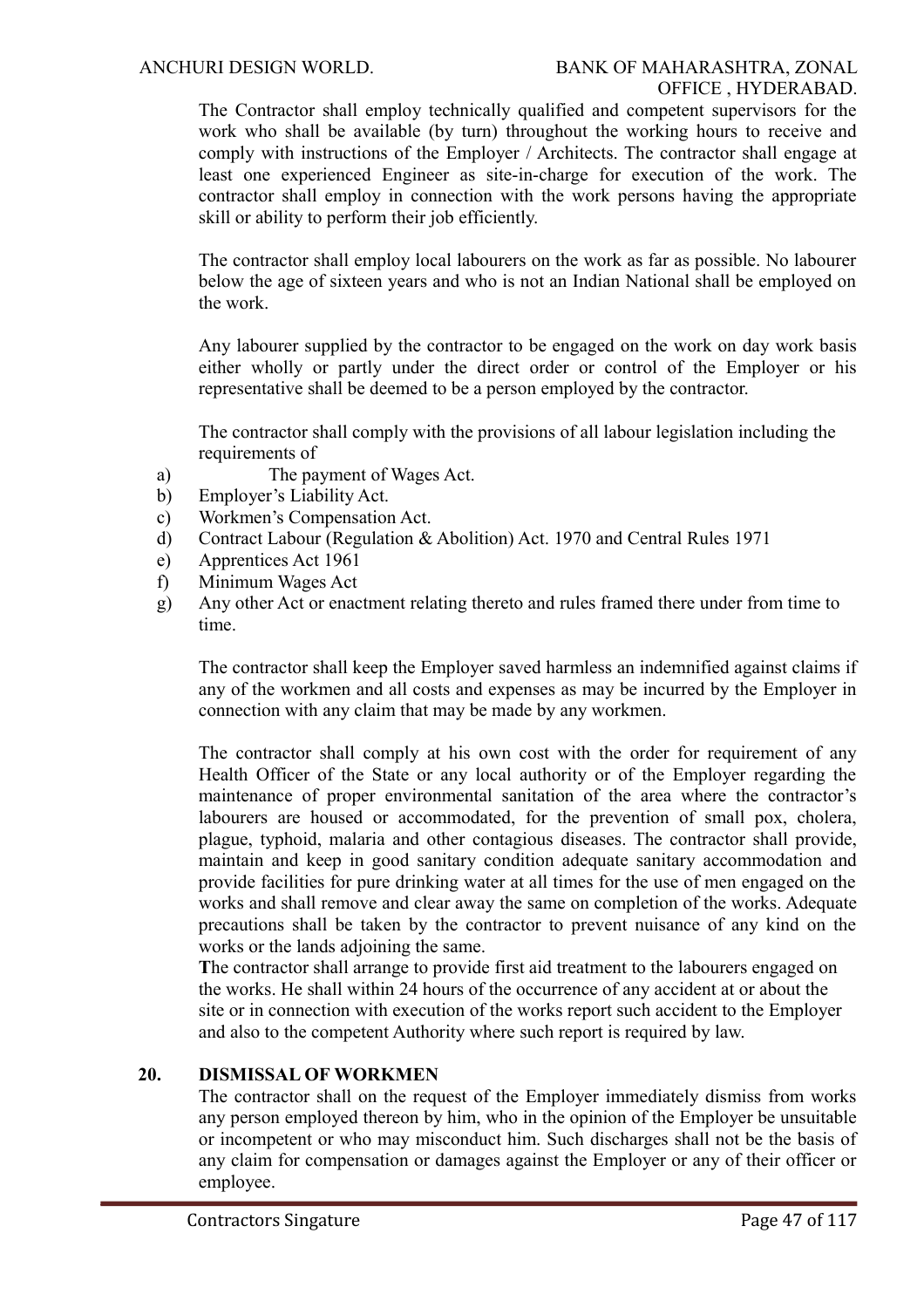The Contractor shall employ technically qualified and competent supervisors for the work who shall be available (by turn) throughout the working hours to receive and comply with instructions of the Employer / Architects. The contractor shall engage at least one experienced Engineer as site-in-charge for execution of the work. The contractor shall employ in connection with the work persons having the appropriate skill or ability to perform their job efficiently.

The contractor shall employ local labourers on the work as far as possible. No labourer below the age of sixteen years and who is not an Indian National shall be employed on the work.

Any labourer supplied by the contractor to be engaged on the work on day work basis either wholly or partly under the direct order or control of the Employer or his representative shall be deemed to be a person employed by the contractor.

The contractor shall comply with the provisions of all labour legislation including the requirements of

- a) The payment of Wages Act.
- b) Employer's Liability Act.
- c) Workmen's Compensation Act.
- d) Contract Labour (Regulation & Abolition) Act. 1970 and Central Rules 1971
- e) Apprentices Act 1961
- f) Minimum Wages Act
- g) Any other Act or enactment relating thereto and rules framed there under from time to time.

The contractor shall keep the Employer saved harmless an indemnified against claims if any of the workmen and all costs and expenses as may be incurred by the Employer in connection with any claim that may be made by any workmen.

The contractor shall comply at his own cost with the order for requirement of any Health Officer of the State or any local authority or of the Employer regarding the maintenance of proper environmental sanitation of the area where the contractor's labourers are housed or accommodated, for the prevention of small pox, cholera, plague, typhoid, malaria and other contagious diseases. The contractor shall provide, maintain and keep in good sanitary condition adequate sanitary accommodation and provide facilities for pure drinking water at all times for the use of men engaged on the works and shall remove and clear away the same on completion of the works. Adequate precautions shall be taken by the contractor to prevent nuisance of any kind on the works or the lands adjoining the same.

**T**he contractor shall arrange to provide first aid treatment to the labourers engaged on the works. He shall within 24 hours of the occurrence of any accident at or about the site or in connection with execution of the works report such accident to the Employer and also to the competent Authority where such report is required by law.

# **20. DISMISSAL OF WORKMEN**

The contractor shall on the request of the Employer immediately dismiss from works any person employed thereon by him, who in the opinion of the Employer be unsuitable or incompetent or who may misconduct him. Such discharges shall not be the basis of any claim for compensation or damages against the Employer or any of their officer or employee.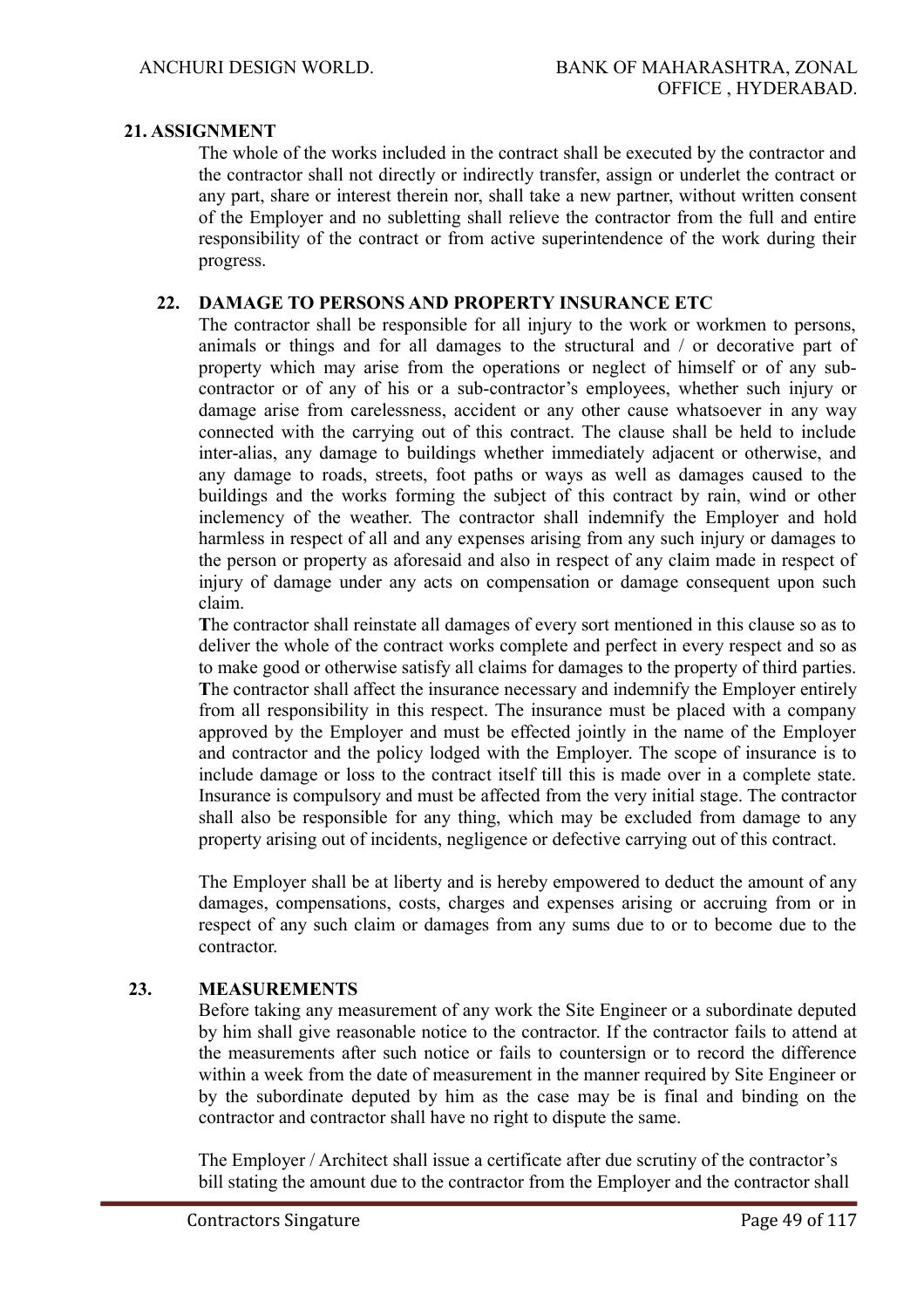# **21. ASSIGNMENT**

The whole of the works included in the contract shall be executed by the contractor and the contractor shall not directly or indirectly transfer, assign or underlet the contract or any part, share or interest therein nor, shall take a new partner, without written consent of the Employer and no subletting shall relieve the contractor from the full and entire responsibility of the contract or from active superintendence of the work during their progress.

#### **22. DAMAGE TO PERSONS AND PROPERTY INSURANCE ETC**

The contractor shall be responsible for all injury to the work or workmen to persons, animals or things and for all damages to the structural and / or decorative part of property which may arise from the operations or neglect of himself or of any subcontractor or of any of his or a sub-contractor's employees, whether such injury or damage arise from carelessness, accident or any other cause whatsoever in any way connected with the carrying out of this contract. The clause shall be held to include inter-alias, any damage to buildings whether immediately adjacent or otherwise, and any damage to roads, streets, foot paths or ways as well as damages caused to the buildings and the works forming the subject of this contract by rain, wind or other inclemency of the weather. The contractor shall indemnify the Employer and hold harmless in respect of all and any expenses arising from any such injury or damages to the person or property as aforesaid and also in respect of any claim made in respect of injury of damage under any acts on compensation or damage consequent upon such claim.

**T**he contractor shall reinstate all damages of every sort mentioned in this clause so as to deliver the whole of the contract works complete and perfect in every respect and so as to make good or otherwise satisfy all claims for damages to the property of third parties. **T**he contractor shall affect the insurance necessary and indemnify the Employer entirely from all responsibility in this respect. The insurance must be placed with a company approved by the Employer and must be effected jointly in the name of the Employer and contractor and the policy lodged with the Employer. The scope of insurance is to include damage or loss to the contract itself till this is made over in a complete state. Insurance is compulsory and must be affected from the very initial stage. The contractor shall also be responsible for any thing, which may be excluded from damage to any property arising out of incidents, negligence or defective carrying out of this contract.

The Employer shall be at liberty and is hereby empowered to deduct the amount of any damages, compensations, costs, charges and expenses arising or accruing from or in respect of any such claim or damages from any sums due to or to become due to the contractor.

# **23. MEASUREMENTS**

Before taking any measurement of any work the Site Engineer or a subordinate deputed by him shall give reasonable notice to the contractor. If the contractor fails to attend at the measurements after such notice or fails to countersign or to record the difference within a week from the date of measurement in the manner required by Site Engineer or by the subordinate deputed by him as the case may be is final and binding on the contractor and contractor shall have no right to dispute the same.

 The Employer / Architect shall issue a certificate after due scrutiny of the contractor's bill stating the amount due to the contractor from the Employer and the contractor shall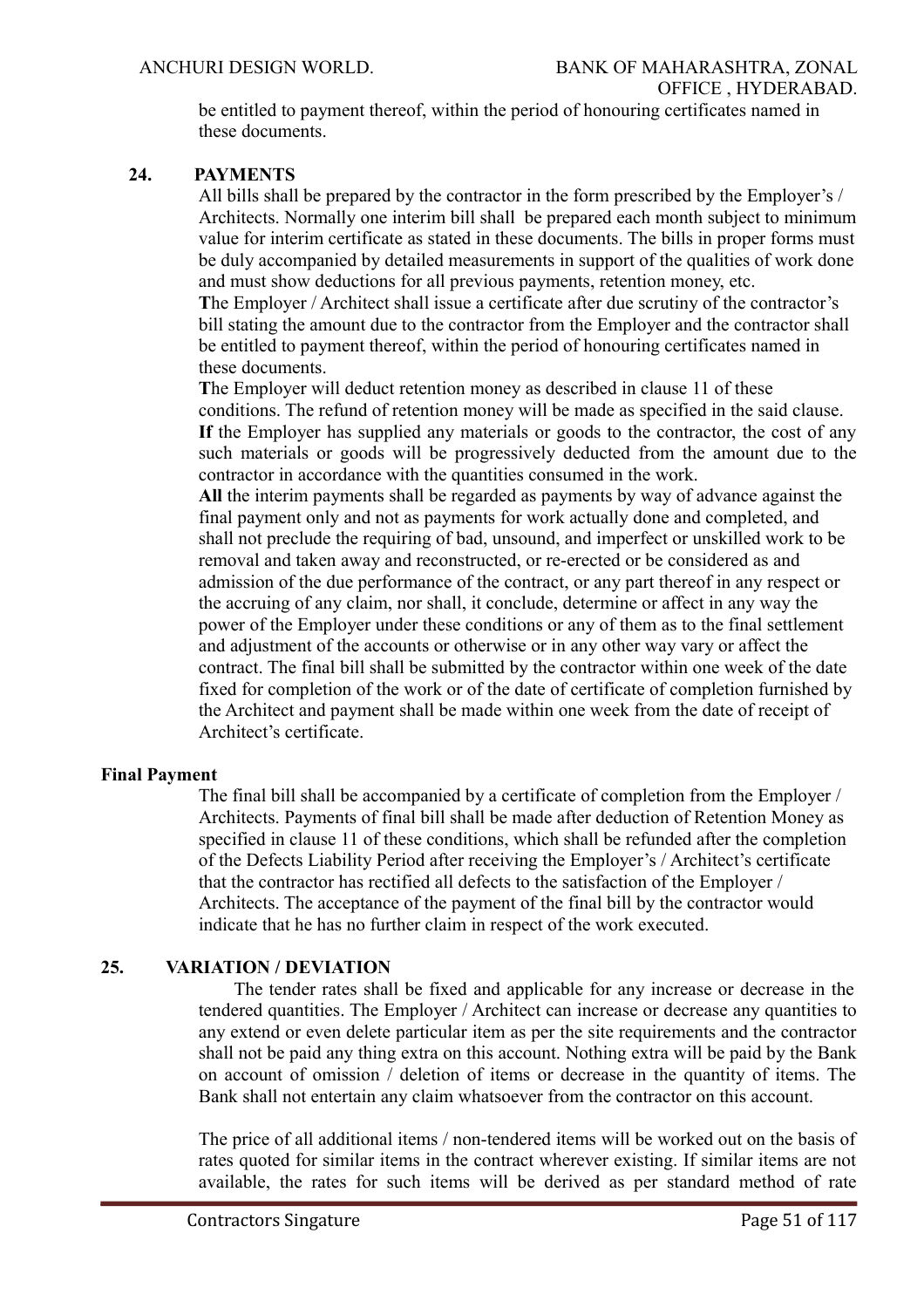be entitled to payment thereof, within the period of honouring certificates named in these documents.

#### **24. PAYMENTS**

All bills shall be prepared by the contractor in the form prescribed by the Employer's / Architects. Normally one interim bill shall be prepared each month subject to minimum value for interim certificate as stated in these documents. The bills in proper forms must be duly accompanied by detailed measurements in support of the qualities of work done and must show deductions for all previous payments, retention money, etc. **T**he Employer / Architect shall issue a certificate after due scrutiny of the contractor's bill stating the amount due to the contractor from the Employer and the contractor shall be entitled to payment thereof, within the period of honouring certificates named in these documents.

**T**he Employer will deduct retention money as described in clause 11 of these conditions. The refund of retention money will be made as specified in the said clause. **If** the Employer has supplied any materials or goods to the contractor, the cost of any such materials or goods will be progressively deducted from the amount due to the contractor in accordance with the quantities consumed in the work.

**All** the interim payments shall be regarded as payments by way of advance against the final payment only and not as payments for work actually done and completed, and shall not preclude the requiring of bad, unsound, and imperfect or unskilled work to be removal and taken away and reconstructed, or re-erected or be considered as and admission of the due performance of the contract, or any part thereof in any respect or the accruing of any claim, nor shall, it conclude, determine or affect in any way the power of the Employer under these conditions or any of them as to the final settlement and adjustment of the accounts or otherwise or in any other way vary or affect the contract. The final bill shall be submitted by the contractor within one week of the date fixed for completion of the work or of the date of certificate of completion furnished by the Architect and payment shall be made within one week from the date of receipt of Architect's certificate.

#### **Final Payment**

The final bill shall be accompanied by a certificate of completion from the Employer / Architects. Payments of final bill shall be made after deduction of Retention Money as specified in clause 11 of these conditions, which shall be refunded after the completion of the Defects Liability Period after receiving the Employer's / Architect's certificate that the contractor has rectified all defects to the satisfaction of the Employer / Architects. The acceptance of the payment of the final bill by the contractor would indicate that he has no further claim in respect of the work executed.

# **25. VARIATION / DEVIATION**

 The tender rates shall be fixed and applicable for any increase or decrease in the tendered quantities. The Employer / Architect can increase or decrease any quantities to any extend or even delete particular item as per the site requirements and the contractor shall not be paid any thing extra on this account. Nothing extra will be paid by the Bank on account of omission / deletion of items or decrease in the quantity of items. The Bank shall not entertain any claim whatsoever from the contractor on this account.

The price of all additional items / non-tendered items will be worked out on the basis of rates quoted for similar items in the contract wherever existing. If similar items are not available, the rates for such items will be derived as per standard method of rate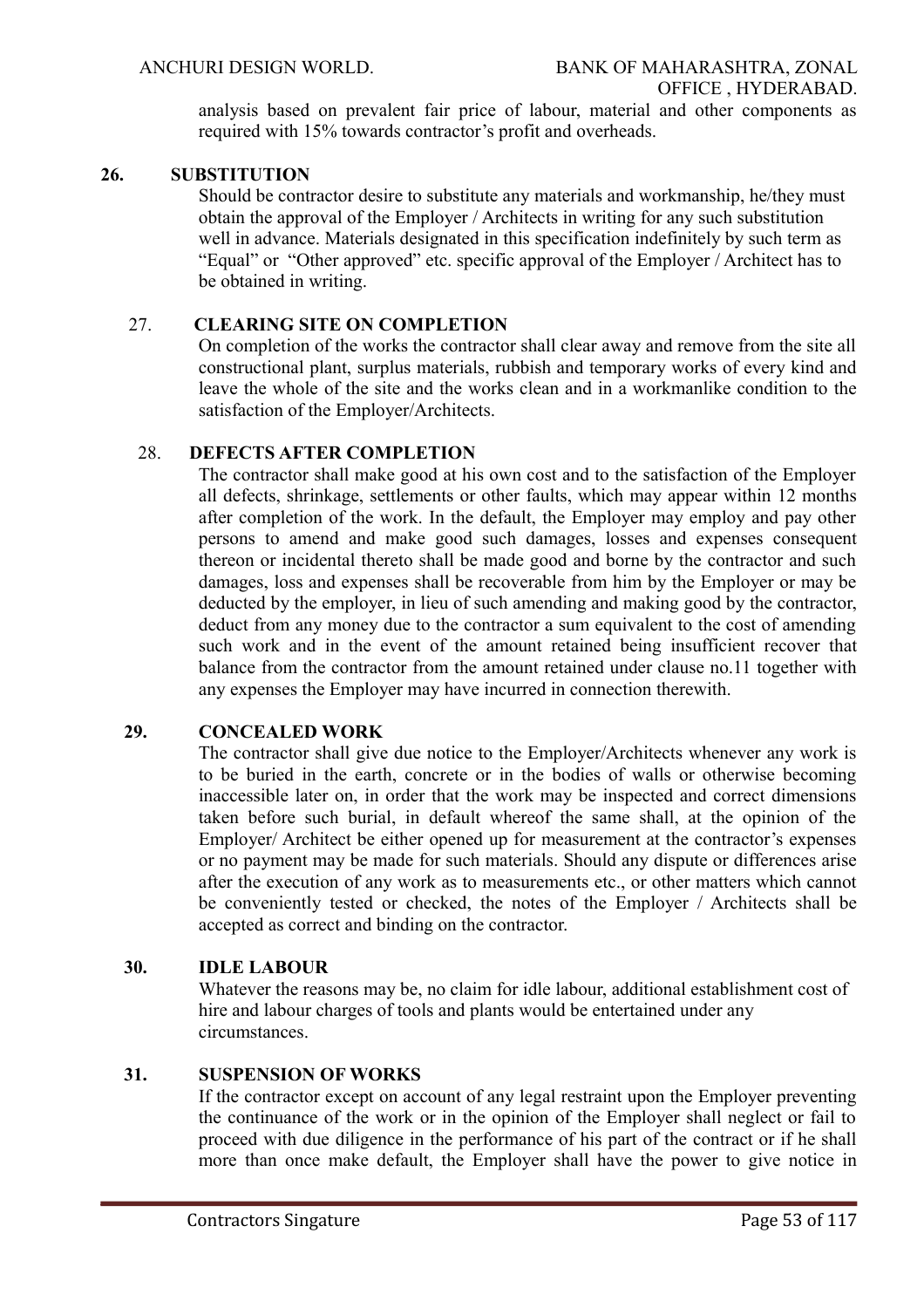analysis based on prevalent fair price of labour, material and other components as required with 15% towards contractor's profit and overheads.

#### **26. SUBSTITUTION**

 Should be contractor desire to substitute any materials and workmanship, he/they must obtain the approval of the Employer / Architects in writing for any such substitution well in advance. Materials designated in this specification indefinitely by such term as "Equal" or "Other approved" etc. specific approval of the Employer / Architect has to be obtained in writing.

#### 27. **CLEARING SITE ON COMPLETION**

On completion of the works the contractor shall clear away and remove from the site all constructional plant, surplus materials, rubbish and temporary works of every kind and leave the whole of the site and the works clean and in a workmanlike condition to the satisfaction of the Employer/Architects.

#### 28. **DEFECTS AFTER COMPLETION**

The contractor shall make good at his own cost and to the satisfaction of the Employer all defects, shrinkage, settlements or other faults, which may appear within 12 months after completion of the work. In the default, the Employer may employ and pay other persons to amend and make good such damages, losses and expenses consequent thereon or incidental thereto shall be made good and borne by the contractor and such damages, loss and expenses shall be recoverable from him by the Employer or may be deducted by the employer, in lieu of such amending and making good by the contractor, deduct from any money due to the contractor a sum equivalent to the cost of amending such work and in the event of the amount retained being insufficient recover that balance from the contractor from the amount retained under clause no.11 together with any expenses the Employer may have incurred in connection therewith.

# **29. CONCEALED WORK**

The contractor shall give due notice to the Employer/Architects whenever any work is to be buried in the earth, concrete or in the bodies of walls or otherwise becoming inaccessible later on, in order that the work may be inspected and correct dimensions taken before such burial, in default whereof the same shall, at the opinion of the Employer/ Architect be either opened up for measurement at the contractor's expenses or no payment may be made for such materials. Should any dispute or differences arise after the execution of any work as to measurements etc., or other matters which cannot be conveniently tested or checked, the notes of the Employer / Architects shall be accepted as correct and binding on the contractor.

#### **30. IDLE LABOUR**

Whatever the reasons may be, no claim for idle labour, additional establishment cost of hire and labour charges of tools and plants would be entertained under any circumstances.

#### **31. SUSPENSION OF WORKS**

If the contractor except on account of any legal restraint upon the Employer preventing the continuance of the work or in the opinion of the Employer shall neglect or fail to proceed with due diligence in the performance of his part of the contract or if he shall more than once make default, the Employer shall have the power to give notice in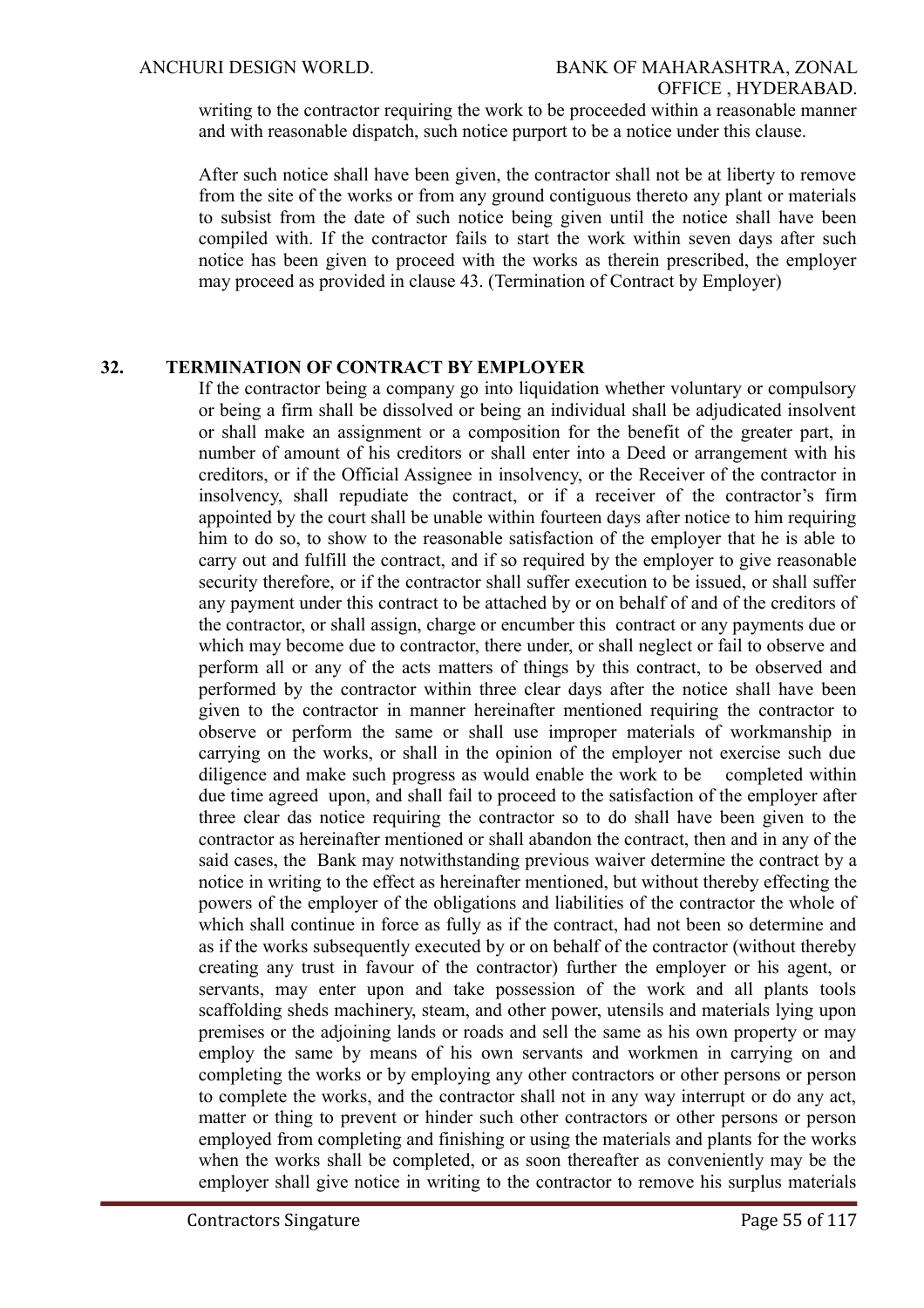writing to the contractor requiring the work to be proceeded within a reasonable manner and with reasonable dispatch, such notice purport to be a notice under this clause.

After such notice shall have been given, the contractor shall not be at liberty to remove from the site of the works or from any ground contiguous thereto any plant or materials to subsist from the date of such notice being given until the notice shall have been compiled with. If the contractor fails to start the work within seven days after such notice has been given to proceed with the works as therein prescribed, the employer may proceed as provided in clause 43. (Termination of Contract by Employer)

# **32. TERMINATION OF CONTRACT BY EMPLOYER**

If the contractor being a company go into liquidation whether voluntary or compulsory or being a firm shall be dissolved or being an individual shall be adjudicated insolvent or shall make an assignment or a composition for the benefit of the greater part, in number of amount of his creditors or shall enter into a Deed or arrangement with his creditors, or if the Official Assignee in insolvency, or the Receiver of the contractor in insolvency, shall repudiate the contract, or if a receiver of the contractor's firm appointed by the court shall be unable within fourteen days after notice to him requiring him to do so, to show to the reasonable satisfaction of the employer that he is able to carry out and fulfill the contract, and if so required by the employer to give reasonable security therefore, or if the contractor shall suffer execution to be issued, or shall suffer any payment under this contract to be attached by or on behalf of and of the creditors of the contractor, or shall assign, charge or encumber this contract or any payments due or which may become due to contractor, there under, or shall neglect or fail to observe and perform all or any of the acts matters of things by this contract, to be observed and performed by the contractor within three clear days after the notice shall have been given to the contractor in manner hereinafter mentioned requiring the contractor to observe or perform the same or shall use improper materials of workmanship in carrying on the works, or shall in the opinion of the employer not exercise such due diligence and make such progress as would enable the work to be completed within due time agreed upon, and shall fail to proceed to the satisfaction of the employer after three clear das notice requiring the contractor so to do shall have been given to the contractor as hereinafter mentioned or shall abandon the contract, then and in any of the said cases, the Bank may notwithstanding previous waiver determine the contract by a notice in writing to the effect as hereinafter mentioned, but without thereby effecting the powers of the employer of the obligations and liabilities of the contractor the whole of which shall continue in force as fully as if the contract, had not been so determine and as if the works subsequently executed by or on behalf of the contractor (without thereby creating any trust in favour of the contractor) further the employer or his agent, or servants, may enter upon and take possession of the work and all plants tools scaffolding sheds machinery, steam, and other power, utensils and materials lying upon premises or the adjoining lands or roads and sell the same as his own property or may employ the same by means of his own servants and workmen in carrying on and completing the works or by employing any other contractors or other persons or person to complete the works, and the contractor shall not in any way interrupt or do any act, matter or thing to prevent or hinder such other contractors or other persons or person employed from completing and finishing or using the materials and plants for the works when the works shall be completed, or as soon thereafter as conveniently may be the employer shall give notice in writing to the contractor to remove his surplus materials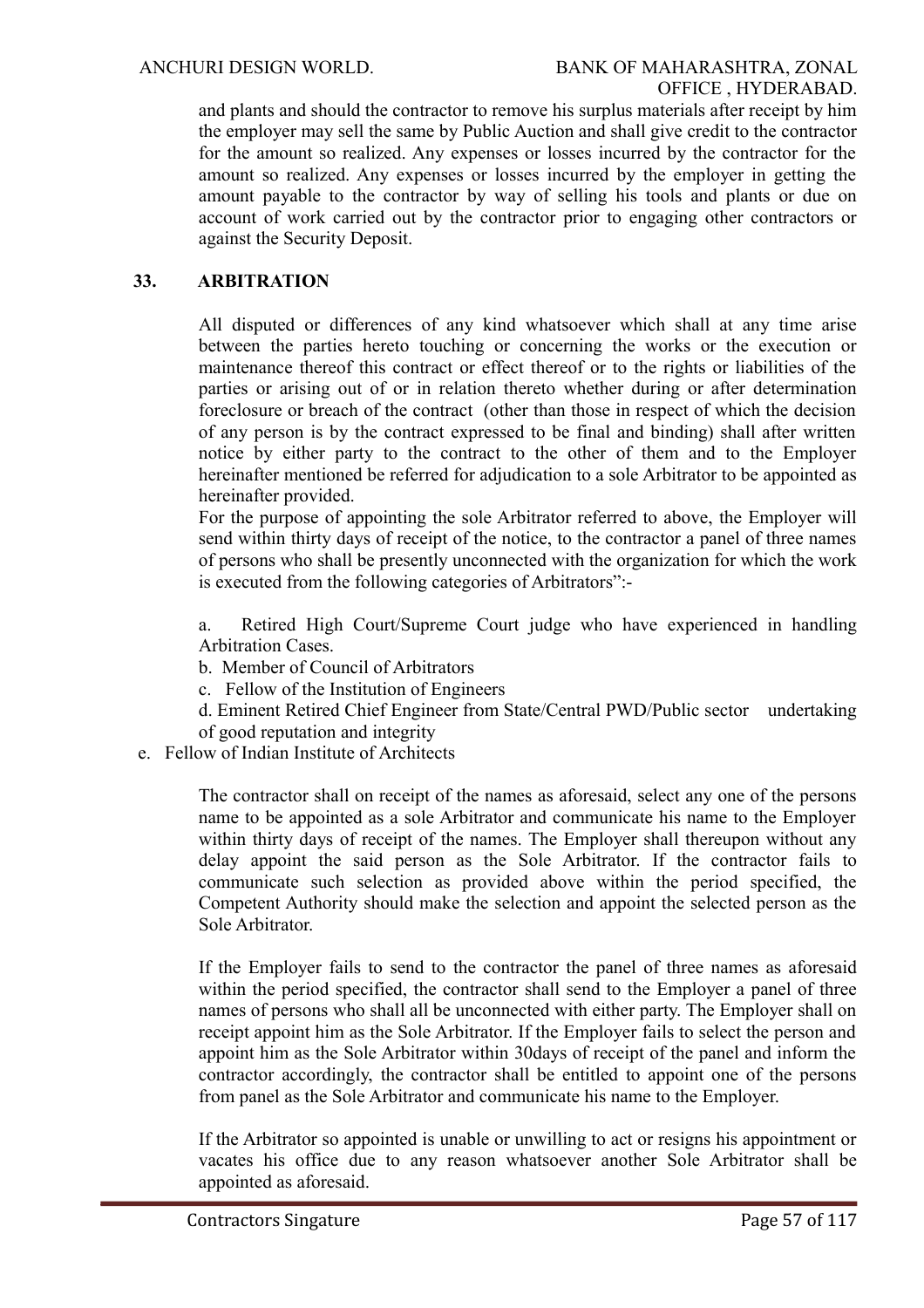and plants and should the contractor to remove his surplus materials after receipt by him the employer may sell the same by Public Auction and shall give credit to the contractor for the amount so realized. Any expenses or losses incurred by the contractor for the amount so realized. Any expenses or losses incurred by the employer in getting the amount payable to the contractor by way of selling his tools and plants or due on account of work carried out by the contractor prior to engaging other contractors or against the Security Deposit.

# **33. ARBITRATION**

All disputed or differences of any kind whatsoever which shall at any time arise between the parties hereto touching or concerning the works or the execution or maintenance thereof this contract or effect thereof or to the rights or liabilities of the parties or arising out of or in relation thereto whether during or after determination foreclosure or breach of the contract (other than those in respect of which the decision of any person is by the contract expressed to be final and binding) shall after written notice by either party to the contract to the other of them and to the Employer hereinafter mentioned be referred for adjudication to a sole Arbitrator to be appointed as hereinafter provided.

For the purpose of appointing the sole Arbitrator referred to above, the Employer will send within thirty days of receipt of the notice, to the contractor a panel of three names of persons who shall be presently unconnected with the organization for which the work is executed from the following categories of Arbitrators":-

a. Retired High Court/Supreme Court judge who have experienced in handling Arbitration Cases.

b. Member of Council of Arbitrators

c. Fellow of the Institution of Engineers

- d. Eminent Retired Chief Engineer from State/Central PWD/Public sector undertaking of good reputation and integrity
- e. Fellow of Indian Institute of Architects

The contractor shall on receipt of the names as aforesaid, select any one of the persons name to be appointed as a sole Arbitrator and communicate his name to the Employer within thirty days of receipt of the names. The Employer shall thereupon without any delay appoint the said person as the Sole Arbitrator. If the contractor fails to communicate such selection as provided above within the period specified, the Competent Authority should make the selection and appoint the selected person as the Sole Arbitrator.

If the Employer fails to send to the contractor the panel of three names as aforesaid within the period specified, the contractor shall send to the Employer a panel of three names of persons who shall all be unconnected with either party. The Employer shall on receipt appoint him as the Sole Arbitrator. If the Employer fails to select the person and appoint him as the Sole Arbitrator within 30days of receipt of the panel and inform the contractor accordingly, the contractor shall be entitled to appoint one of the persons from panel as the Sole Arbitrator and communicate his name to the Employer.

If the Arbitrator so appointed is unable or unwilling to act or resigns his appointment or vacates his office due to any reason whatsoever another Sole Arbitrator shall be appointed as aforesaid.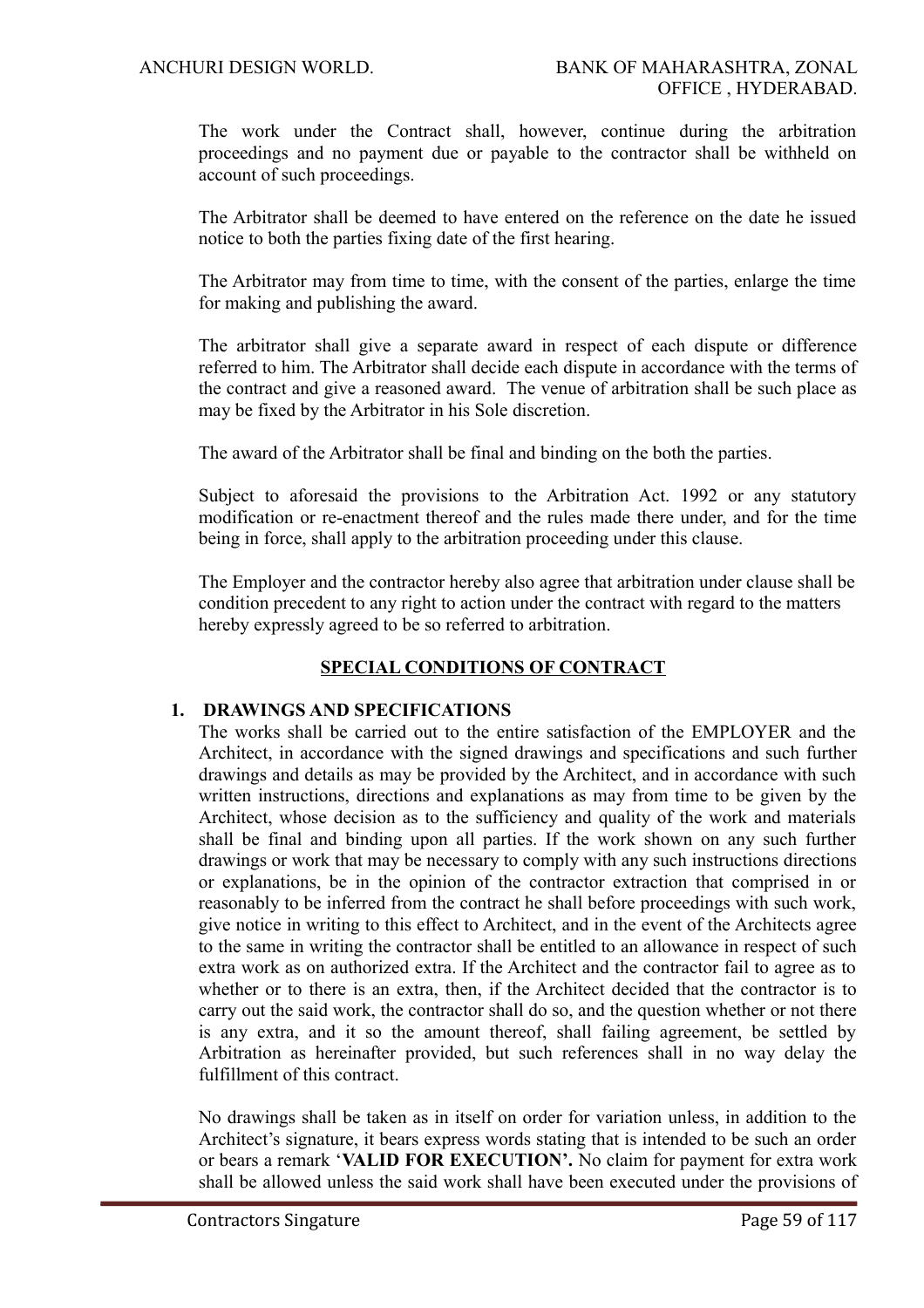The work under the Contract shall, however, continue during the arbitration proceedings and no payment due or payable to the contractor shall be withheld on account of such proceedings.

The Arbitrator shall be deemed to have entered on the reference on the date he issued notice to both the parties fixing date of the first hearing.

The Arbitrator may from time to time, with the consent of the parties, enlarge the time for making and publishing the award.

The arbitrator shall give a separate award in respect of each dispute or difference referred to him. The Arbitrator shall decide each dispute in accordance with the terms of the contract and give a reasoned award. The venue of arbitration shall be such place as may be fixed by the Arbitrator in his Sole discretion.

The award of the Arbitrator shall be final and binding on the both the parties.

Subject to aforesaid the provisions to the Arbitration Act. 1992 or any statutory modification or re-enactment thereof and the rules made there under, and for the time being in force, shall apply to the arbitration proceeding under this clause.

The Employer and the contractor hereby also agree that arbitration under clause shall be condition precedent to any right to action under the contract with regard to the matters hereby expressly agreed to be so referred to arbitration.

# **SPECIAL CONDITIONS OF CONTRACT**

# **1. DRAWINGS AND SPECIFICATIONS**

The works shall be carried out to the entire satisfaction of the EMPLOYER and the Architect, in accordance with the signed drawings and specifications and such further drawings and details as may be provided by the Architect, and in accordance with such written instructions, directions and explanations as may from time to be given by the Architect, whose decision as to the sufficiency and quality of the work and materials shall be final and binding upon all parties. If the work shown on any such further drawings or work that may be necessary to comply with any such instructions directions or explanations, be in the opinion of the contractor extraction that comprised in or reasonably to be inferred from the contract he shall before proceedings with such work, give notice in writing to this effect to Architect, and in the event of the Architects agree to the same in writing the contractor shall be entitled to an allowance in respect of such extra work as on authorized extra. If the Architect and the contractor fail to agree as to whether or to there is an extra, then, if the Architect decided that the contractor is to carry out the said work, the contractor shall do so, and the question whether or not there is any extra, and it so the amount thereof, shall failing agreement, be settled by Arbitration as hereinafter provided, but such references shall in no way delay the fulfillment of this contract.

No drawings shall be taken as in itself on order for variation unless, in addition to the Architect's signature, it bears express words stating that is intended to be such an order or bears a remark '**VALID FOR EXECUTION'.** No claim for payment for extra work shall be allowed unless the said work shall have been executed under the provisions of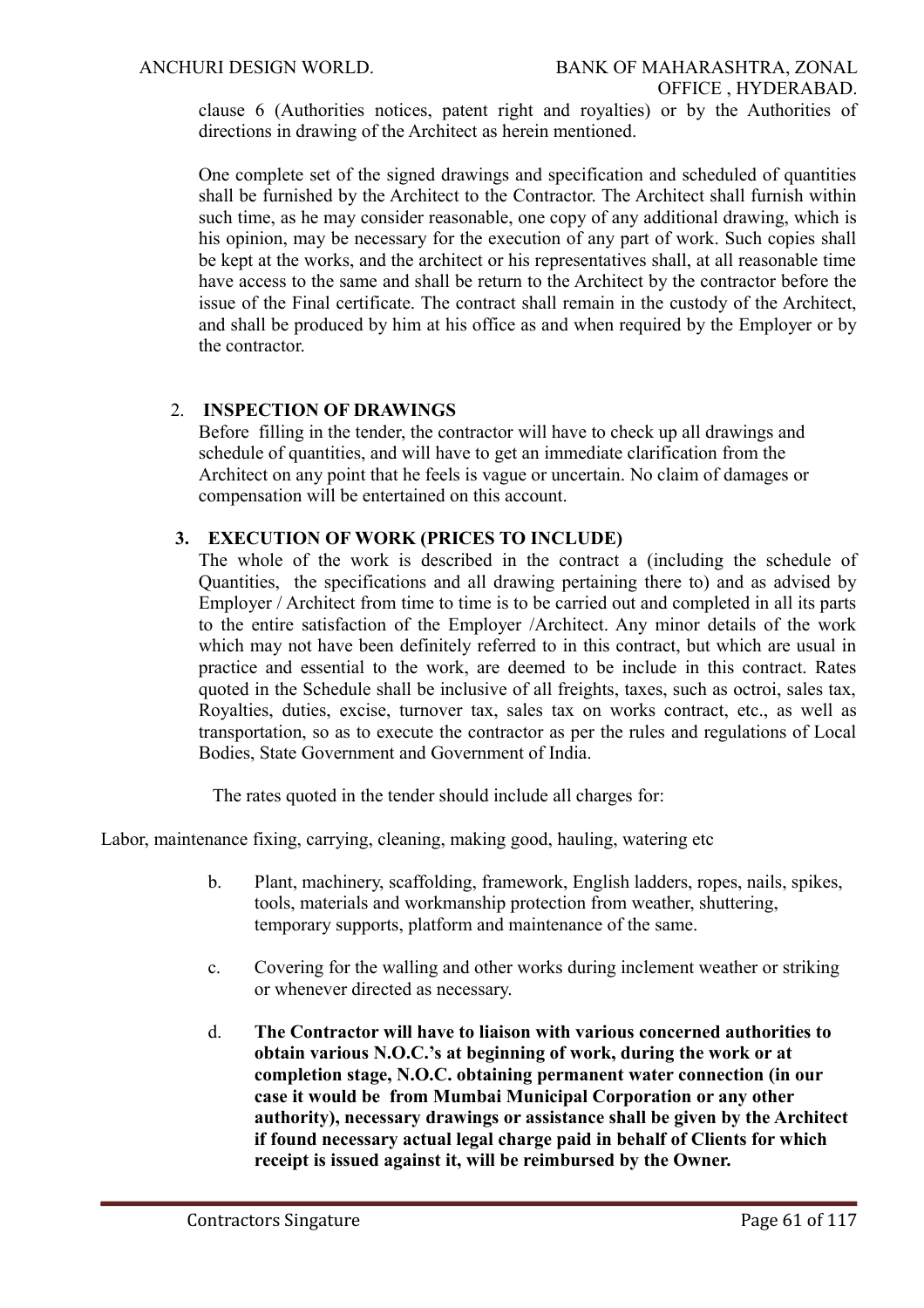clause 6 (Authorities notices, patent right and royalties) or by the Authorities of directions in drawing of the Architect as herein mentioned.

One complete set of the signed drawings and specification and scheduled of quantities shall be furnished by the Architect to the Contractor. The Architect shall furnish within such time, as he may consider reasonable, one copy of any additional drawing, which is his opinion, may be necessary for the execution of any part of work. Such copies shall be kept at the works, and the architect or his representatives shall, at all reasonable time have access to the same and shall be return to the Architect by the contractor before the issue of the Final certificate. The contract shall remain in the custody of the Architect, and shall be produced by him at his office as and when required by the Employer or by the contractor.

# 2. **INSPECTION OF DRAWINGS**

Before filling in the tender, the contractor will have to check up all drawings and schedule of quantities, and will have to get an immediate clarification from the Architect on any point that he feels is vague or uncertain. No claim of damages or compensation will be entertained on this account.

#### **3. EXECUTION OF WORK (PRICES TO INCLUDE)**

The whole of the work is described in the contract a (including the schedule of Quantities, the specifications and all drawing pertaining there to) and as advised by Employer / Architect from time to time is to be carried out and completed in all its parts to the entire satisfaction of the Employer /Architect. Any minor details of the work which may not have been definitely referred to in this contract, but which are usual in practice and essential to the work, are deemed to be include in this contract. Rates quoted in the Schedule shall be inclusive of all freights, taxes, such as octroi, sales tax, Royalties, duties, excise, turnover tax, sales tax on works contract, etc., as well as transportation, so as to execute the contractor as per the rules and regulations of Local Bodies, State Government and Government of India.

The rates quoted in the tender should include all charges for:

Labor, maintenance fixing, carrying, cleaning, making good, hauling, watering etc

- b. Plant, machinery, scaffolding, framework, English ladders, ropes, nails, spikes, tools, materials and workmanship protection from weather, shuttering, temporary supports, platform and maintenance of the same.
- c. Covering for the walling and other works during inclement weather or striking or whenever directed as necessary.
- d. **The Contractor will have to liaison with various concerned authorities to obtain various N.O.C.'s at beginning of work, during the work or at completion stage, N.O.C. obtaining permanent water connection (in our case it would be from Mumbai Municipal Corporation or any other authority), necessary drawings or assistance shall be given by the Architect if found necessary actual legal charge paid in behalf of Clients for which receipt is issued against it, will be reimbursed by the Owner.**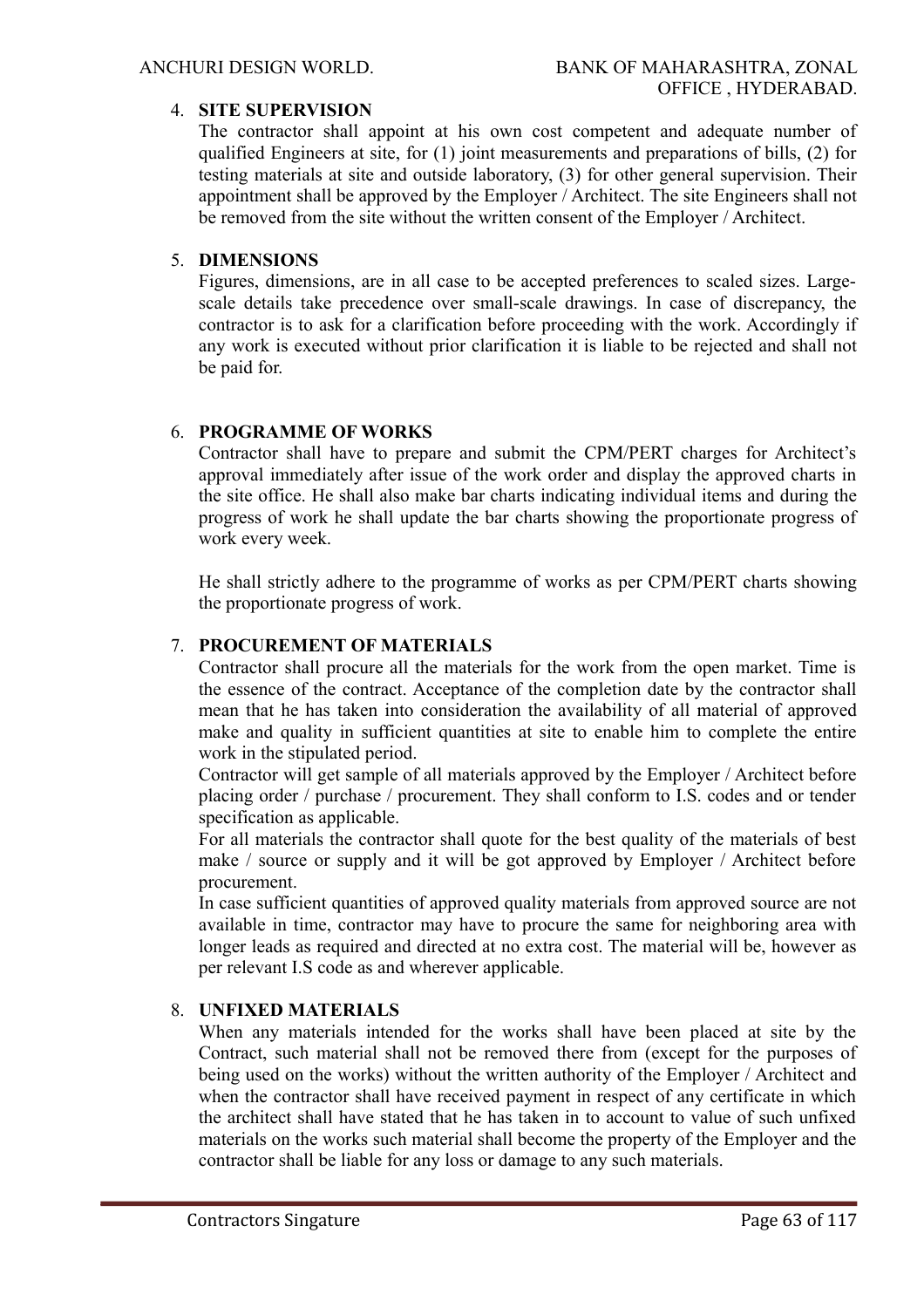# 4. **SITE SUPERVISION**

The contractor shall appoint at his own cost competent and adequate number of qualified Engineers at site, for (1) joint measurements and preparations of bills, (2) for testing materials at site and outside laboratory, (3) for other general supervision. Their appointment shall be approved by the Employer / Architect. The site Engineers shall not be removed from the site without the written consent of the Employer / Architect.

# 5. **DIMENSIONS**

Figures, dimensions, are in all case to be accepted preferences to scaled sizes. Largescale details take precedence over small-scale drawings. In case of discrepancy, the contractor is to ask for a clarification before proceeding with the work. Accordingly if any work is executed without prior clarification it is liable to be rejected and shall not be paid for.

# 6. **PROGRAMME OF WORKS**

Contractor shall have to prepare and submit the CPM/PERT charges for Architect's approval immediately after issue of the work order and display the approved charts in the site office. He shall also make bar charts indicating individual items and during the progress of work he shall update the bar charts showing the proportionate progress of work every week.

He shall strictly adhere to the programme of works as per CPM/PERT charts showing the proportionate progress of work.

# 7. **PROCUREMENT OF MATERIALS**

Contractor shall procure all the materials for the work from the open market. Time is the essence of the contract. Acceptance of the completion date by the contractor shall mean that he has taken into consideration the availability of all material of approved make and quality in sufficient quantities at site to enable him to complete the entire work in the stipulated period.

Contractor will get sample of all materials approved by the Employer / Architect before placing order / purchase / procurement. They shall conform to I.S. codes and or tender specification as applicable.

For all materials the contractor shall quote for the best quality of the materials of best make / source or supply and it will be got approved by Employer / Architect before procurement.

In case sufficient quantities of approved quality materials from approved source are not available in time, contractor may have to procure the same for neighboring area with longer leads as required and directed at no extra cost. The material will be, however as per relevant I.S code as and wherever applicable.

# 8. **UNFIXED MATERIALS**

When any materials intended for the works shall have been placed at site by the Contract, such material shall not be removed there from (except for the purposes of being used on the works) without the written authority of the Employer / Architect and when the contractor shall have received payment in respect of any certificate in which the architect shall have stated that he has taken in to account to value of such unfixed materials on the works such material shall become the property of the Employer and the contractor shall be liable for any loss or damage to any such materials.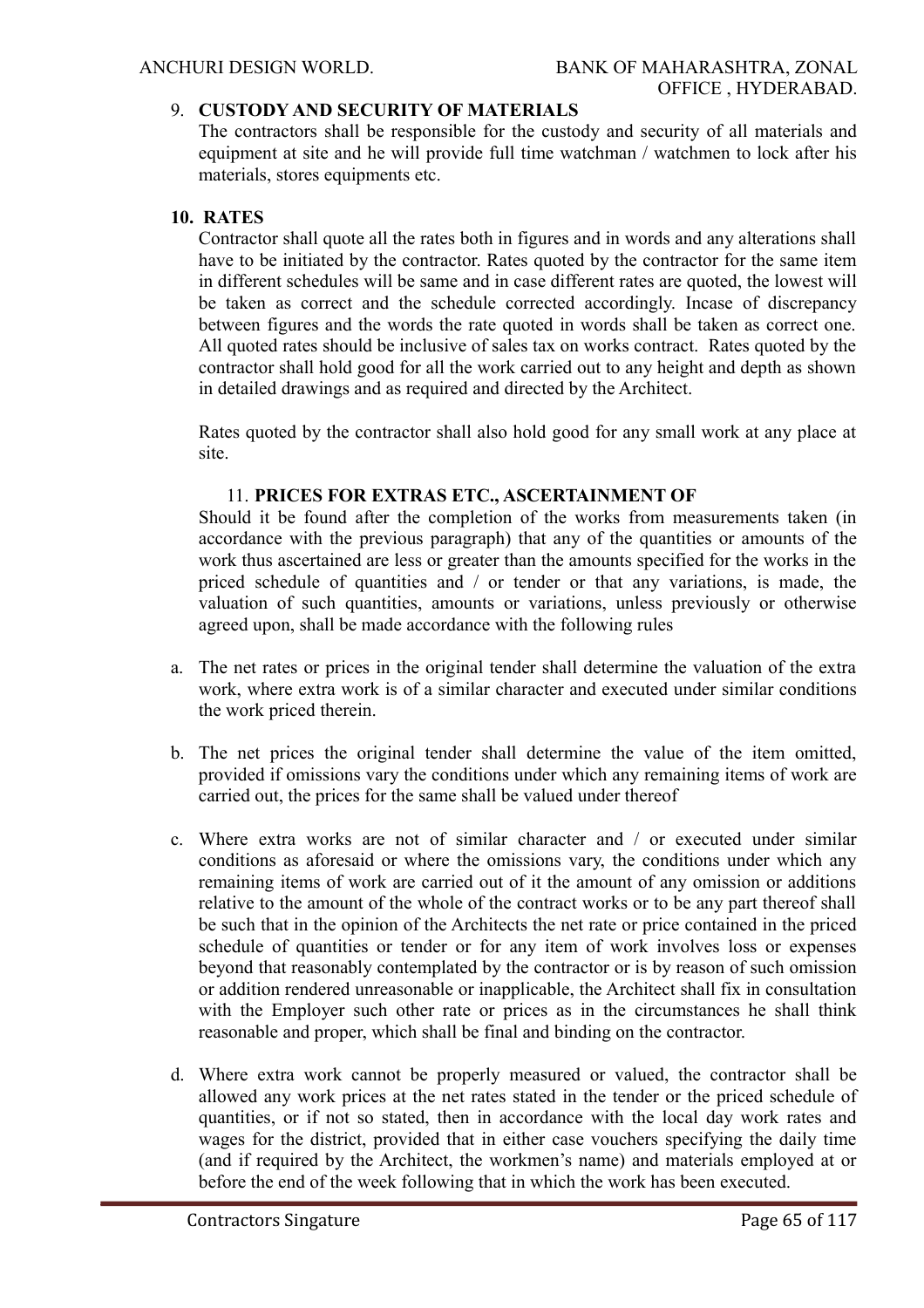# 9. **CUSTODY AND SECURITY OF MATERIALS**

The contractors shall be responsible for the custody and security of all materials and equipment at site and he will provide full time watchman / watchmen to lock after his materials, stores equipments etc.

# **10. RATES**

Contractor shall quote all the rates both in figures and in words and any alterations shall have to be initiated by the contractor. Rates quoted by the contractor for the same item in different schedules will be same and in case different rates are quoted, the lowest will be taken as correct and the schedule corrected accordingly. Incase of discrepancy between figures and the words the rate quoted in words shall be taken as correct one. All quoted rates should be inclusive of sales tax on works contract. Rates quoted by the contractor shall hold good for all the work carried out to any height and depth as shown in detailed drawings and as required and directed by the Architect.

Rates quoted by the contractor shall also hold good for any small work at any place at site.

#### 11. **PRICES FOR EXTRAS ETC., ASCERTAINMENT OF**

Should it be found after the completion of the works from measurements taken (in accordance with the previous paragraph) that any of the quantities or amounts of the work thus ascertained are less or greater than the amounts specified for the works in the priced schedule of quantities and / or tender or that any variations, is made, the valuation of such quantities, amounts or variations, unless previously or otherwise agreed upon, shall be made accordance with the following rules

- a. The net rates or prices in the original tender shall determine the valuation of the extra work, where extra work is of a similar character and executed under similar conditions the work priced therein.
- b. The net prices the original tender shall determine the value of the item omitted, provided if omissions vary the conditions under which any remaining items of work are carried out, the prices for the same shall be valued under thereof
- c. Where extra works are not of similar character and / or executed under similar conditions as aforesaid or where the omissions vary, the conditions under which any remaining items of work are carried out of it the amount of any omission or additions relative to the amount of the whole of the contract works or to be any part thereof shall be such that in the opinion of the Architects the net rate or price contained in the priced schedule of quantities or tender or for any item of work involves loss or expenses beyond that reasonably contemplated by the contractor or is by reason of such omission or addition rendered unreasonable or inapplicable, the Architect shall fix in consultation with the Employer such other rate or prices as in the circumstances he shall think reasonable and proper, which shall be final and binding on the contractor.
- d. Where extra work cannot be properly measured or valued, the contractor shall be allowed any work prices at the net rates stated in the tender or the priced schedule of quantities, or if not so stated, then in accordance with the local day work rates and wages for the district, provided that in either case vouchers specifying the daily time (and if required by the Architect, the workmen's name) and materials employed at or before the end of the week following that in which the work has been executed.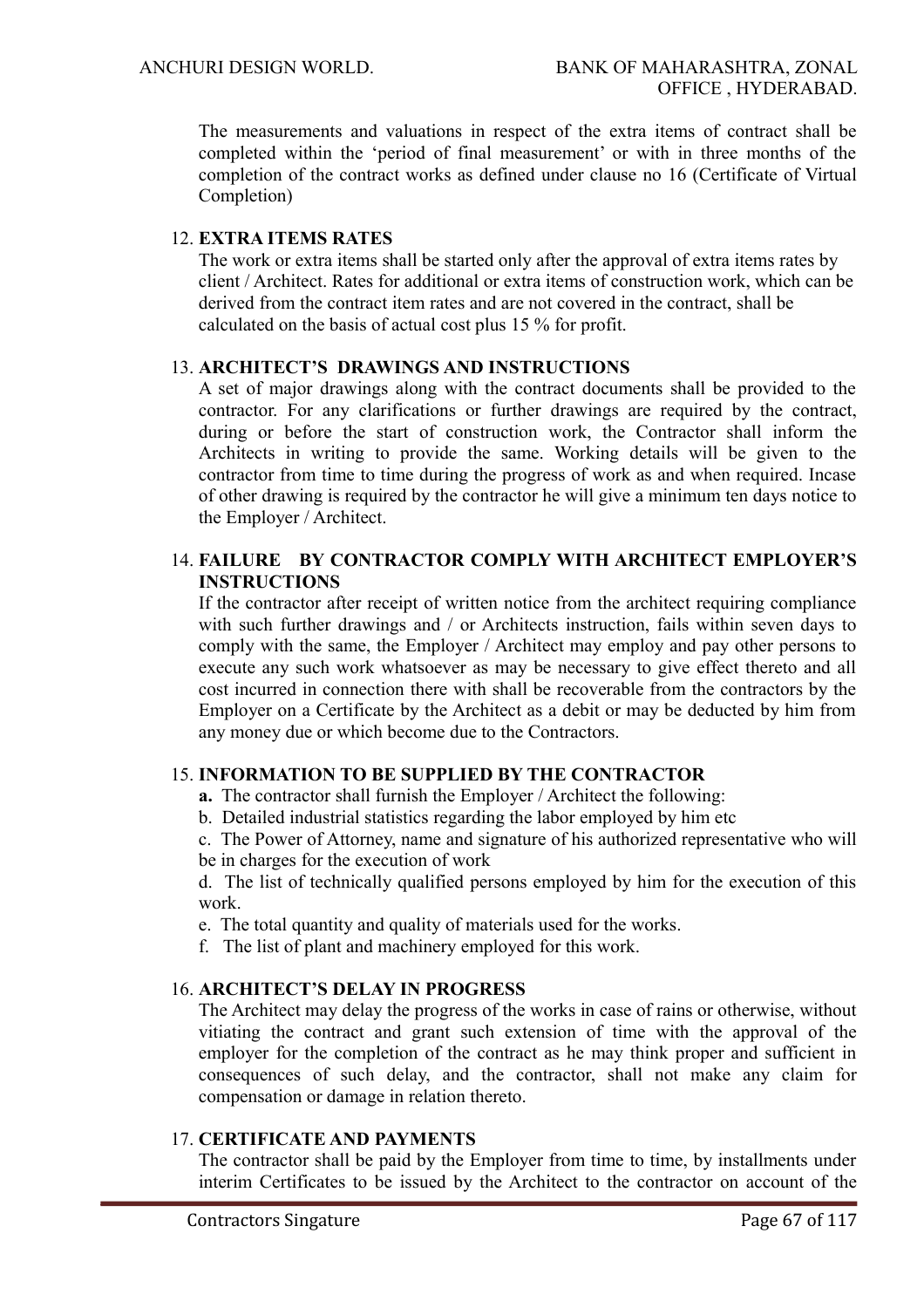The measurements and valuations in respect of the extra items of contract shall be completed within the 'period of final measurement' or with in three months of the completion of the contract works as defined under clause no 16 (Certificate of Virtual Completion)

# 12. **EXTRA ITEMS RATES**

The work or extra items shall be started only after the approval of extra items rates by client / Architect. Rates for additional or extra items of construction work, which can be derived from the contract item rates and are not covered in the contract, shall be calculated on the basis of actual cost plus 15 % for profit.

# 13. **ARCHITECT'S DRAWINGS AND INSTRUCTIONS**

A set of major drawings along with the contract documents shall be provided to the contractor. For any clarifications or further drawings are required by the contract, during or before the start of construction work, the Contractor shall inform the Architects in writing to provide the same. Working details will be given to the contractor from time to time during the progress of work as and when required. Incase of other drawing is required by the contractor he will give a minimum ten days notice to the Employer / Architect.

# 14. **FAILURE BY CONTRACTOR COMPLY WITH ARCHITECT EMPLOYER'S INSTRUCTIONS**

If the contractor after receipt of written notice from the architect requiring compliance with such further drawings and / or Architects instruction, fails within seven days to comply with the same, the Employer / Architect may employ and pay other persons to execute any such work whatsoever as may be necessary to give effect thereto and all cost incurred in connection there with shall be recoverable from the contractors by the Employer on a Certificate by the Architect as a debit or may be deducted by him from any money due or which become due to the Contractors.

# 15. **INFORMATION TO BE SUPPLIED BY THE CONTRACTOR**

- **a.** The contractor shall furnish the Employer / Architect the following:
- b. Detailed industrial statistics regarding the labor employed by him etc

c. The Power of Attorney, name and signature of his authorized representative who will be in charges for the execution of work

d. The list of technically qualified persons employed by him for the execution of this work.

- e. The total quantity and quality of materials used for the works.
- f. The list of plant and machinery employed for this work.

# 16. **ARCHITECT'S DELAY IN PROGRESS**

The Architect may delay the progress of the works in case of rains or otherwise, without vitiating the contract and grant such extension of time with the approval of the employer for the completion of the contract as he may think proper and sufficient in consequences of such delay, and the contractor, shall not make any claim for compensation or damage in relation thereto.

#### 17. **CERTIFICATE AND PAYMENTS**

The contractor shall be paid by the Employer from time to time, by installments under interim Certificates to be issued by the Architect to the contractor on account of the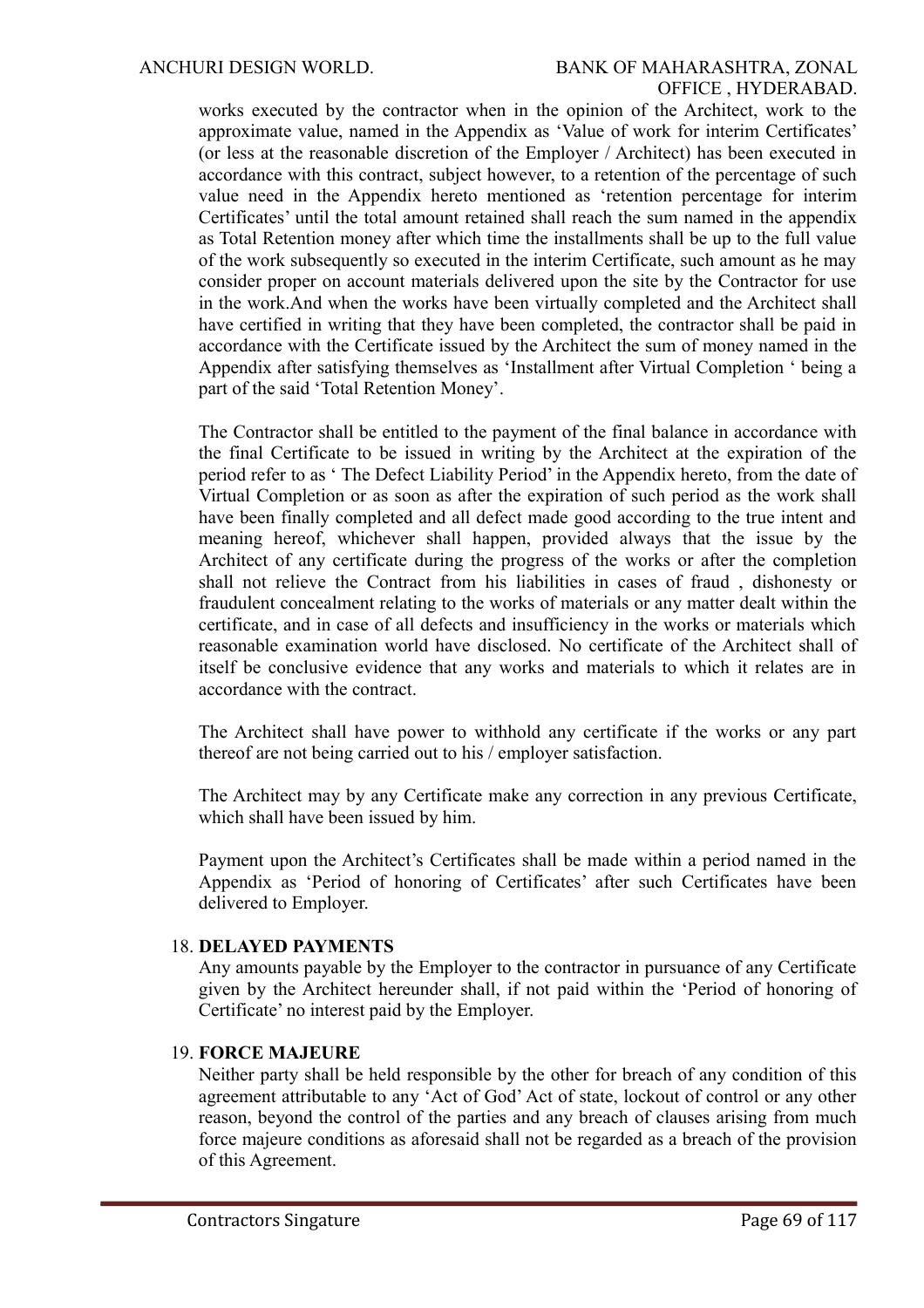works executed by the contractor when in the opinion of the Architect, work to the approximate value, named in the Appendix as 'Value of work for interim Certificates' (or less at the reasonable discretion of the Employer / Architect) has been executed in accordance with this contract, subject however, to a retention of the percentage of such value need in the Appendix hereto mentioned as 'retention percentage for interim Certificates' until the total amount retained shall reach the sum named in the appendix as Total Retention money after which time the installments shall be up to the full value of the work subsequently so executed in the interim Certificate, such amount as he may consider proper on account materials delivered upon the site by the Contractor for use in the work.And when the works have been virtually completed and the Architect shall have certified in writing that they have been completed, the contractor shall be paid in accordance with the Certificate issued by the Architect the sum of money named in the Appendix after satisfying themselves as 'Installment after Virtual Completion ' being a part of the said 'Total Retention Money'.

The Contractor shall be entitled to the payment of the final balance in accordance with the final Certificate to be issued in writing by the Architect at the expiration of the period refer to as ' The Defect Liability Period' in the Appendix hereto, from the date of Virtual Completion or as soon as after the expiration of such period as the work shall have been finally completed and all defect made good according to the true intent and meaning hereof, whichever shall happen, provided always that the issue by the Architect of any certificate during the progress of the works or after the completion shall not relieve the Contract from his liabilities in cases of fraud , dishonesty or fraudulent concealment relating to the works of materials or any matter dealt within the certificate, and in case of all defects and insufficiency in the works or materials which reasonable examination world have disclosed. No certificate of the Architect shall of itself be conclusive evidence that any works and materials to which it relates are in accordance with the contract.

The Architect shall have power to withhold any certificate if the works or any part thereof are not being carried out to his / employer satisfaction.

The Architect may by any Certificate make any correction in any previous Certificate, which shall have been issued by him.

Payment upon the Architect's Certificates shall be made within a period named in the Appendix as 'Period of honoring of Certificates' after such Certificates have been delivered to Employer.

#### 18. **DELAYED PAYMENTS**

Any amounts payable by the Employer to the contractor in pursuance of any Certificate given by the Architect hereunder shall, if not paid within the 'Period of honoring of Certificate' no interest paid by the Employer.

#### 19. **FORCE MAJEURE**

Neither party shall be held responsible by the other for breach of any condition of this agreement attributable to any 'Act of God' Act of state, lockout of control or any other reason, beyond the control of the parties and any breach of clauses arising from much force majeure conditions as aforesaid shall not be regarded as a breach of the provision of this Agreement.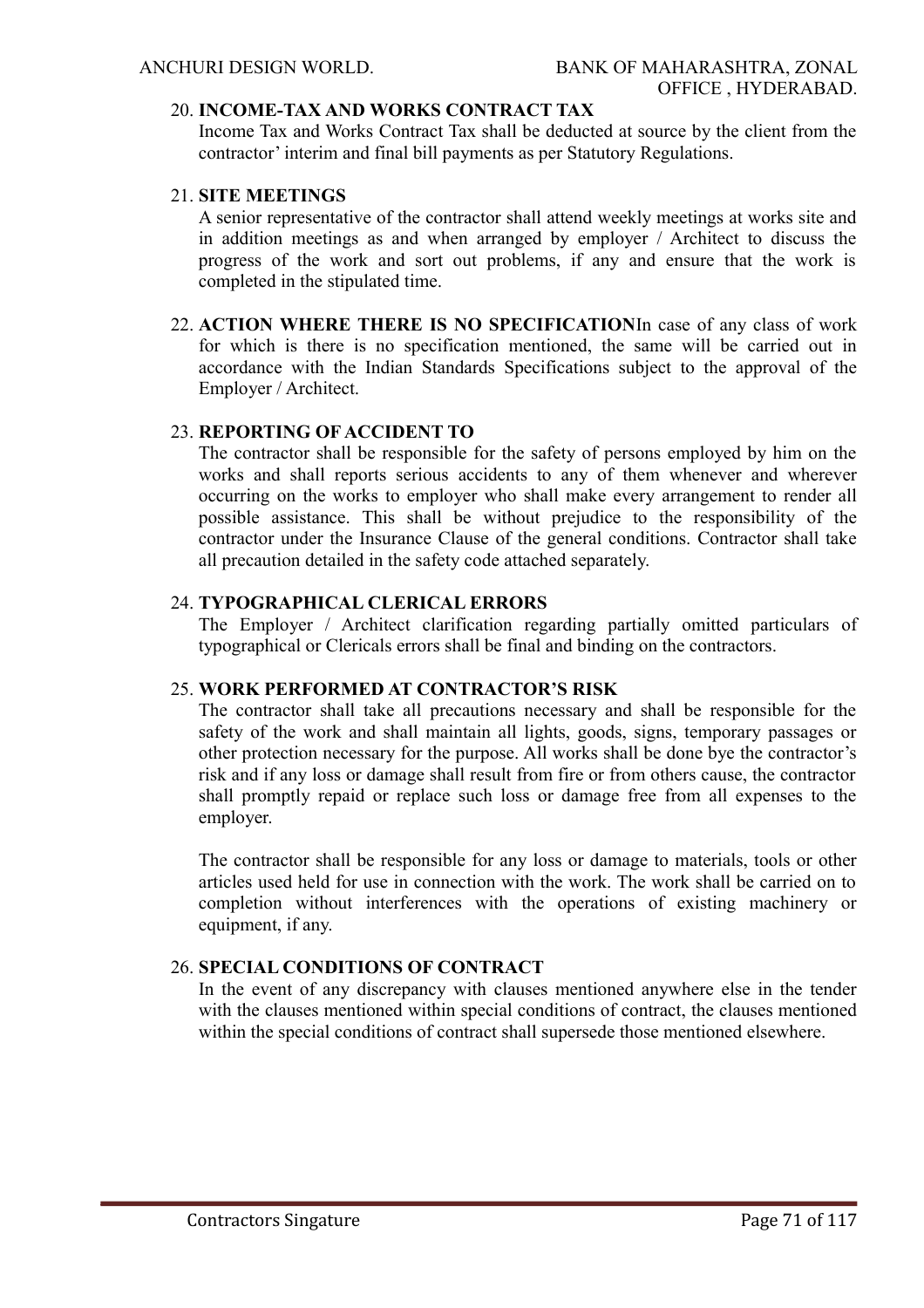#### 20. **INCOME-TAX AND WORKS CONTRACT TAX**

Income Tax and Works Contract Tax shall be deducted at source by the client from the contractor' interim and final bill payments as per Statutory Regulations.

#### 21. **SITE MEETINGS**

A senior representative of the contractor shall attend weekly meetings at works site and in addition meetings as and when arranged by employer / Architect to discuss the progress of the work and sort out problems, if any and ensure that the work is completed in the stipulated time.

22. **ACTION WHERE THERE IS NO SPECIFICATION**In case of any class of work for which is there is no specification mentioned, the same will be carried out in accordance with the Indian Standards Specifications subject to the approval of the Employer / Architect.

#### 23. **REPORTING OF ACCIDENT TO**

The contractor shall be responsible for the safety of persons employed by him on the works and shall reports serious accidents to any of them whenever and wherever occurring on the works to employer who shall make every arrangement to render all possible assistance. This shall be without prejudice to the responsibility of the contractor under the Insurance Clause of the general conditions. Contractor shall take all precaution detailed in the safety code attached separately.

#### 24. **TYPOGRAPHICAL CLERICAL ERRORS**

The Employer / Architect clarification regarding partially omitted particulars of typographical or Clericals errors shall be final and binding on the contractors.

## 25. **WORK PERFORMED AT CONTRACTOR'S RISK**

The contractor shall take all precautions necessary and shall be responsible for the safety of the work and shall maintain all lights, goods, signs, temporary passages or other protection necessary for the purpose. All works shall be done bye the contractor's risk and if any loss or damage shall result from fire or from others cause, the contractor shall promptly repaid or replace such loss or damage free from all expenses to the employer.

The contractor shall be responsible for any loss or damage to materials, tools or other articles used held for use in connection with the work. The work shall be carried on to completion without interferences with the operations of existing machinery or equipment, if any.

# 26. **SPECIAL CONDITIONS OF CONTRACT**

In the event of any discrepancy with clauses mentioned anywhere else in the tender with the clauses mentioned within special conditions of contract, the clauses mentioned within the special conditions of contract shall supersede those mentioned elsewhere.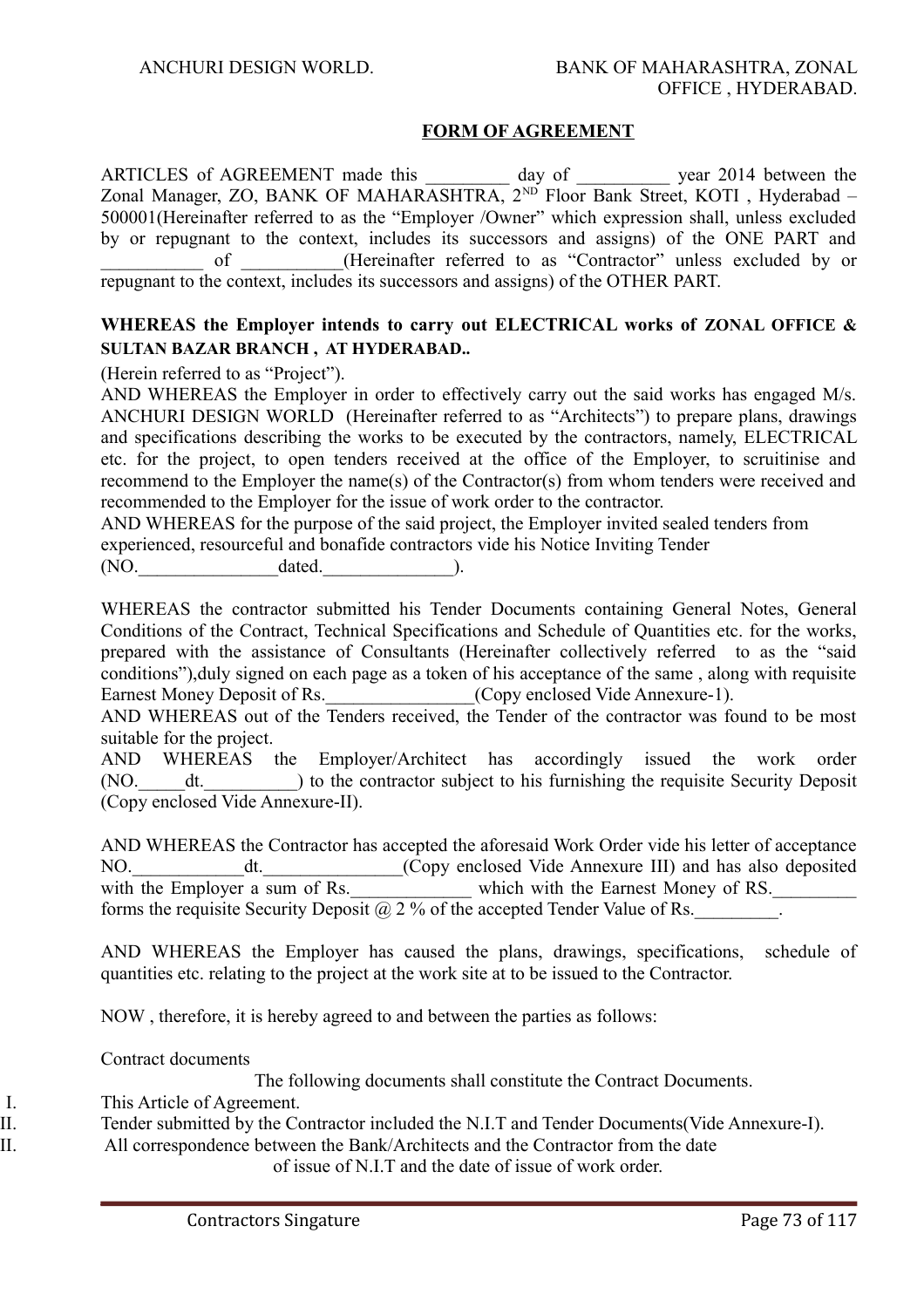#### **FORM OF AGREEMENT**

ARTICLES of AGREEMENT made this day of general year 2014 between the Zonal Manager, ZO, BANK OF MAHARASHTRA, 2<sup>ND</sup> Floor Bank Street, KOTI, Hyderabad – 500001(Hereinafter referred to as the "Employer /Owner" which expression shall, unless excluded by or repugnant to the context, includes its successors and assigns) of the ONE PART and of (Hereinafter referred to as "Contractor" unless excluded by or repugnant to the context, includes its successors and assigns) of the OTHER PART.

## **WHEREAS the Employer intends to carry out ELECTRICAL works of ZONAL OFFICE & SULTAN BAZAR BRANCH , AT HYDERABAD..**

(Herein referred to as "Project").

AND WHEREAS the Employer in order to effectively carry out the said works has engaged M/s. ANCHURI DESIGN WORLD (Hereinafter referred to as "Architects") to prepare plans, drawings and specifications describing the works to be executed by the contractors, namely, ELECTRICAL etc. for the project, to open tenders received at the office of the Employer, to scruitinise and recommend to the Employer the name(s) of the Contractor(s) from whom tenders were received and recommended to the Employer for the issue of work order to the contractor.

AND WHEREAS for the purpose of the said project, the Employer invited sealed tenders from experienced, resourceful and bonafide contractors vide his Notice Inviting Tender

(NO. dated. ).

WHEREAS the contractor submitted his Tender Documents containing General Notes, General Conditions of the Contract, Technical Specifications and Schedule of Quantities etc. for the works, prepared with the assistance of Consultants (Hereinafter collectively referred to as the "said conditions"),duly signed on each page as a token of his acceptance of the same , along with requisite Earnest Money Deposit of Rs. \_\_\_\_\_\_\_\_\_\_\_\_\_\_\_(Copy enclosed Vide Annexure-1).

AND WHEREAS out of the Tenders received, the Tender of the contractor was found to be most suitable for the project.

AND WHEREAS the Employer/Architect has accordingly issued the work order (NO. dt. ) to the contractor subject to his furnishing the requisite Security Deposit (Copy enclosed Vide Annexure-II).

AND WHEREAS the Contractor has accepted the aforesaid Work Order vide his letter of acceptance NO.\_\_\_\_\_\_\_\_\_\_\_\_dt.\_\_\_\_\_\_\_\_\_\_\_\_\_\_\_(Copy enclosed Vide Annexure III) and has also deposited with the Employer a sum of Rs. Which with the Earnest Money of RS. forms the requisite Security Deposit  $(a)$  2 % of the accepted Tender Value of Rs.

AND WHEREAS the Employer has caused the plans, drawings, specifications, schedule of quantities etc. relating to the project at the work site at to be issued to the Contractor.

NOW , therefore, it is hereby agreed to and between the parties as follows:

Contract documents

The following documents shall constitute the Contract Documents.

I. This Article of Agreement.

II. Tender submitted by the Contractor included the N.I.T and Tender Documents(Vide Annexure-I).

II. All correspondence between the Bank/Architects and the Contractor from the date

of issue of N.I.T and the date of issue of work order.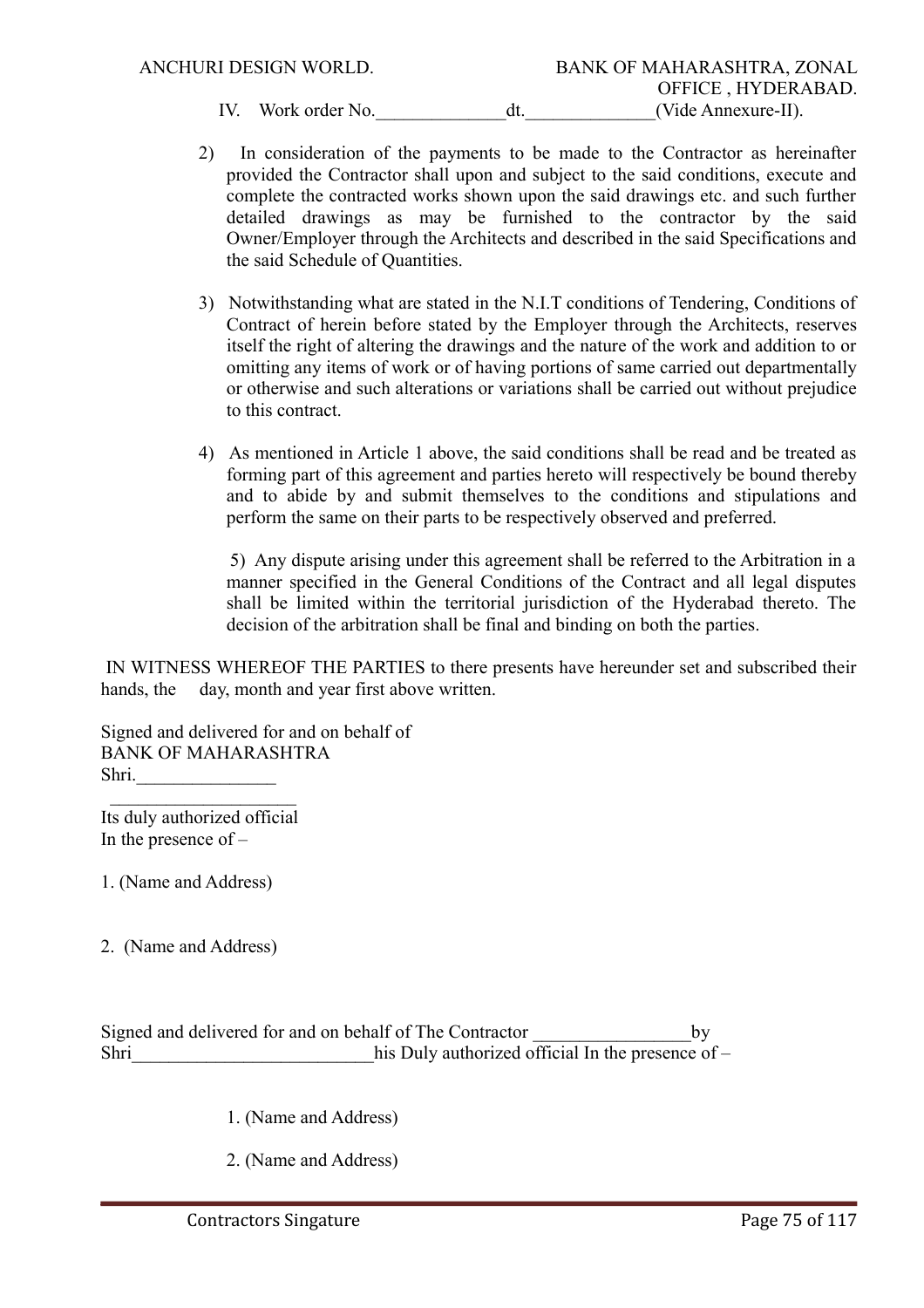- 2) In consideration of the payments to be made to the Contractor as hereinafter provided the Contractor shall upon and subject to the said conditions, execute and complete the contracted works shown upon the said drawings etc. and such further detailed drawings as may be furnished to the contractor by the said Owner/Employer through the Architects and described in the said Specifications and the said Schedule of Quantities.
- 3) Notwithstanding what are stated in the N.I.T conditions of Tendering, Conditions of Contract of herein before stated by the Employer through the Architects, reserves itself the right of altering the drawings and the nature of the work and addition to or omitting any items of work or of having portions of same carried out departmentally or otherwise and such alterations or variations shall be carried out without prejudice to this contract.
- 4) As mentioned in Article 1 above, the said conditions shall be read and be treated as forming part of this agreement and parties hereto will respectively be bound thereby and to abide by and submit themselves to the conditions and stipulations and perform the same on their parts to be respectively observed and preferred.

 5) Any dispute arising under this agreement shall be referred to the Arbitration in a manner specified in the General Conditions of the Contract and all legal disputes shall be limited within the territorial jurisdiction of the Hyderabad thereto. The decision of the arbitration shall be final and binding on both the parties.

 IN WITNESS WHEREOF THE PARTIES to there presents have hereunder set and subscribed their hands, the day, month and year first above written.

Signed and delivered for and on behalf of BANK OF MAHARASHTRA Shri.

Its duly authorized official In the presence of –

 $\frac{1}{2}$  ,  $\frac{1}{2}$  ,  $\frac{1}{2}$  ,  $\frac{1}{2}$  ,  $\frac{1}{2}$  ,  $\frac{1}{2}$  ,  $\frac{1}{2}$  ,  $\frac{1}{2}$  ,  $\frac{1}{2}$  ,  $\frac{1}{2}$ 

1. (Name and Address)

2. (Name and Address)

Signed and delivered for and on behalf of The Contractor by Shri his Duly authorized official In the presence of –

1. (Name and Address)

2. (Name and Address)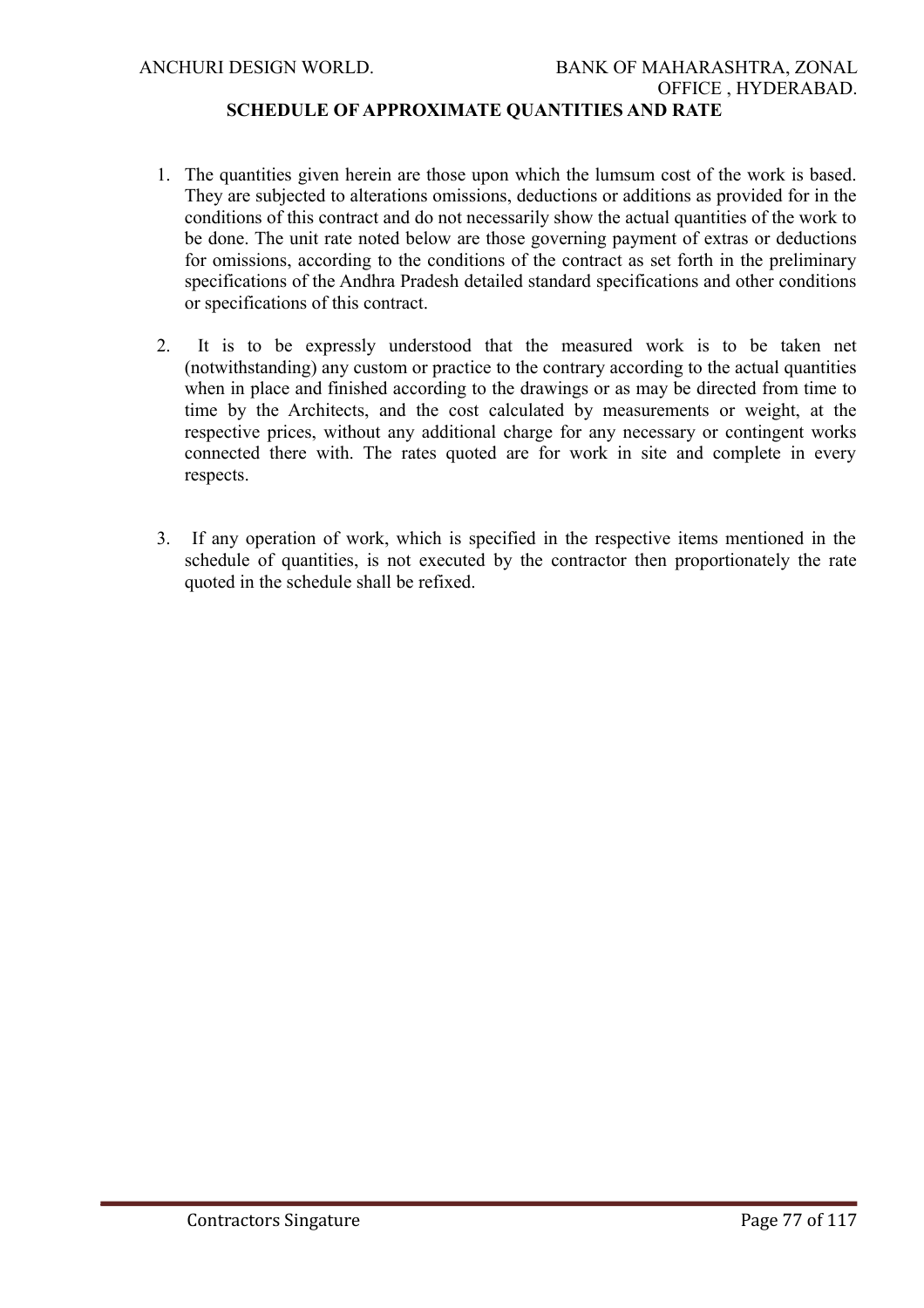# **SCHEDULE OF APPROXIMATE QUANTITIES AND RATE**

- 1. The quantities given herein are those upon which the lumsum cost of the work is based. They are subjected to alterations omissions, deductions or additions as provided for in the conditions of this contract and do not necessarily show the actual quantities of the work to be done. The unit rate noted below are those governing payment of extras or deductions for omissions, according to the conditions of the contract as set forth in the preliminary specifications of the Andhra Pradesh detailed standard specifications and other conditions or specifications of this contract.
- 2. It is to be expressly understood that the measured work is to be taken net (notwithstanding) any custom or practice to the contrary according to the actual quantities when in place and finished according to the drawings or as may be directed from time to time by the Architects, and the cost calculated by measurements or weight, at the respective prices, without any additional charge for any necessary or contingent works connected there with. The rates quoted are for work in site and complete in every respects.
- 3. If any operation of work, which is specified in the respective items mentioned in the schedule of quantities, is not executed by the contractor then proportionately the rate quoted in the schedule shall be refixed.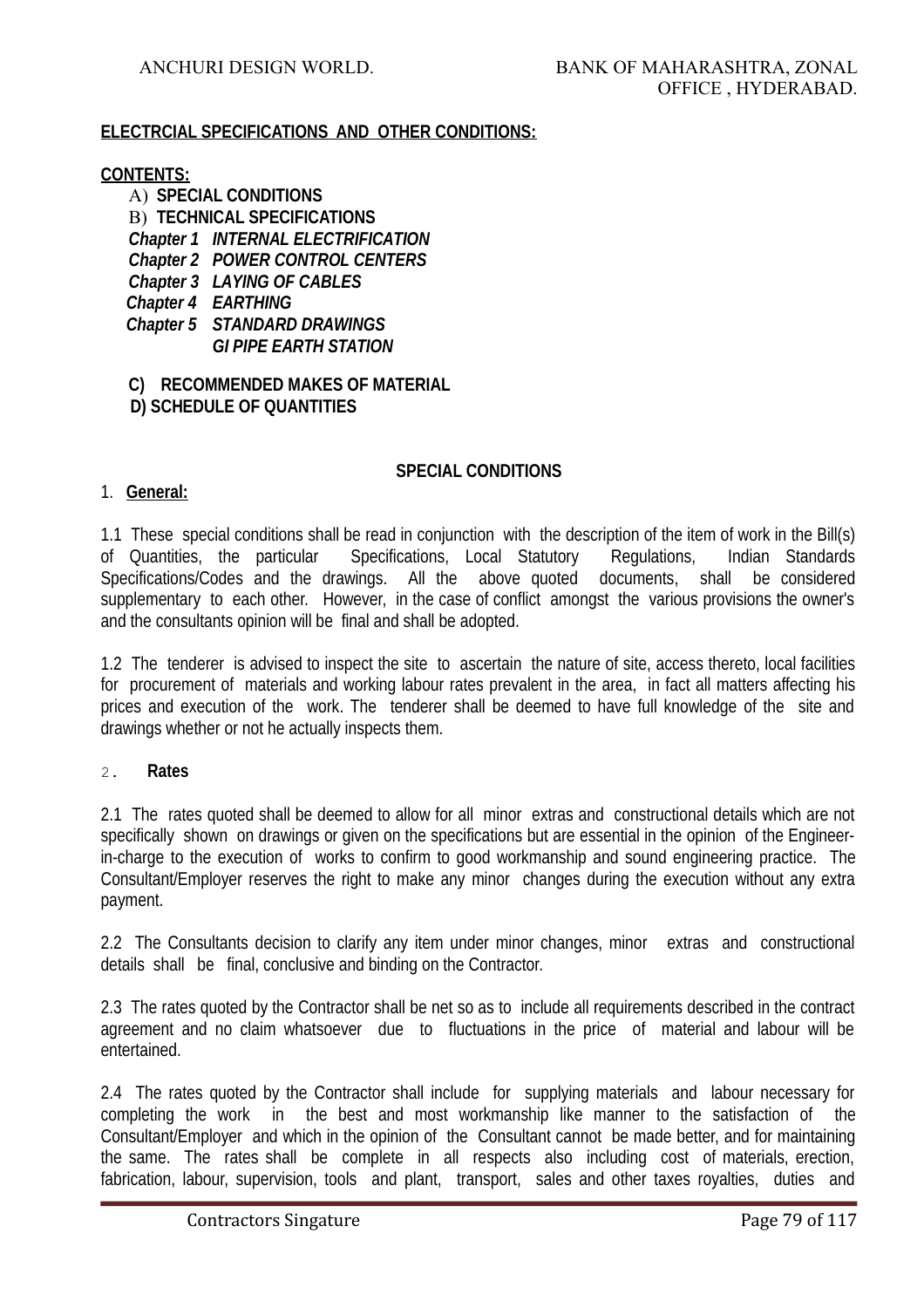#### **ELECTRCIAL SPECIFICATIONS AND OTHER CONDITIONS:**

#### **CONTENTS:**

A) **SPECIAL CONDITIONS** B) **TECHNICAL SPECIFICATIONS** *Chapter 1 INTERNAL ELECTRIFICATION Chapter 2 POWER CONTROL CENTERS Chapter 3 LAYING OF CABLES Chapter 4 EARTHING Chapter 5 STANDARD DRAWINGS GI PIPE EARTH STATION*

#### **C) RECOMMENDED MAKES OF MATERIAL D) SCHEDULE OF QUANTITIES**

#### **SPECIAL CONDITIONS**

#### 1. **General:**

1.1 These special conditions shall be read in conjunction with the description of the item of work in the Bill(s) of Quantities, the particular Specifications, Local Statutory Regulations, Indian Standards Specifications/Codes and the drawings. All the above quoted documents, shall be considered supplementary to each other. However, in the case of conflict amongst the various provisions the owner's and the consultants opinion will be final and shall be adopted.

1.2 The tenderer is advised to inspect the site to ascertain the nature of site, access thereto, local facilities for procurement of materials and working labour rates prevalent in the area, in fact all matters affecting his prices and execution of the work. The tenderer shall be deemed to have full knowledge of the site and drawings whether or not he actually inspects them.

#### 2. **Rates**

2.1 The rates quoted shall be deemed to allow for all minor extras and constructional details which are not specifically shown on drawings or given on the specifications but are essential in the opinion of the Engineerin-charge to the execution of works to confirm to good workmanship and sound engineering practice. The Consultant/Employer reserves the right to make any minor changes during the execution without any extra payment.

2.2 The Consultants decision to clarify any item under minor changes, minor extras and constructional details shall be final, conclusive and binding on the Contractor.

2.3 The rates quoted by the Contractor shall be net so as to include all requirements described in the contract agreement and no claim whatsoever due to fluctuations in the price of material and labour will be entertained.

2.4 The rates quoted by the Contractor shall include for supplying materials and labour necessary for completing the work in the best and most workmanship like manner to the satisfaction of the Consultant/Employer and which in the opinion of the Consultant cannot be made better, and for maintaining the same. The rates shall be complete in all respects also including cost of materials, erection, fabrication, labour, supervision, tools and plant, transport, sales and other taxes royalties, duties and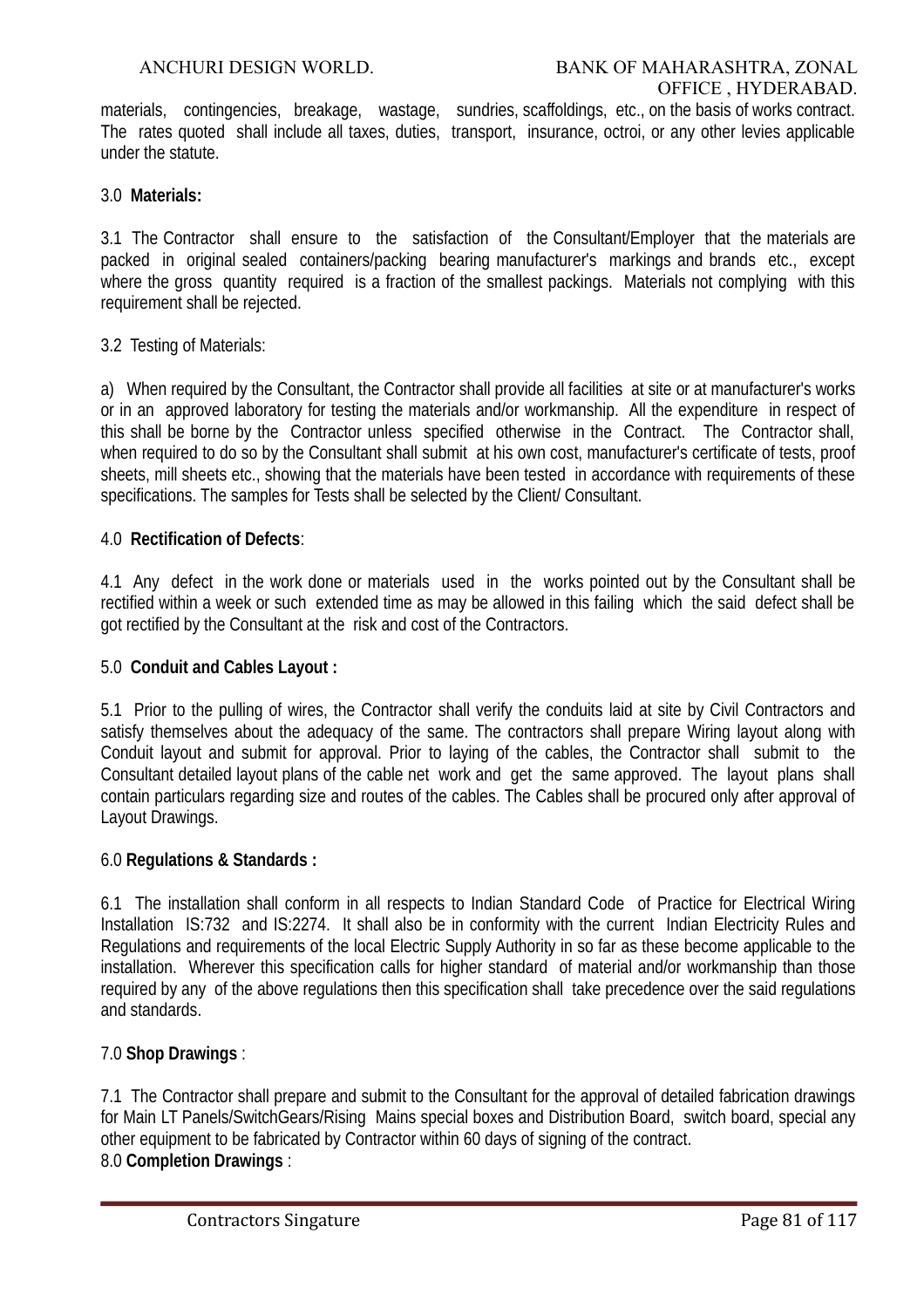materials, contingencies, breakage, wastage, sundries, scaffoldings, etc., on the basis of works contract. The rates quoted shall include all taxes, duties, transport, insurance, octroi, or any other levies applicable under the statute.

# 3.0 **Materials:**

3.1 The Contractor shall ensure to the satisfaction of the Consultant/Employer that the materials are packed in original sealed containers/packing bearing manufacturer's markings and brands etc., except where the gross quantity required is a fraction of the smallest packings. Materials not complying with this requirement shall be rejected.

# 3.2 Testing of Materials:

a) When required by the Consultant, the Contractor shall provide all facilities at site or at manufacturer's works or in an approved laboratory for testing the materials and/or workmanship. All the expenditure in respect of this shall be borne by the Contractor unless specified otherwise in the Contract. The Contractor shall, when required to do so by the Consultant shall submit at his own cost, manufacturer's certificate of tests, proof sheets, mill sheets etc., showing that the materials have been tested in accordance with requirements of these specifications. The samples for Tests shall be selected by the Client/ Consultant.

# 4.0 **Rectification of Defects**:

4.1 Any defect in the work done or materials used in the works pointed out by the Consultant shall be rectified within a week or such extended time as may be allowed in this failing which the said defect shall be got rectified by the Consultant at the risk and cost of the Contractors.

# 5.0 **Conduit and Cables Layout :**

5.1 Prior to the pulling of wires, the Contractor shall verify the conduits laid at site by Civil Contractors and satisfy themselves about the adequacy of the same. The contractors shall prepare Wiring layout along with Conduit layout and submit for approval. Prior to laying of the cables, the Contractor shall submit to the Consultant detailed layout plans of the cable net work and get the same approved. The layout plans shall contain particulars regarding size and routes of the cables. The Cables shall be procured only after approval of Layout Drawings.

# 6.0 **Regulations & Standards :**

6.1 The installation shall conform in all respects to Indian Standard Code of Practice for Electrical Wiring Installation IS:732 and IS:2274. It shall also be in conformity with the current Indian Electricity Rules and Regulations and requirements of the local Electric Supply Authority in so far as these become applicable to the installation. Wherever this specification calls for higher standard of material and/or workmanship than those required by any of the above regulations then this specification shall take precedence over the said regulations and standards.

# 7.0 **Shop Drawings** :

7.1 The Contractor shall prepare and submit to the Consultant for the approval of detailed fabrication drawings for Main LT Panels/SwitchGears/Rising Mains special boxes and Distribution Board, switch board, special any other equipment to be fabricated by Contractor within 60 days of signing of the contract. 8.0 **Completion Drawings** :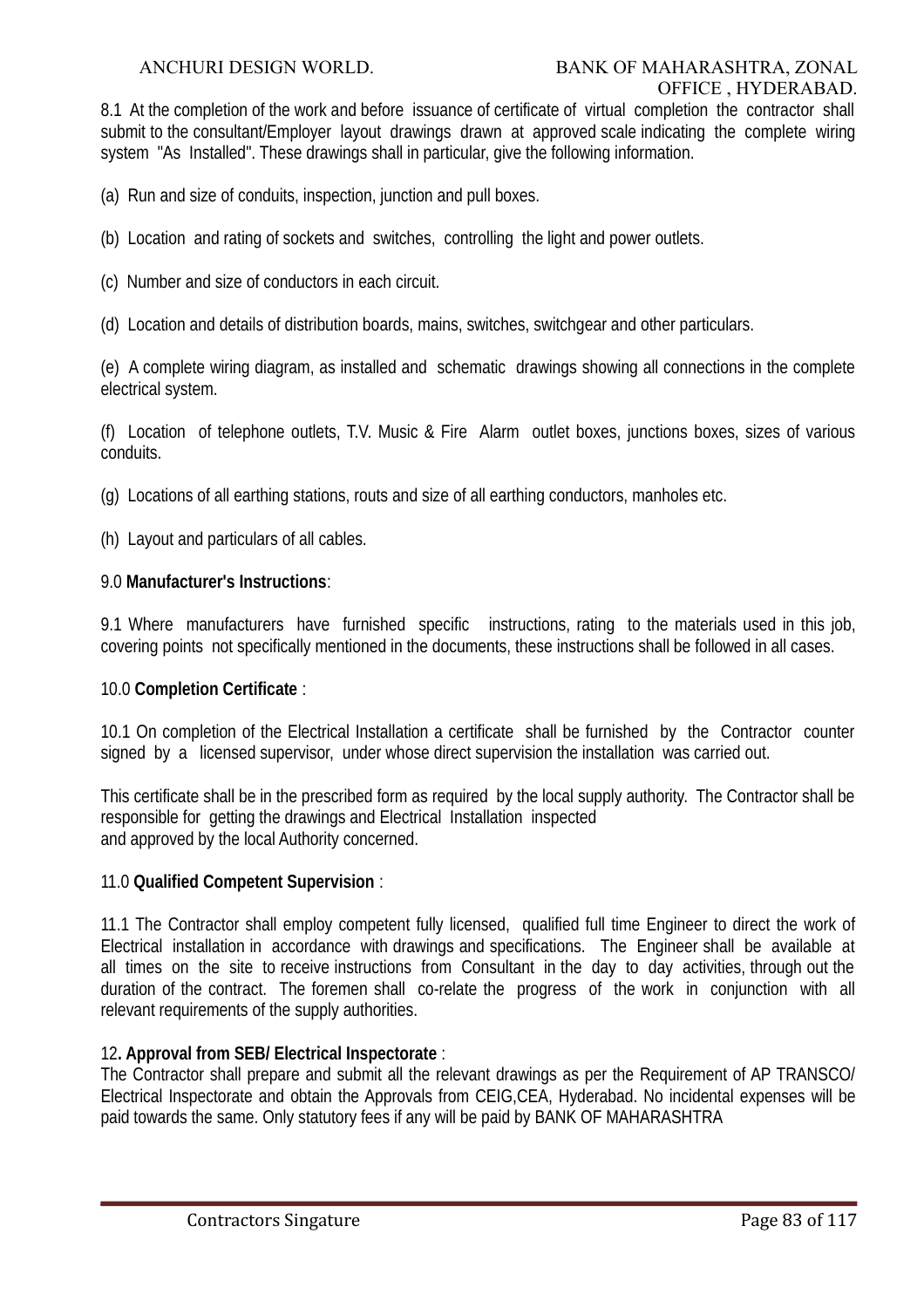8.1 At the completion of the work and before issuance of certificate of virtual completion the contractor shall submit to the consultant/Employer layout drawings drawn at approved scale indicating the complete wiring system "As Installed". These drawings shall in particular, give the following information.

(a) Run and size of conduits, inspection, junction and pull boxes.

- (b) Location and rating of sockets and switches, controlling the light and power outlets.
- (c) Number and size of conductors in each circuit.
- (d) Location and details of distribution boards, mains, switches, switchgear and other particulars.

(e) A complete wiring diagram, as installed and schematic drawings showing all connections in the complete electrical system.

(f) Location of telephone outlets, T.V. Music & Fire Alarm outlet boxes, junctions boxes, sizes of various conduits.

(g) Locations of all earthing stations, routs and size of all earthing conductors, manholes etc.

(h) Layout and particulars of all cables.

#### 9.0 **Manufacturer's Instructions**:

9.1 Where manufacturers have furnished specific instructions, rating to the materials used in this job, covering points not specifically mentioned in the documents, these instructions shall be followed in all cases.

#### 10.0 **Completion Certificate** :

10.1 On completion of the Electrical Installation a certificate shall be furnished by the Contractor counter signed by a licensed supervisor, under whose direct supervision the installation was carried out.

This certificate shall be in the prescribed form as required by the local supply authority. The Contractor shall be responsible for getting the drawings and Electrical Installation inspected and approved by the local Authority concerned.

#### 11.0 **Qualified Competent Supervision** :

11.1 The Contractor shall employ competent fully licensed, qualified full time Engineer to direct the work of Electrical installation in accordance with drawings and specifications. The Engineer shall be available at all times on the site to receive instructions from Consultant in the day to day activities, through out the duration of the contract. The foremen shall co-relate the progress of the work in conjunction with all relevant requirements of the supply authorities.

#### 12**. Approval from SEB/ Electrical Inspectorate** :

The Contractor shall prepare and submit all the relevant drawings as per the Requirement of AP TRANSCO/ Electrical Inspectorate and obtain the Approvals from CEIG,CEA, Hyderabad. No incidental expenses will be paid towards the same. Only statutory fees if any will be paid by BANK OF MAHARASHTRA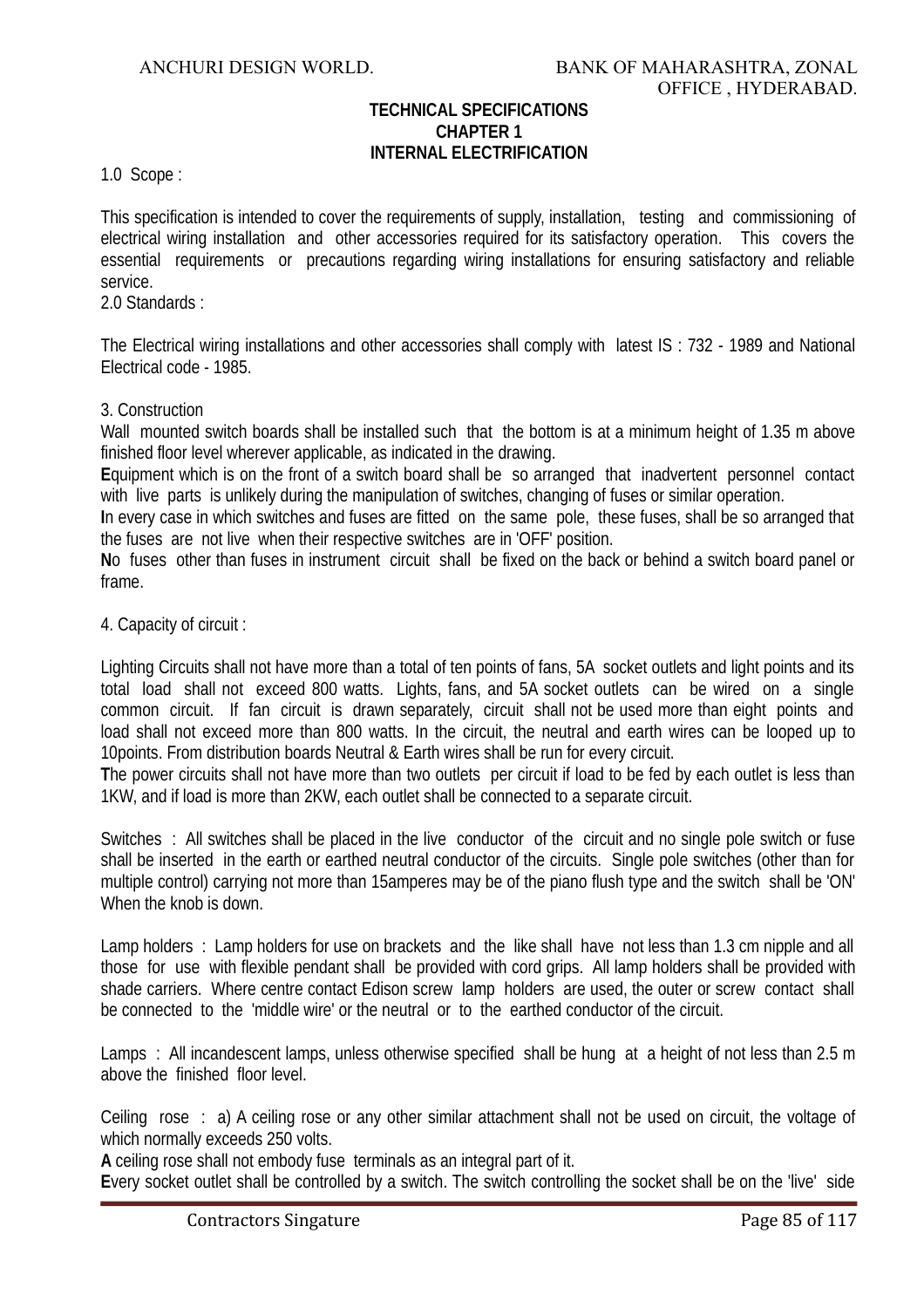# **TECHNICAL SPECIFICATIONS CHAPTER 1 INTERNAL ELECTRIFICATION**

1.0 Scope :

This specification is intended to cover the requirements of supply, installation, testing and commissioning of electrical wiring installation and other accessories required for its satisfactory operation. This covers the essential requirements or precautions regarding wiring installations for ensuring satisfactory and reliable service.

2.0 Standards :

The Electrical wiring installations and other accessories shall comply with latest IS : 732 - 1989 and National Electrical code - 1985.

#### 3. Construction

Wall mounted switch boards shall be installed such that the bottom is at a minimum height of 1.35 m above finished floor level wherever applicable, as indicated in the drawing.

**E**quipment which is on the front of a switch board shall be so arranged that inadvertent personnel contact with live parts is unlikely during the manipulation of switches, changing of fuses or similar operation.

**I**n every case in which switches and fuses are fitted on the same pole, these fuses, shall be so arranged that the fuses are not live when their respective switches are in 'OFF' position.

**N**o fuses other than fuses in instrument circuit shall be fixed on the back or behind a switch board panel or frame.

#### 4. Capacity of circuit :

Lighting Circuits shall not have more than a total of ten points of fans, 5A socket outlets and light points and its total load shall not exceed 800 watts. Lights, fans, and 5A socket outlets can be wired on a single common circuit. If fan circuit is drawn separately, circuit shall not be used more than eight points and load shall not exceed more than 800 watts. In the circuit, the neutral and earth wires can be looped up to 10points. From distribution boards Neutral & Earth wires shall be run for every circuit.

**T**he power circuits shall not have more than two outlets per circuit if load to be fed by each outlet is less than 1KW, and if load is more than 2KW, each outlet shall be connected to a separate circuit.

Switches : All switches shall be placed in the live conductor of the circuit and no single pole switch or fuse shall be inserted in the earth or earthed neutral conductor of the circuits. Single pole switches (other than for multiple control) carrying not more than 15amperes may be of the piano flush type and the switch shall be 'ON' When the knob is down.

Lamp holders : Lamp holders for use on brackets and the like shall have not less than 1.3 cm nipple and all those for use with flexible pendant shall be provided with cord grips. All lamp holders shall be provided with shade carriers. Where centre contact Edison screw lamp holders are used, the outer or screw contact shall be connected to the 'middle wire' or the neutral or to the earthed conductor of the circuit.

Lamps : All incandescent lamps, unless otherwise specified shall be hung at a height of not less than 2.5 m above the finished floor level.

Ceiling rose : a) A ceiling rose or any other similar attachment shall not be used on circuit, the voltage of which normally exceeds 250 volts.

**A** ceiling rose shall not embody fuse terminals as an integral part of it.

**E**very socket outlet shall be controlled by a switch. The switch controlling the socket shall be on the 'live' side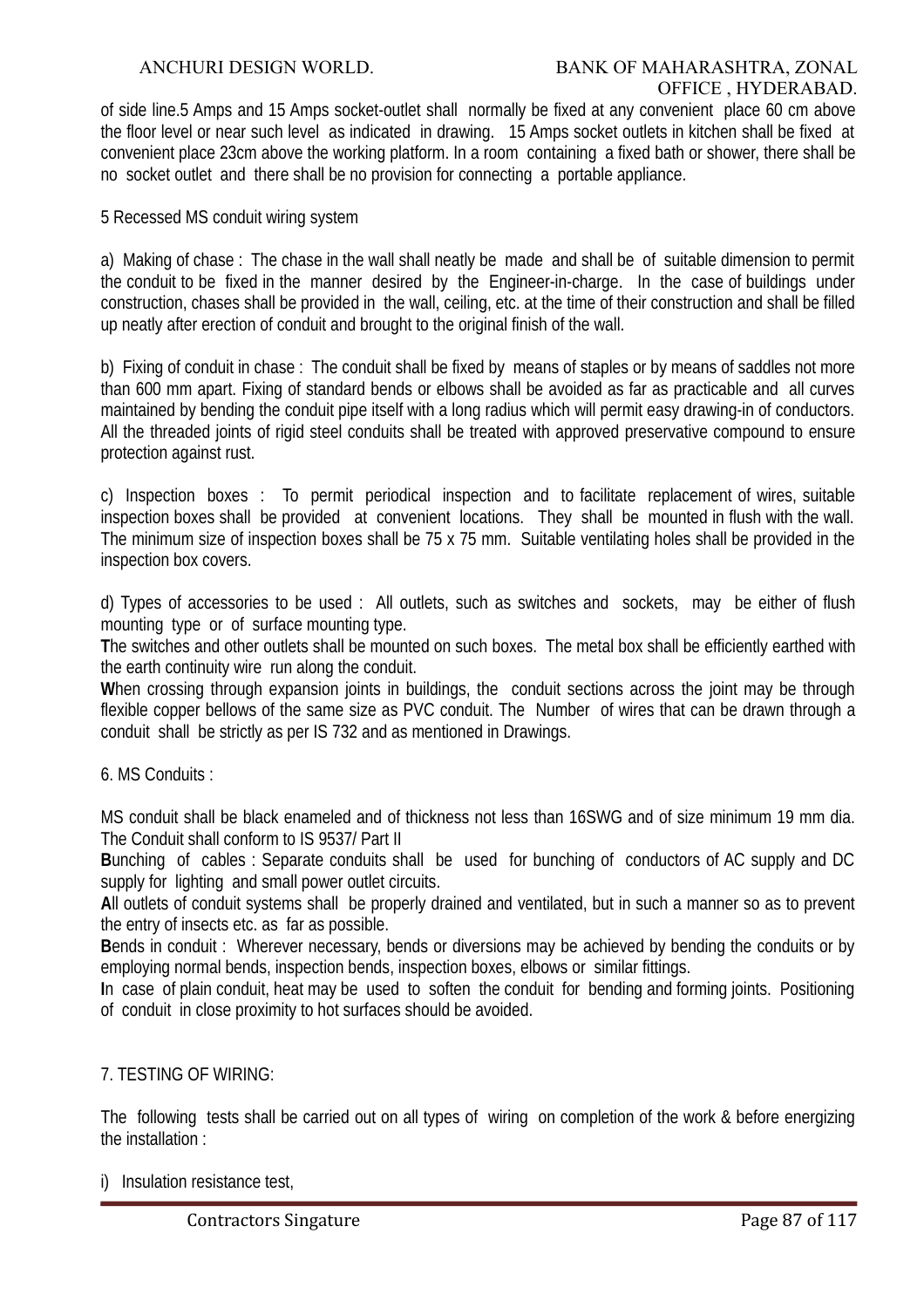of side line.5 Amps and 15 Amps socket-outlet shall normally be fixed at any convenient place 60 cm above the floor level or near such level as indicated in drawing. 15 Amps socket outlets in kitchen shall be fixed at convenient place 23cm above the working platform. In a room containing a fixed bath or shower, there shall be no socket outlet and there shall be no provision for connecting a portable appliance.

5 Recessed MS conduit wiring system

a) Making of chase : The chase in the wall shall neatly be made and shall be of suitable dimension to permit the conduit to be fixed in the manner desired by the Engineer-in-charge. In the case of buildings under construction, chases shall be provided in the wall, ceiling, etc. at the time of their construction and shall be filled up neatly after erection of conduit and brought to the original finish of the wall.

b) Fixing of conduit in chase : The conduit shall be fixed by means of staples or by means of saddles not more than 600 mm apart. Fixing of standard bends or elbows shall be avoided as far as practicable and all curves maintained by bending the conduit pipe itself with a long radius which will permit easy drawing-in of conductors. All the threaded joints of rigid steel conduits shall be treated with approved preservative compound to ensure protection against rust.

c) Inspection boxes : To permit periodical inspection and to facilitate replacement of wires, suitable inspection boxes shall be provided at convenient locations. They shall be mounted in flush with the wall. The minimum size of inspection boxes shall be 75 x 75 mm. Suitable ventilating holes shall be provided in the inspection box covers.

d) Types of accessories to be used : All outlets, such as switches and sockets, may be either of flush mounting type or of surface mounting type.

**T**he switches and other outlets shall be mounted on such boxes. The metal box shall be efficiently earthed with the earth continuity wire run along the conduit.

When crossing through expansion joints in buildings, the conduit sections across the joint may be through flexible copper bellows of the same size as PVC conduit. The Number of wires that can be drawn through a conduit shall be strictly as per IS 732 and as mentioned in Drawings.

#### 6. MS Conduits :

MS conduit shall be black enameled and of thickness not less than 16SWG and of size minimum 19 mm dia. The Conduit shall conform to IS 9537/ Part II

**B**unching of cables : Separate conduits shall be used for bunching of conductors of AC supply and DC supply for lighting and small power outlet circuits.

**A**ll outlets of conduit systems shall be properly drained and ventilated, but in such a manner so as to prevent the entry of insects etc. as far as possible.

**B**ends in conduit : Wherever necessary, bends or diversions may be achieved by bending the conduits or by employing normal bends, inspection bends, inspection boxes, elbows or similar fittings.

**I**n case of plain conduit, heat may be used to soften the conduit for bending and forming joints. Positioning of conduit in close proximity to hot surfaces should be avoided.

#### 7. TESTING OF WIRING:

The following tests shall be carried out on all types of wiring on completion of the work & before energizing the installation :

i) Insulation resistance test,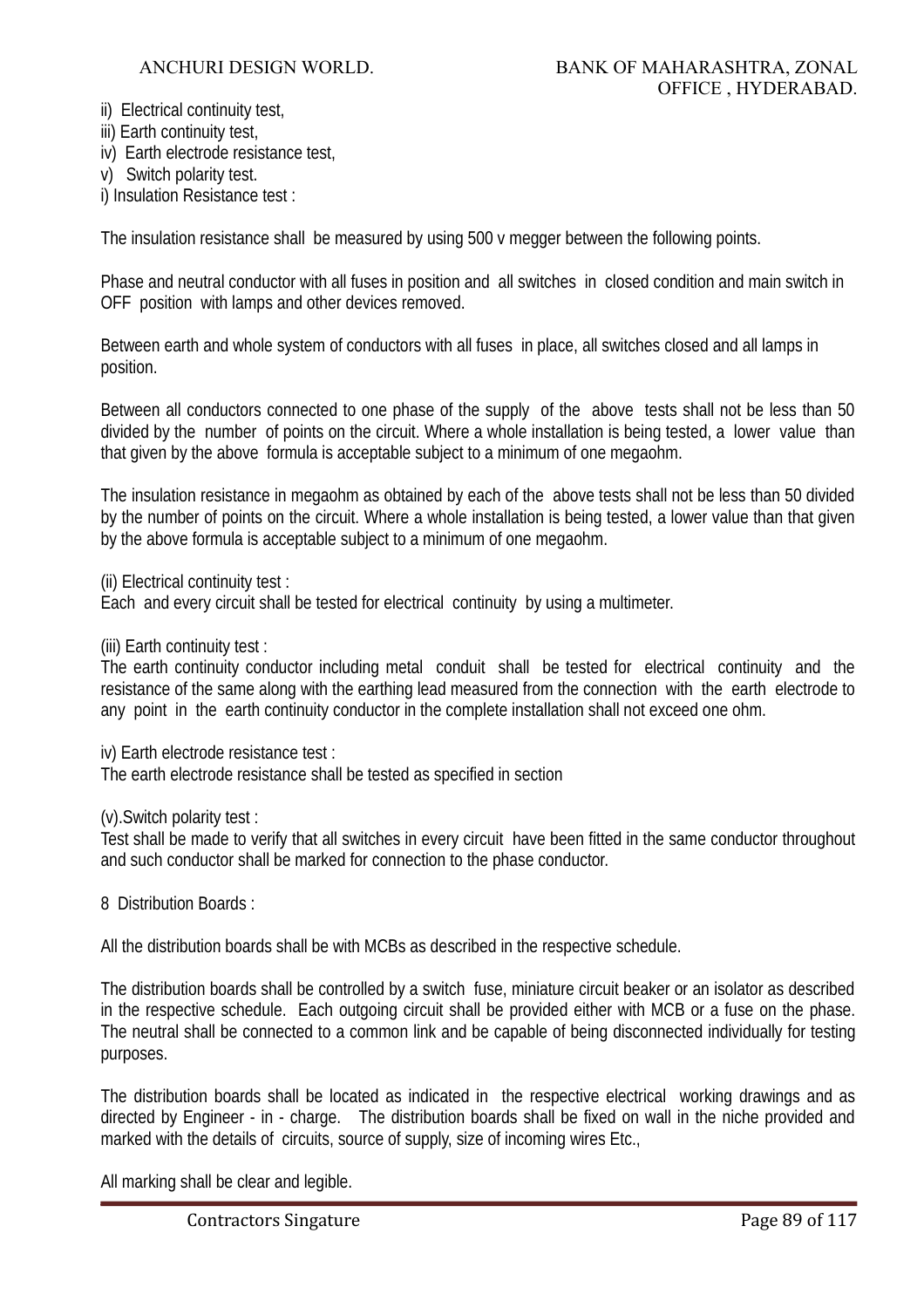ii) Electrical continuity test,

- iii) Earth continuity test,
- iv) Earth electrode resistance test,
- v) Switch polarity test.

i) Insulation Resistance test :

The insulation resistance shall be measured by using 500 v megger between the following points.

Phase and neutral conductor with all fuses in position and all switches in closed condition and main switch in OFF position with lamps and other devices removed.

Between earth and whole system of conductors with all fuses in place, all switches closed and all lamps in position.

Between all conductors connected to one phase of the supply of the above tests shall not be less than 50 divided by the number of points on the circuit. Where a whole installation is being tested, a lower value than that given by the above formula is acceptable subject to a minimum of one megaohm.

The insulation resistance in megaohm as obtained by each of the above tests shall not be less than 50 divided by the number of points on the circuit. Where a whole installation is being tested, a lower value than that given by the above formula is acceptable subject to a minimum of one megaohm.

(ii) Electrical continuity test :

Each and every circuit shall be tested for electrical continuity by using a multimeter.

(iii) Earth continuity test :

The earth continuity conductor including metal conduit shall be tested for electrical continuity and the resistance of the same along with the earthing lead measured from the connection with the earth electrode to any point in the earth continuity conductor in the complete installation shall not exceed one ohm.

iv) Earth electrode resistance test :

The earth electrode resistance shall be tested as specified in section

(v).Switch polarity test :

Test shall be made to verify that all switches in every circuit have been fitted in the same conductor throughout and such conductor shall be marked for connection to the phase conductor.

8 Distribution Boards :

All the distribution boards shall be with MCBs as described in the respective schedule.

The distribution boards shall be controlled by a switch fuse, miniature circuit beaker or an isolator as described in the respective schedule. Each outgoing circuit shall be provided either with MCB or a fuse on the phase. The neutral shall be connected to a common link and be capable of being disconnected individually for testing purposes.

The distribution boards shall be located as indicated in the respective electrical working drawings and as directed by Engineer - in - charge. The distribution boards shall be fixed on wall in the niche provided and marked with the details of circuits, source of supply, size of incoming wires Etc.,

All marking shall be clear and legible.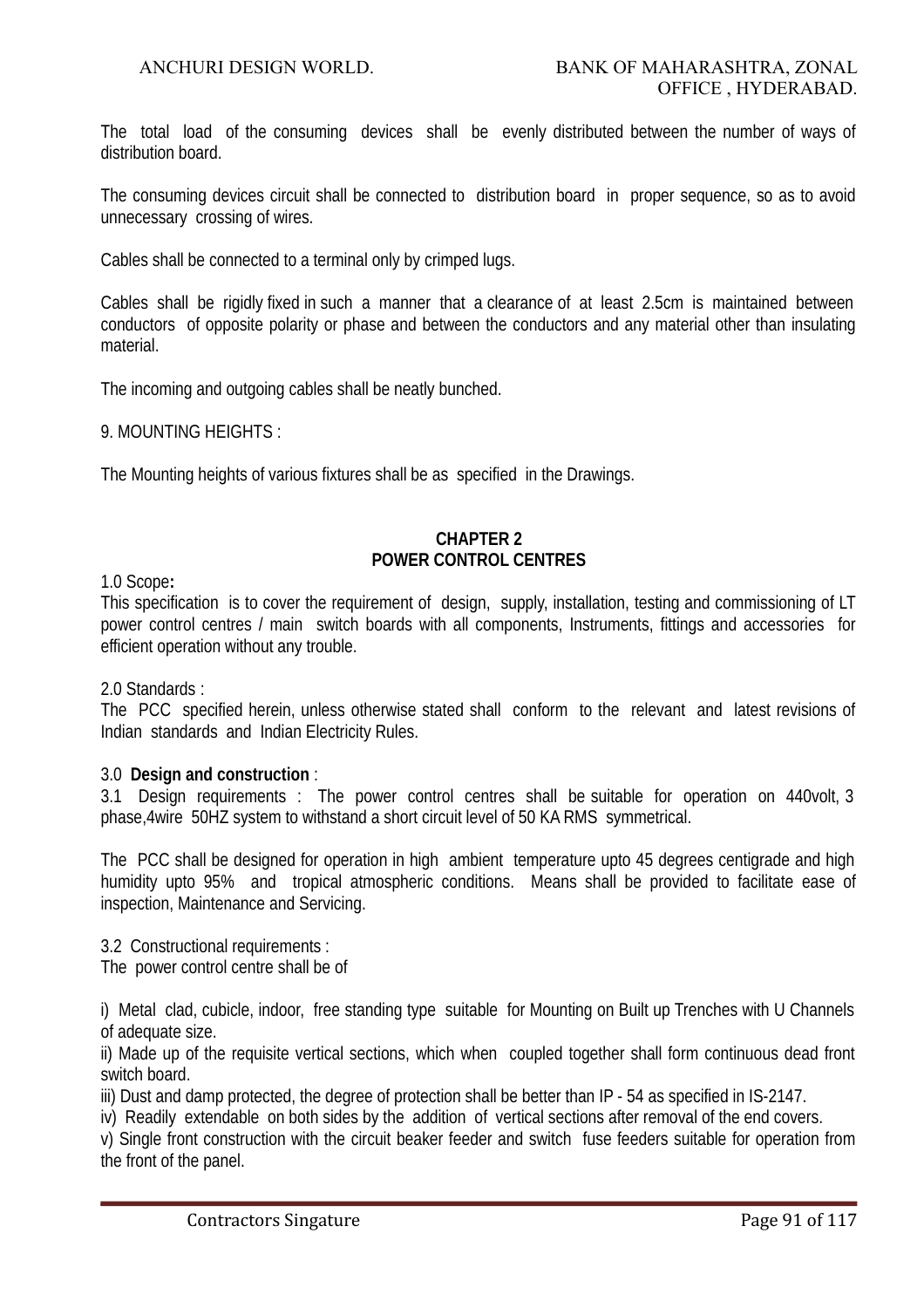The total load of the consuming devices shall be evenly distributed between the number of ways of distribution board.

The consuming devices circuit shall be connected to distribution board in proper sequence, so as to avoid unnecessary crossing of wires.

Cables shall be connected to a terminal only by crimped lugs.

Cables shall be rigidly fixed in such a manner that a clearance of at least 2.5cm is maintained between conductors of opposite polarity or phase and between the conductors and any material other than insulating material.

The incoming and outgoing cables shall be neatly bunched.

9. MOUNTING HEIGHTS :

The Mounting heights of various fixtures shall be as specified in the Drawings.

#### **CHAPTER 2 POWER CONTROL CENTRES**

1.0 Scope**:**

This specification is to cover the requirement of design, supply, installation, testing and commissioning of LT power control centres / main switch boards with all components, Instruments, fittings and accessories for efficient operation without any trouble.

2.0 Standards :

The PCC specified herein, unless otherwise stated shall conform to the relevant and latest revisions of Indian standards and Indian Electricity Rules.

#### 3.0 **Design and construction** :

3.1 Design requirements : The power control centres shall be suitable for operation on 440volt, 3 phase,4wire 50HZ system to withstand a short circuit level of 50 KA RMS symmetrical.

The PCC shall be designed for operation in high ambient temperature upto 45 degrees centigrade and high humidity upto 95% and tropical atmospheric conditions. Means shall be provided to facilitate ease of inspection, Maintenance and Servicing.

3.2 Constructional requirements :

The power control centre shall be of

i) Metal clad, cubicle, indoor, free standing type suitable for Mounting on Built up Trenches with U Channels of adequate size.

ii) Made up of the requisite vertical sections, which when coupled together shall form continuous dead front switch board.

iii) Dust and damp protected, the degree of protection shall be better than IP - 54 as specified in IS-2147.

iv) Readily extendable on both sides by the addition of vertical sections after removal of the end covers.

v) Single front construction with the circuit beaker feeder and switch fuse feeders suitable for operation from the front of the panel.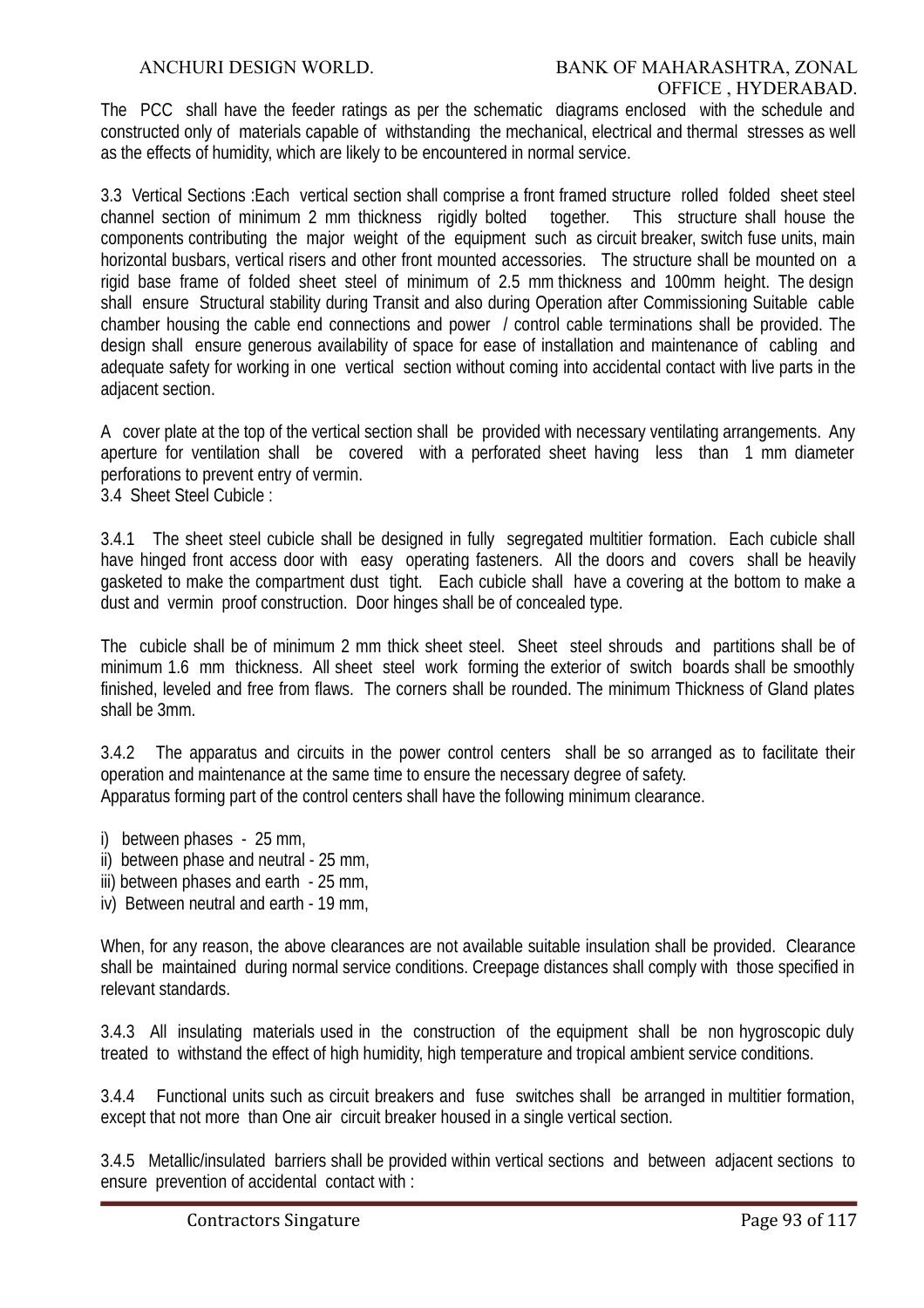The PCC shall have the feeder ratings as per the schematic diagrams enclosed with the schedule and constructed only of materials capable of withstanding the mechanical, electrical and thermal stresses as well as the effects of humidity, which are likely to be encountered in normal service.

3.3 Vertical Sections :Each vertical section shall comprise a front framed structure rolled folded sheet steel channel section of minimum 2 mm thickness rigidly bolted together. This structure shall house the components contributing the major weight of the equipment such as circuit breaker, switch fuse units, main horizontal busbars, vertical risers and other front mounted accessories. The structure shall be mounted on a rigid base frame of folded sheet steel of minimum of 2.5 mm thickness and 100mm height. The design shall ensure Structural stability during Transit and also during Operation after Commissioning Suitable cable chamber housing the cable end connections and power / control cable terminations shall be provided. The design shall ensure generous availability of space for ease of installation and maintenance of cabling and adequate safety for working in one vertical section without coming into accidental contact with live parts in the adjacent section.

A cover plate at the top of the vertical section shall be provided with necessary ventilating arrangements. Any aperture for ventilation shall be covered with a perforated sheet having less than 1 mm diameter perforations to prevent entry of vermin.

3.4 Sheet Steel Cubicle :

3.4.1 The sheet steel cubicle shall be designed in fully segregated multitier formation. Each cubicle shall have hinged front access door with easy operating fasteners. All the doors and covers shall be heavily gasketed to make the compartment dust tight. Each cubicle shall have a covering at the bottom to make a dust and vermin proof construction. Door hinges shall be of concealed type.

The cubicle shall be of minimum 2 mm thick sheet steel. Sheet steel shrouds and partitions shall be of minimum 1.6 mm thickness. All sheet steel work forming the exterior of switch boards shall be smoothly finished, leveled and free from flaws. The corners shall be rounded. The minimum Thickness of Gland plates shall be 3mm.

3.4.2 The apparatus and circuits in the power control centers shall be so arranged as to facilitate their operation and maintenance at the same time to ensure the necessary degree of safety. Apparatus forming part of the control centers shall have the following minimum clearance.

- i) between phases 25 mm,
- ii) between phase and neutral 25 mm,
- iii) between phases and earth 25 mm,
- iv) Between neutral and earth 19 mm,

When, for any reason, the above clearances are not available suitable insulation shall be provided. Clearance shall be maintained during normal service conditions. Creepage distances shall comply with those specified in relevant standards.

3.4.3 All insulating materials used in the construction of the equipment shall be non hygroscopic duly treated to withstand the effect of high humidity, high temperature and tropical ambient service conditions.

3.4.4 Functional units such as circuit breakers and fuse switches shall be arranged in multitier formation, except that not more than One air circuit breaker housed in a single vertical section.

3.4.5 Metallic/insulated barriers shall be provided within vertical sections and between adjacent sections to ensure prevention of accidental contact with :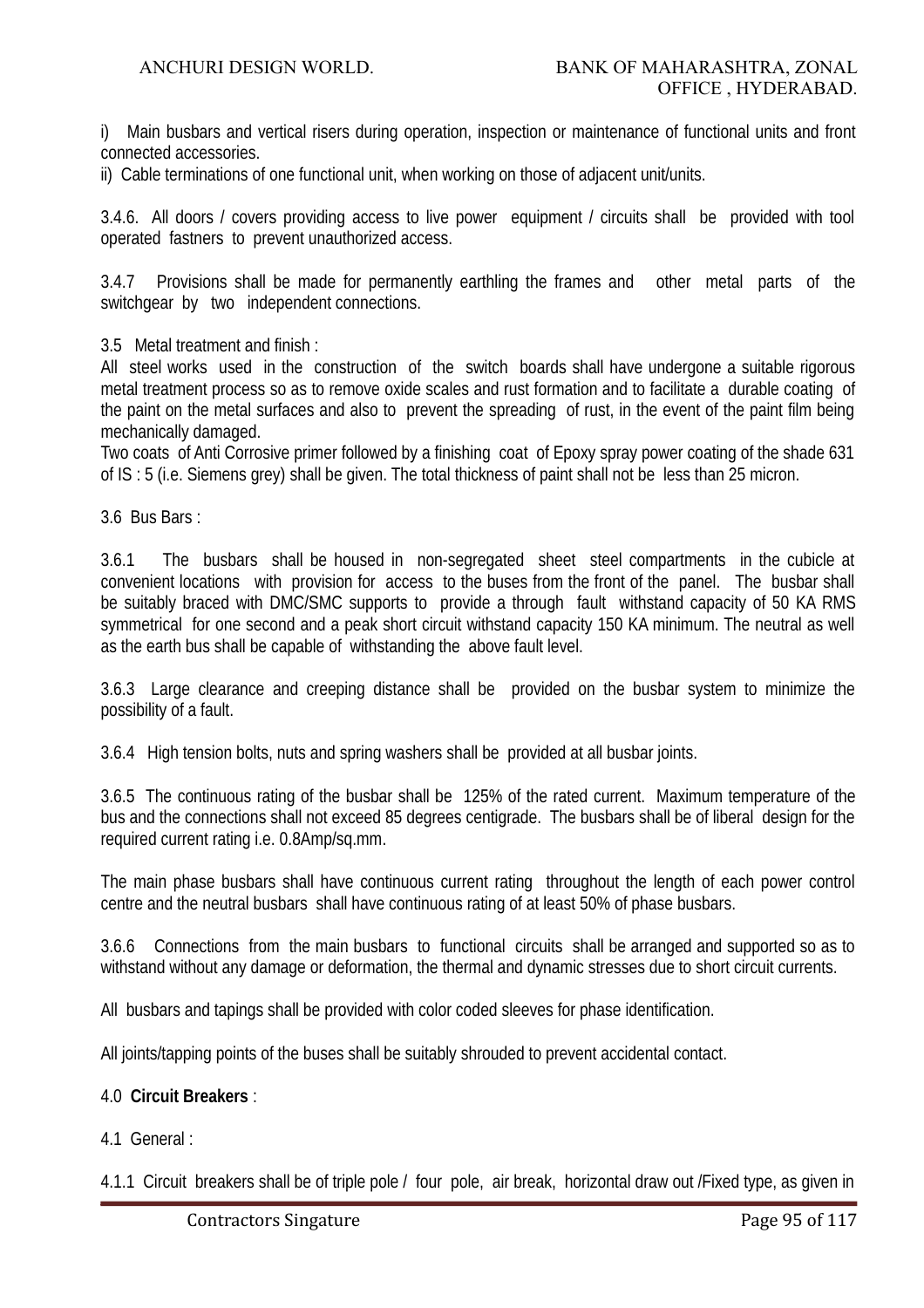i) Main busbars and vertical risers during operation, inspection or maintenance of functional units and front connected accessories.

ii) Cable terminations of one functional unit, when working on those of adjacent unit/units.

3.4.6. All doors / covers providing access to live power equipment / circuits shall be provided with tool operated fastners to prevent unauthorized access.

3.4.7 Provisions shall be made for permanently earthling the frames and other metal parts of the switchgear by two independent connections.

3.5 Metal treatment and finish :

All steel works used in the construction of the switch boards shall have undergone a suitable rigorous metal treatment process so as to remove oxide scales and rust formation and to facilitate a durable coating of the paint on the metal surfaces and also to prevent the spreading of rust, in the event of the paint film being mechanically damaged.

Two coats of Anti Corrosive primer followed by a finishing coat of Epoxy spray power coating of the shade 631 of IS : 5 (i.e. Siemens grey) shall be given. The total thickness of paint shall not be less than 25 micron.

3.6 Bus Bars :

3.6.1 The busbars shall be housed in non-segregated sheet steel compartments in the cubicle at convenient locations with provision for access to the buses from the front of the panel. The busbar shall be suitably braced with DMC/SMC supports to provide a through fault withstand capacity of 50 KA RMS symmetrical for one second and a peak short circuit withstand capacity 150 KA minimum. The neutral as well as the earth bus shall be capable of withstanding the above fault level.

3.6.3 Large clearance and creeping distance shall be provided on the busbar system to minimize the possibility of a fault.

3.6.4 High tension bolts, nuts and spring washers shall be provided at all busbar joints.

3.6.5 The continuous rating of the busbar shall be 125% of the rated current. Maximum temperature of the bus and the connections shall not exceed 85 degrees centigrade. The busbars shall be of liberal design for the required current rating i.e. 0.8Amp/sq.mm.

The main phase busbars shall have continuous current rating throughout the length of each power control centre and the neutral busbars shall have continuous rating of at least 50% of phase busbars.

3.6.6 Connections from the main busbars to functional circuits shall be arranged and supported so as to withstand without any damage or deformation, the thermal and dynamic stresses due to short circuit currents.

All busbars and tapings shall be provided with color coded sleeves for phase identification.

All joints/tapping points of the buses shall be suitably shrouded to prevent accidental contact.

# 4.0 **Circuit Breakers** :

4.1 General :

4.1.1 Circuit breakers shall be of triple pole / four pole, air break, horizontal draw out /Fixed type, as given in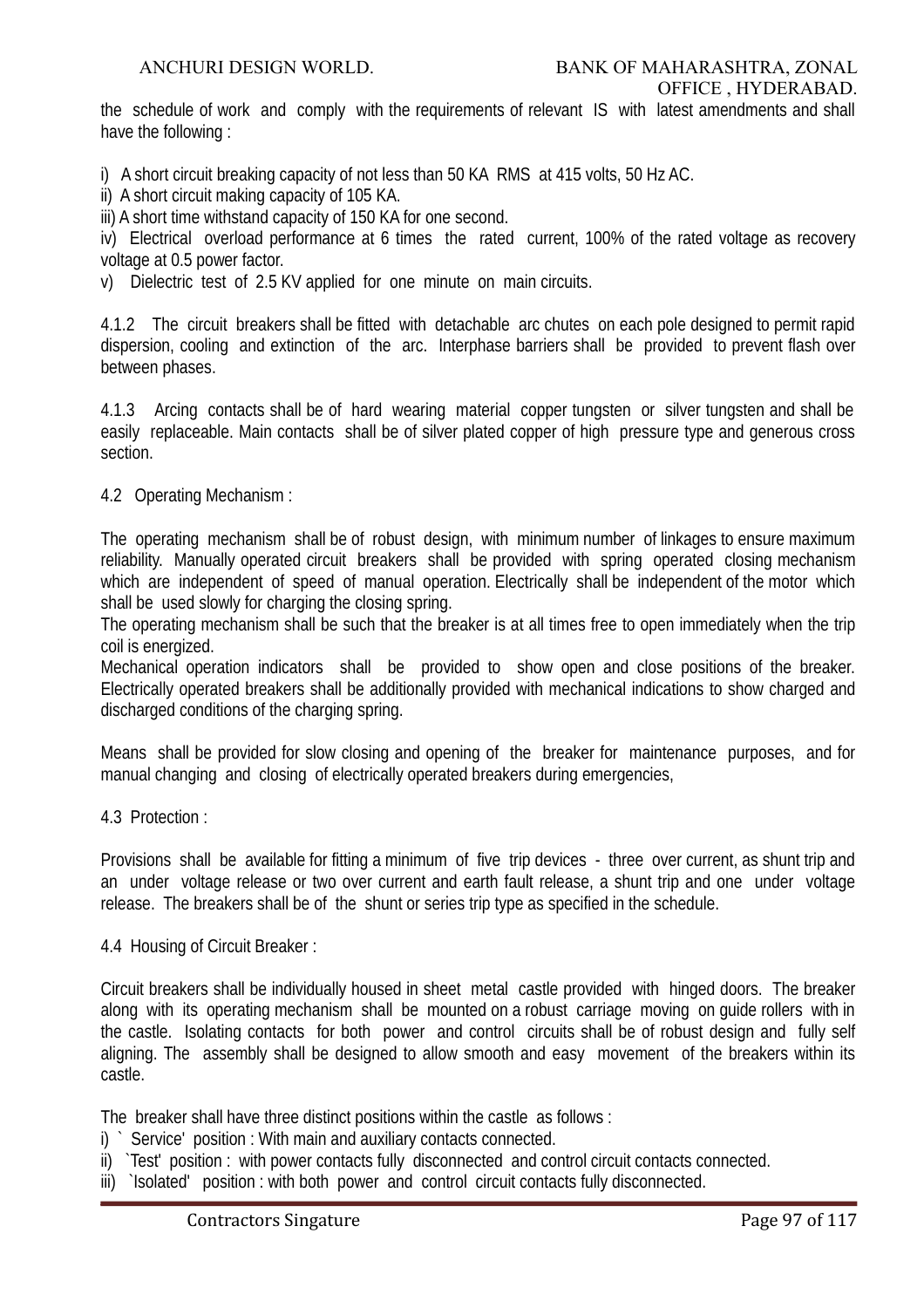the schedule of work and comply with the requirements of relevant IS with latest amendments and shall have the following :

i) A short circuit breaking capacity of not less than 50 KA RMS at 415 volts, 50 Hz AC.

ii) A short circuit making capacity of 105 KA.

iii) A short time withstand capacity of 150 KA for one second.

iv) Electrical overload performance at 6 times the rated current, 100% of the rated voltage as recovery voltage at 0.5 power factor.

v) Dielectric test of 2.5 KV applied for one minute on main circuits.

4.1.2 The circuit breakers shall be fitted with detachable arc chutes on each pole designed to permit rapid dispersion, cooling and extinction of the arc. Interphase barriers shall be provided to prevent flash over between phases.

4.1.3 Arcing contacts shall be of hard wearing material copper tungsten or silver tungsten and shall be easily replaceable. Main contacts shall be of silver plated copper of high pressure type and generous cross section.

4.2 Operating Mechanism :

The operating mechanism shall be of robust design, with minimum number of linkages to ensure maximum reliability. Manually operated circuit breakers shall be provided with spring operated closing mechanism which are independent of speed of manual operation. Electrically shall be independent of the motor which shall be used slowly for charging the closing spring.

The operating mechanism shall be such that the breaker is at all times free to open immediately when the trip coil is energized.

Mechanical operation indicators shall be provided to show open and close positions of the breaker. Electrically operated breakers shall be additionally provided with mechanical indications to show charged and discharged conditions of the charging spring.

Means shall be provided for slow closing and opening of the breaker for maintenance purposes, and for manual changing and closing of electrically operated breakers during emergencies,

4.3 Protection :

Provisions shall be available for fitting a minimum of five trip devices - three over current, as shunt trip and an under voltage release or two over current and earth fault release, a shunt trip and one under voltage release. The breakers shall be of the shunt or series trip type as specified in the schedule.

4.4 Housing of Circuit Breaker :

Circuit breakers shall be individually housed in sheet metal castle provided with hinged doors. The breaker along with its operating mechanism shall be mounted on a robust carriage moving on guide rollers with in the castle. Isolating contacts for both power and control circuits shall be of robust design and fully self aligning. The assembly shall be designed to allow smooth and easy movement of the breakers within its castle.

The breaker shall have three distinct positions within the castle as follows :

- i) ` Service' position : With main and auxiliary contacts connected.
- ii) `Test' position : with power contacts fully disconnected and control circuit contacts connected.
- iii) `Isolated' position : with both power and control circuit contacts fully disconnected.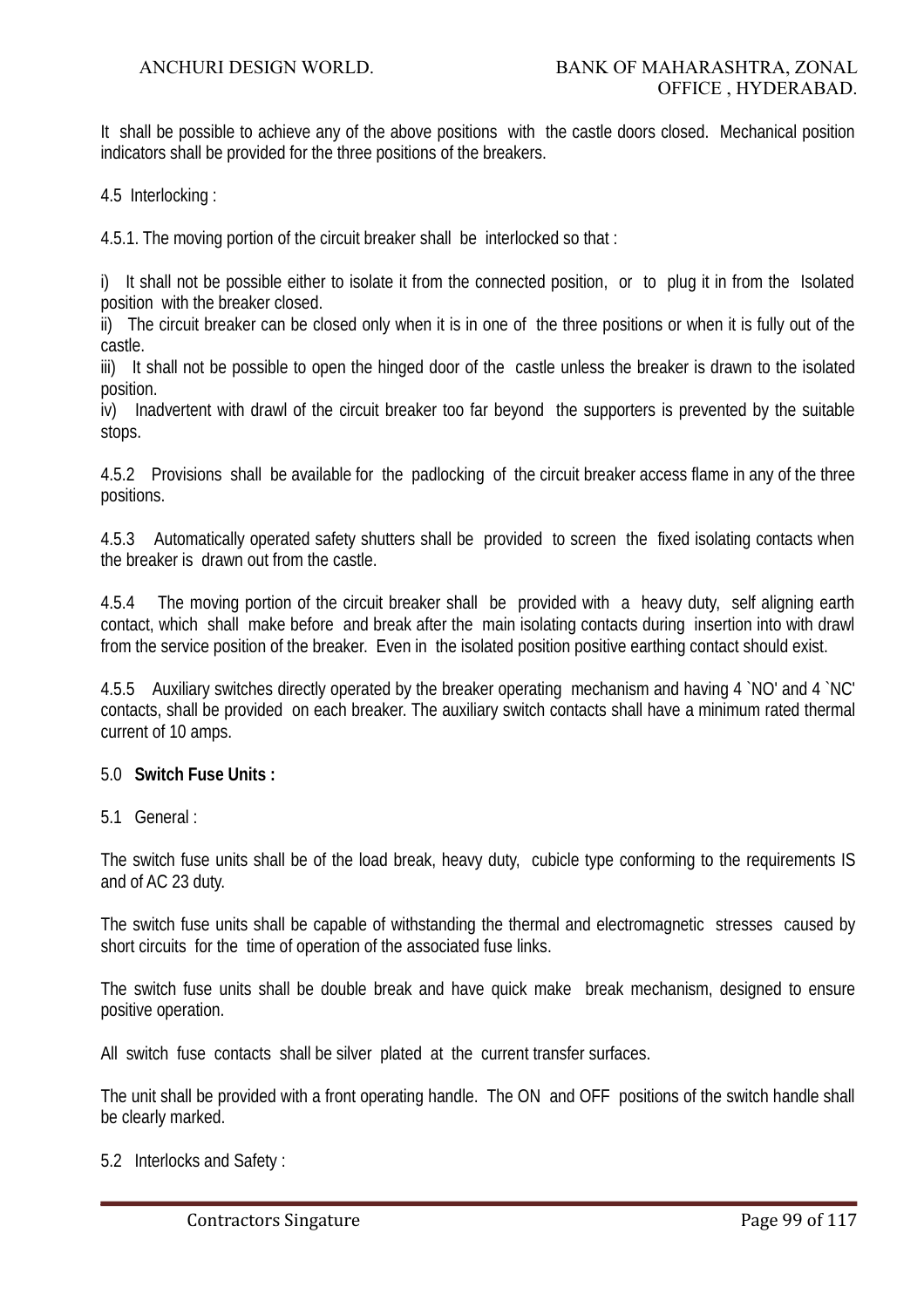It shall be possible to achieve any of the above positions with the castle doors closed. Mechanical position indicators shall be provided for the three positions of the breakers.

4.5 Interlocking :

4.5.1. The moving portion of the circuit breaker shall be interlocked so that :

i) It shall not be possible either to isolate it from the connected position, or to plug it in from the Isolated position with the breaker closed.

ii) The circuit breaker can be closed only when it is in one of the three positions or when it is fully out of the castle.

iii) It shall not be possible to open the hinged door of the castle unless the breaker is drawn to the isolated position.

iv) Inadvertent with drawl of the circuit breaker too far beyond the supporters is prevented by the suitable stops.

4.5.2 Provisions shall be available for the padlocking of the circuit breaker access flame in any of the three positions.

4.5.3 Automatically operated safety shutters shall be provided to screen the fixed isolating contacts when the breaker is drawn out from the castle.

4.5.4 The moving portion of the circuit breaker shall be provided with a heavy duty, self aligning earth contact, which shall make before and break after the main isolating contacts during insertion into with drawl from the service position of the breaker. Even in the isolated position positive earthing contact should exist.

4.5.5 Auxiliary switches directly operated by the breaker operating mechanism and having 4 `NO' and 4 `NC' contacts, shall be provided on each breaker. The auxiliary switch contacts shall have a minimum rated thermal current of 10 amps.

#### 5.0 **Switch Fuse Units :**

5.1 General :

The switch fuse units shall be of the load break, heavy duty, cubicle type conforming to the requirements IS and of AC 23 duty.

The switch fuse units shall be capable of withstanding the thermal and electromagnetic stresses caused by short circuits for the time of operation of the associated fuse links.

The switch fuse units shall be double break and have quick make break mechanism, designed to ensure positive operation.

All switch fuse contacts shall be silver plated at the current transfer surfaces.

The unit shall be provided with a front operating handle. The ON and OFF positions of the switch handle shall be clearly marked.

5.2 Interlocks and Safety :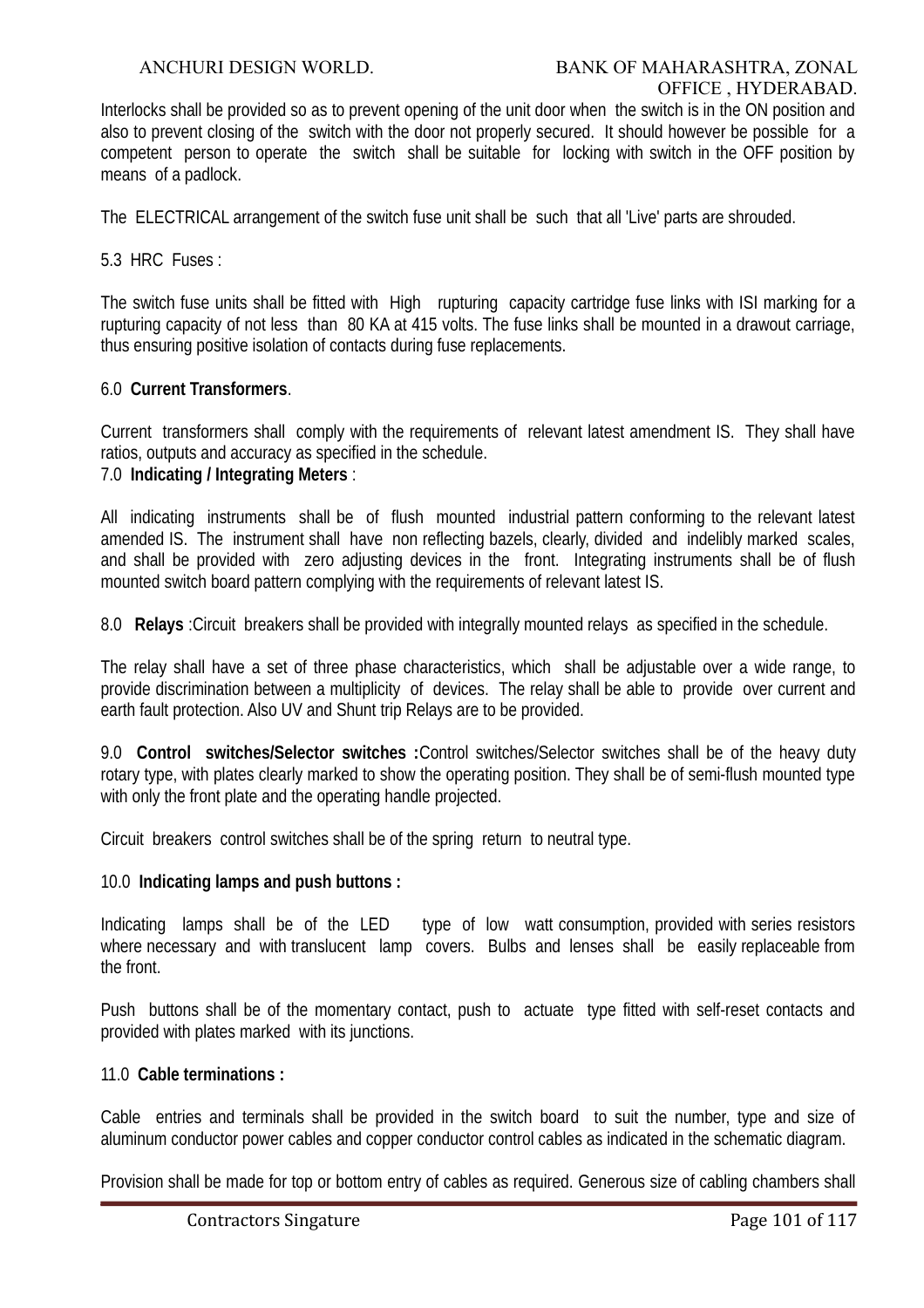Interlocks shall be provided so as to prevent opening of the unit door when the switch is in the ON position and also to prevent closing of the switch with the door not properly secured. It should however be possible for a competent person to operate the switch shall be suitable for locking with switch in the OFF position by means of a padlock.

The ELECTRICAL arrangement of the switch fuse unit shall be such that all 'Live' parts are shrouded.

5.3 HRC Fuses :

The switch fuse units shall be fitted with High rupturing capacity cartridge fuse links with ISI marking for a rupturing capacity of not less than 80 KA at 415 volts. The fuse links shall be mounted in a drawout carriage, thus ensuring positive isolation of contacts during fuse replacements.

#### 6.0 **Current Transformers**.

Current transformers shall comply with the requirements of relevant latest amendment IS. They shall have ratios, outputs and accuracy as specified in the schedule.

### 7.0 **Indicating / Integrating Meters** :

All indicating instruments shall be of flush mounted industrial pattern conforming to the relevant latest amended IS. The instrument shall have non reflecting bazels, clearly, divided and indelibly marked scales, and shall be provided with zero adjusting devices in the front. Integrating instruments shall be of flush mounted switch board pattern complying with the requirements of relevant latest IS.

8.0 **Relays** :Circuit breakers shall be provided with integrally mounted relays as specified in the schedule.

The relay shall have a set of three phase characteristics, which shall be adjustable over a wide range, to provide discrimination between a multiplicity of devices. The relay shall be able to provide over current and earth fault protection. Also UV and Shunt trip Relays are to be provided.

9.0 **Control switches/Selector switches :**Control switches/Selector switches shall be of the heavy duty rotary type, with plates clearly marked to show the operating position. They shall be of semi-flush mounted type with only the front plate and the operating handle projected.

Circuit breakers control switches shall be of the spring return to neutral type.

#### 10.0 **Indicating lamps and push buttons :**

Indicating lamps shall be of the LED type of low watt consumption, provided with series resistors where necessary and with translucent lamp covers. Bulbs and lenses shall be easily replaceable from the front.

Push buttons shall be of the momentary contact, push to actuate type fitted with self-reset contacts and provided with plates marked with its junctions.

### 11.0 **Cable terminations :**

Cable entries and terminals shall be provided in the switch board to suit the number, type and size of aluminum conductor power cables and copper conductor control cables as indicated in the schematic diagram.

Provision shall be made for top or bottom entry of cables as required. Generous size of cabling chambers shall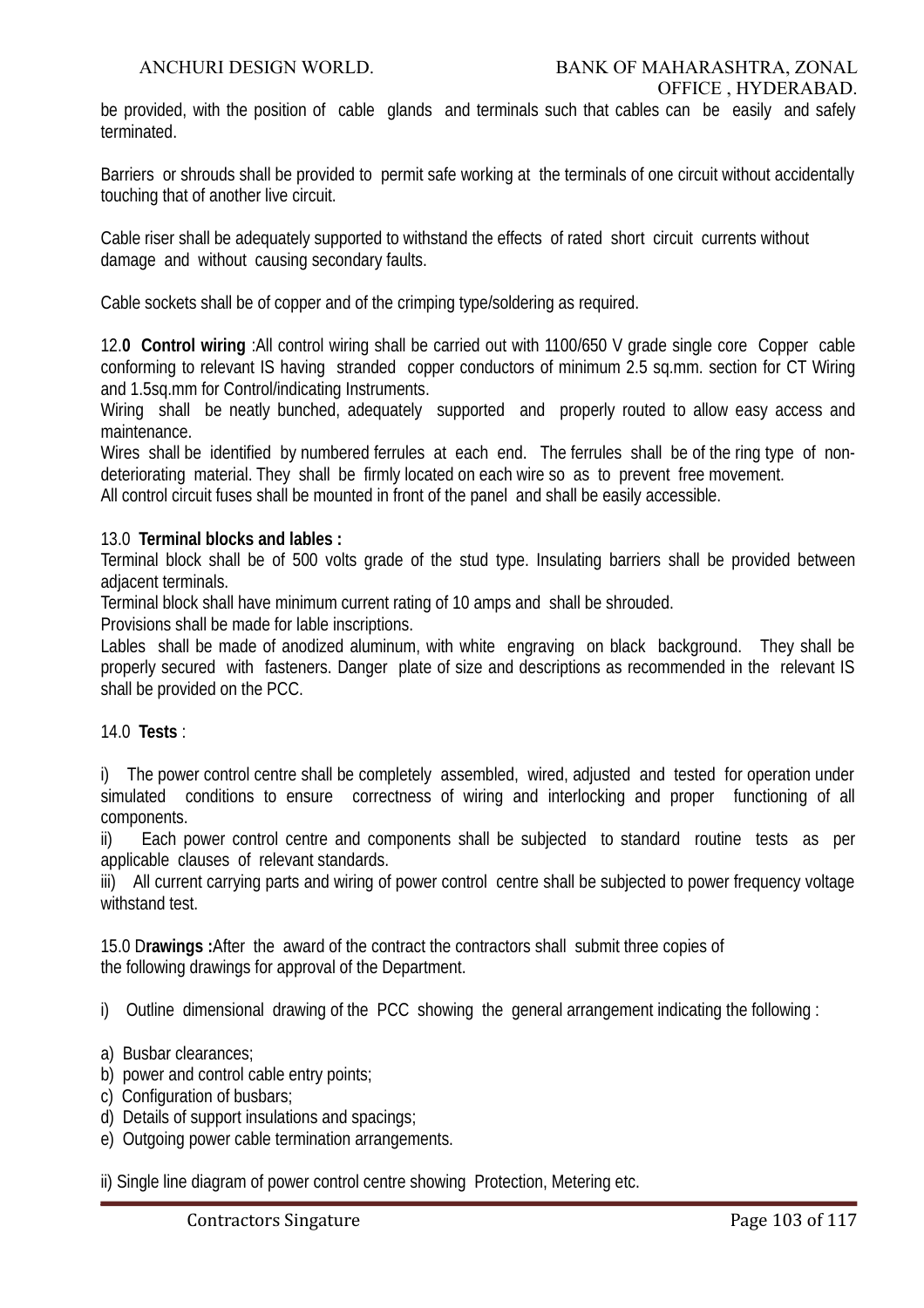be provided, with the position of cable glands and terminals such that cables can be easily and safely terminated.

Barriers or shrouds shall be provided to permit safe working at the terminals of one circuit without accidentally touching that of another live circuit.

Cable riser shall be adequately supported to withstand the effects of rated short circuit currents without damage and without causing secondary faults.

Cable sockets shall be of copper and of the crimping type/soldering as required.

12.**0 Control wiring** :All control wiring shall be carried out with 1100/650 V grade single core Copper cable conforming to relevant IS having stranded copper conductors of minimum 2.5 sq.mm. section for CT Wiring and 1.5sq.mm for Control/indicating Instruments.

Wiring shall be neatly bunched, adequately supported and properly routed to allow easy access and maintenance.

Wires shall be identified by numbered ferrules at each end. The ferrules shall be of the ring type of nondeteriorating material. They shall be firmly located on each wire so as to prevent free movement.

All control circuit fuses shall be mounted in front of the panel and shall be easily accessible.

#### 13.0 **Terminal blocks and lables :**

Terminal block shall be of 500 volts grade of the stud type. Insulating barriers shall be provided between adjacent terminals.

Terminal block shall have minimum current rating of 10 amps and shall be shrouded.

Provisions shall be made for lable inscriptions.

Lables shall be made of anodized aluminum, with white engraving on black background. They shall be properly secured with fasteners. Danger plate of size and descriptions as recommended in the relevant IS shall be provided on the PCC.

#### 14.0 **Tests** :

i) The power control centre shall be completely assembled, wired, adjusted and tested for operation under simulated conditions to ensure correctness of wiring and interlocking and proper functioning of all components.

ii) Each power control centre and components shall be subjected to standard routine tests as per applicable clauses of relevant standards.

iii) All current carrying parts and wiring of power control centre shall be subjected to power frequency voltage withstand test.

15.0 D**rawings :**After the award of the contract the contractors shall submit three copies of the following drawings for approval of the Department.

i) Outline dimensional drawing of the PCC showing the general arrangement indicating the following :

- a) Busbar clearances;
- b) power and control cable entry points;
- c) Configuration of busbars;
- d) Details of support insulations and spacings;
- e) Outgoing power cable termination arrangements.

ii) Single line diagram of power control centre showing Protection, Metering etc.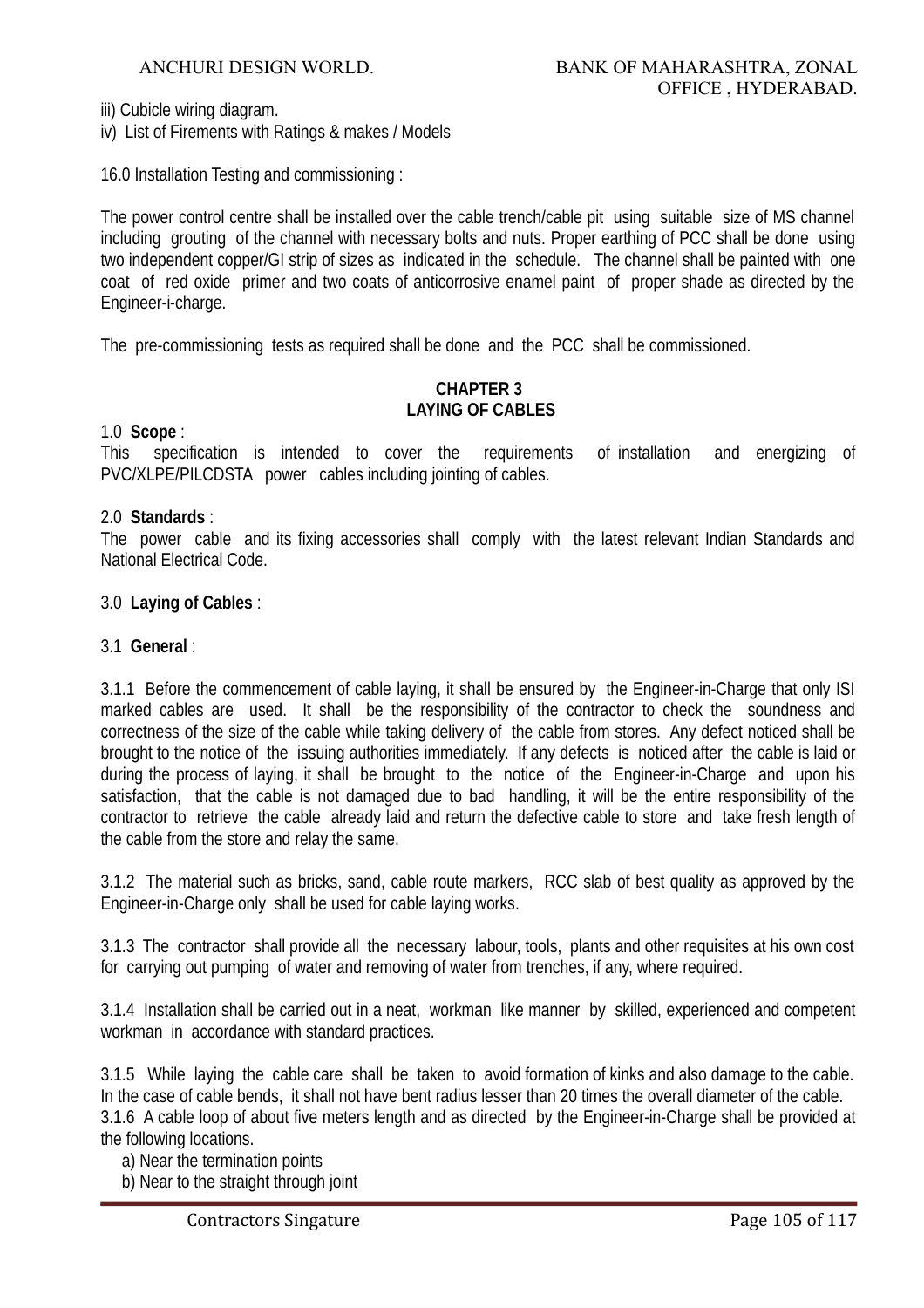iii) Cubicle wiring diagram.

iv) List of Firements with Ratings & makes / Models

16.0 Installation Testing and commissioning :

The power control centre shall be installed over the cable trench/cable pit using suitable size of MS channel including grouting of the channel with necessary bolts and nuts. Proper earthing of PCC shall be done using two independent copper/GI strip of sizes as indicated in the schedule. The channel shall be painted with one coat of red oxide primer and two coats of anticorrosive enamel paint of proper shade as directed by the Engineer-i-charge.

The pre-commissioning tests as required shall be done and the PCC shall be commissioned.

# **CHAPTER 3 LAYING OF CABLES**

#### 1.0 **Scope** :

This specification is intended to cover the requirements of installation and energizing of PVC/XLPE/PILCDSTA power cables including jointing of cables.

#### 2.0 **Standards** :

The power cable and its fixing accessories shall comply with the latest relevant Indian Standards and National Electrical Code.

#### 3.0 **Laying of Cables** :

#### 3.1 **General** :

3.1.1 Before the commencement of cable laying, it shall be ensured by the Engineer-in-Charge that only ISI marked cables are used. It shall be the responsibility of the contractor to check the soundness and correctness of the size of the cable while taking delivery of the cable from stores. Any defect noticed shall be brought to the notice of the issuing authorities immediately. If any defects is noticed after the cable is laid or during the process of laying, it shall be brought to the notice of the Engineer-in-Charge and upon his satisfaction, that the cable is not damaged due to bad handling, it will be the entire responsibility of the contractor to retrieve the cable already laid and return the defective cable to store and take fresh length of the cable from the store and relay the same.

3.1.2 The material such as bricks, sand, cable route markers, RCC slab of best quality as approved by the Engineer-in-Charge only shall be used for cable laying works.

3.1.3 The contractor shall provide all the necessary labour, tools, plants and other requisites at his own cost for carrying out pumping of water and removing of water from trenches, if any, where required.

3.1.4 Installation shall be carried out in a neat, workman like manner by skilled, experienced and competent workman in accordance with standard practices.

3.1.5 While laying the cable care shall be taken to avoid formation of kinks and also damage to the cable. In the case of cable bends, it shall not have bent radius lesser than 20 times the overall diameter of the cable. 3.1.6 A cable loop of about five meters length and as directed by the Engineer-in-Charge shall be provided at the following locations.

a) Near the termination points

b) Near to the straight through joint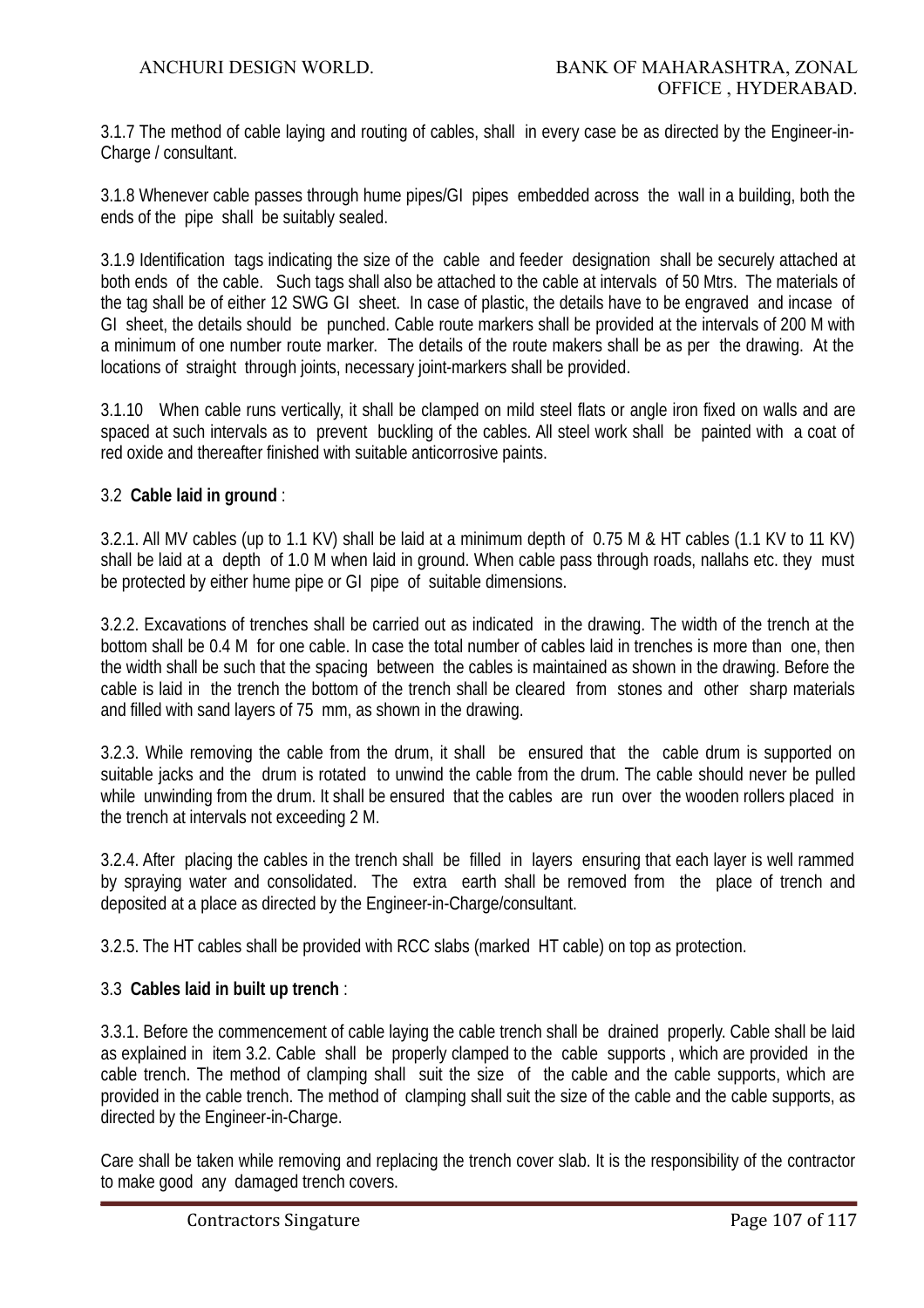3.1.7 The method of cable laying and routing of cables, shall in every case be as directed by the Engineer-in-Charge / consultant.

3.1.8 Whenever cable passes through hume pipes/GI pipes embedded across the wall in a building, both the ends of the pipe shall be suitably sealed.

3.1.9 Identification tags indicating the size of the cable and feeder designation shall be securely attached at both ends of the cable. Such tags shall also be attached to the cable at intervals of 50 Mtrs. The materials of the tag shall be of either 12 SWG GI sheet. In case of plastic, the details have to be engraved and incase of GI sheet, the details should be punched. Cable route markers shall be provided at the intervals of 200 M with a minimum of one number route marker. The details of the route makers shall be as per the drawing. At the locations of straight through joints, necessary joint-markers shall be provided.

3.1.10 When cable runs vertically, it shall be clamped on mild steel flats or angle iron fixed on walls and are spaced at such intervals as to prevent buckling of the cables. All steel work shall be painted with a coat of red oxide and thereafter finished with suitable anticorrosive paints.

# 3.2 **Cable laid in ground** :

3.2.1. All MV cables (up to 1.1 KV) shall be laid at a minimum depth of 0.75 M & HT cables (1.1 KV to 11 KV) shall be laid at a depth of 1.0 M when laid in ground. When cable pass through roads, nallahs etc. they must be protected by either hume pipe or GI pipe of suitable dimensions.

3.2.2. Excavations of trenches shall be carried out as indicated in the drawing. The width of the trench at the bottom shall be 0.4 M for one cable. In case the total number of cables laid in trenches is more than one, then the width shall be such that the spacing between the cables is maintained as shown in the drawing. Before the cable is laid in the trench the bottom of the trench shall be cleared from stones and other sharp materials and filled with sand layers of 75 mm, as shown in the drawing.

3.2.3. While removing the cable from the drum, it shall be ensured that the cable drum is supported on suitable jacks and the drum is rotated to unwind the cable from the drum. The cable should never be pulled while unwinding from the drum. It shall be ensured that the cables are run over the wooden rollers placed in the trench at intervals not exceeding 2 M.

3.2.4. After placing the cables in the trench shall be filled in layers ensuring that each layer is well rammed by spraying water and consolidated. The extra earth shall be removed from the place of trench and deposited at a place as directed by the Engineer-in-Charge/consultant.

3.2.5. The HT cables shall be provided with RCC slabs (marked HT cable) on top as protection.

# 3.3 **Cables laid in built up trench** :

3.3.1. Before the commencement of cable laying the cable trench shall be drained properly. Cable shall be laid as explained in item 3.2. Cable shall be properly clamped to the cable supports , which are provided in the cable trench. The method of clamping shall suit the size of the cable and the cable supports, which are provided in the cable trench. The method of clamping shall suit the size of the cable and the cable supports, as directed by the Engineer-in-Charge.

Care shall be taken while removing and replacing the trench cover slab. It is the responsibility of the contractor to make good any damaged trench covers.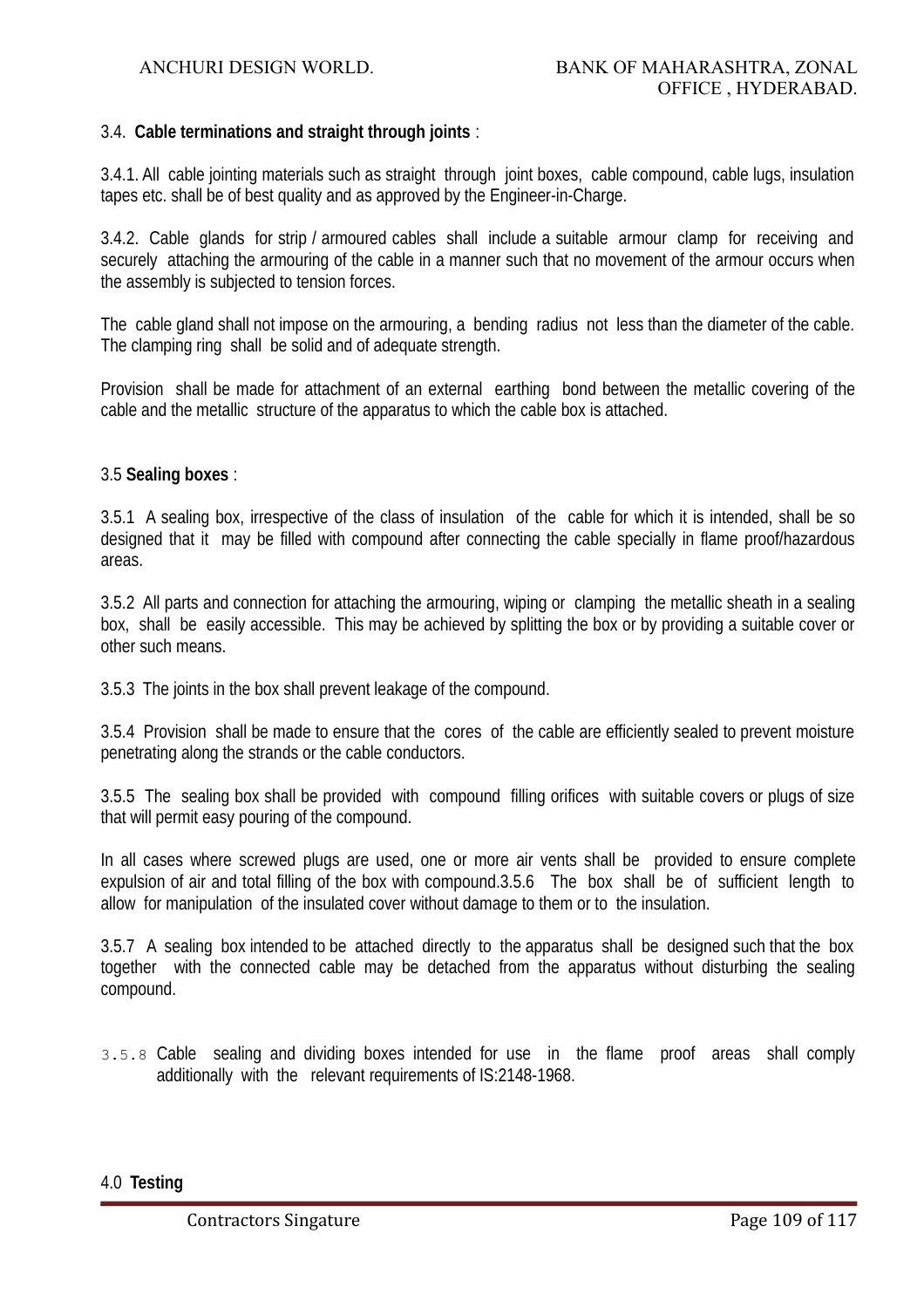#### 3.4. **Cable terminations and straight through joints** :

3.4.1. All cable jointing materials such as straight through joint boxes, cable compound, cable lugs, insulation tapes etc. shall be of best quality and as approved by the Engineer-in-Charge.

3.4.2. Cable glands for strip / armoured cables shall include a suitable armour clamp for receiving and securely attaching the armouring of the cable in a manner such that no movement of the armour occurs when the assembly is subjected to tension forces.

The cable gland shall not impose on the armouring, a bending radius not less than the diameter of the cable. The clamping ring shall be solid and of adequate strength.

Provision shall be made for attachment of an external earthing bond between the metallic covering of the cable and the metallic structure of the apparatus to which the cable box is attached.

#### 3.5 **Sealing boxes** :

3.5.1 A sealing box, irrespective of the class of insulation of the cable for which it is intended, shall be so designed that it may be filled with compound after connecting the cable specially in flame proof/hazardous areas.

3.5.2 All parts and connection for attaching the armouring, wiping or clamping the metallic sheath in a sealing box, shall be easily accessible. This may be achieved by splitting the box or by providing a suitable cover or other such means.

3.5.3 The joints in the box shall prevent leakage of the compound.

3.5.4 Provision shall be made to ensure that the cores of the cable are efficiently sealed to prevent moisture penetrating along the strands or the cable conductors.

3.5.5 The sealing box shall be provided with compound filling orifices with suitable covers or plugs of size that will permit easy pouring of the compound.

In all cases where screwed plugs are used, one or more air vents shall be provided to ensure complete expulsion of air and total filling of the box with compound.3.5.6 The box shall be of sufficient length to allow for manipulation of the insulated cover without damage to them or to the insulation.

3.5.7 A sealing box intended to be attached directly to the apparatus shall be designed such that the box together with the connected cable may be detached from the apparatus without disturbing the sealing compound.

3.5.8 Cable sealing and dividing boxes intended for use in the flame proof areas shall comply additionally with the relevant requirements of IS:2148-1968.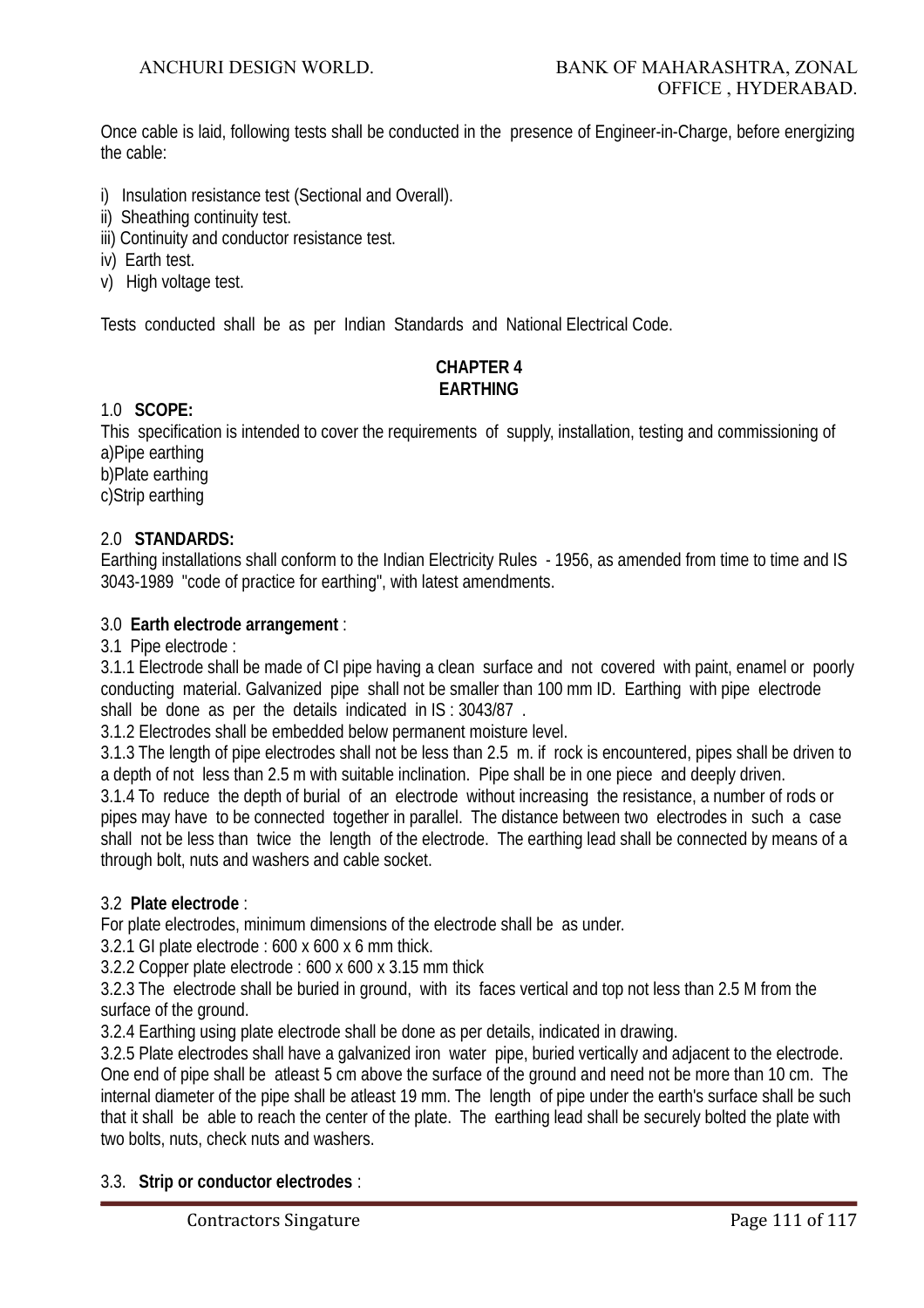Once cable is laid, following tests shall be conducted in the presence of Engineer-in-Charge, before energizing the cable:

- i) Insulation resistance test (Sectional and Overall).
- ii) Sheathing continuity test.
- iii) Continuity and conductor resistance test.
- iv) Earth test.
- v) High voltage test.

Tests conducted shall be as per Indian Standards and National Electrical Code.

# **CHAPTER 4 EARTHING**

#### 1.0 **SCOPE:**

This specification is intended to cover the requirements of supply, installation, testing and commissioning of a)Pipe earthing

b)Plate earthing c)Strip earthing

## 2.0 **STANDARDS:**

Earthing installations shall conform to the Indian Electricity Rules - 1956, as amended from time to time and IS 3043-1989 "code of practice for earthing", with latest amendments.

## 3.0 **Earth electrode arrangement** :

3.1 Pipe electrode :

3.1.1 Electrode shall be made of CI pipe having a clean surface and not covered with paint, enamel or poorly conducting material. Galvanized pipe shall not be smaller than 100 mm ID. Earthing with pipe electrode shall be done as per the details indicated in IS : 3043/87 .

3.1.2 Electrodes shall be embedded below permanent moisture level.

3.1.3 The length of pipe electrodes shall not be less than 2.5 m. if rock is encountered, pipes shall be driven to a depth of not less than 2.5 m with suitable inclination. Pipe shall be in one piece and deeply driven. 3.1.4 To reduce the depth of burial of an electrode without increasing the resistance, a number of rods or pipes may have to be connected together in parallel. The distance between two electrodes in such a case shall not be less than twice the length of the electrode. The earthing lead shall be connected by means of a through bolt, nuts and washers and cable socket.

# 3.2 **Plate electrode** :

For plate electrodes, minimum dimensions of the electrode shall be as under.

3.2.1 GI plate electrode : 600 x 600 x 6 mm thick.

3.2.2 Copper plate electrode : 600 x 600 x 3.15 mm thick

3.2.3 The electrode shall be buried in ground, with its faces vertical and top not less than 2.5 M from the surface of the ground.

3.2.4 Earthing using plate electrode shall be done as per details, indicated in drawing.

3.2.5 Plate electrodes shall have a galvanized iron water pipe, buried vertically and adjacent to the electrode. One end of pipe shall be atleast 5 cm above the surface of the ground and need not be more than 10 cm. The internal diameter of the pipe shall be atleast 19 mm. The length of pipe under the earth's surface shall be such that it shall be able to reach the center of the plate. The earthing lead shall be securely bolted the plate with two bolts, nuts, check nuts and washers.

# 3.3. **Strip or conductor electrodes** :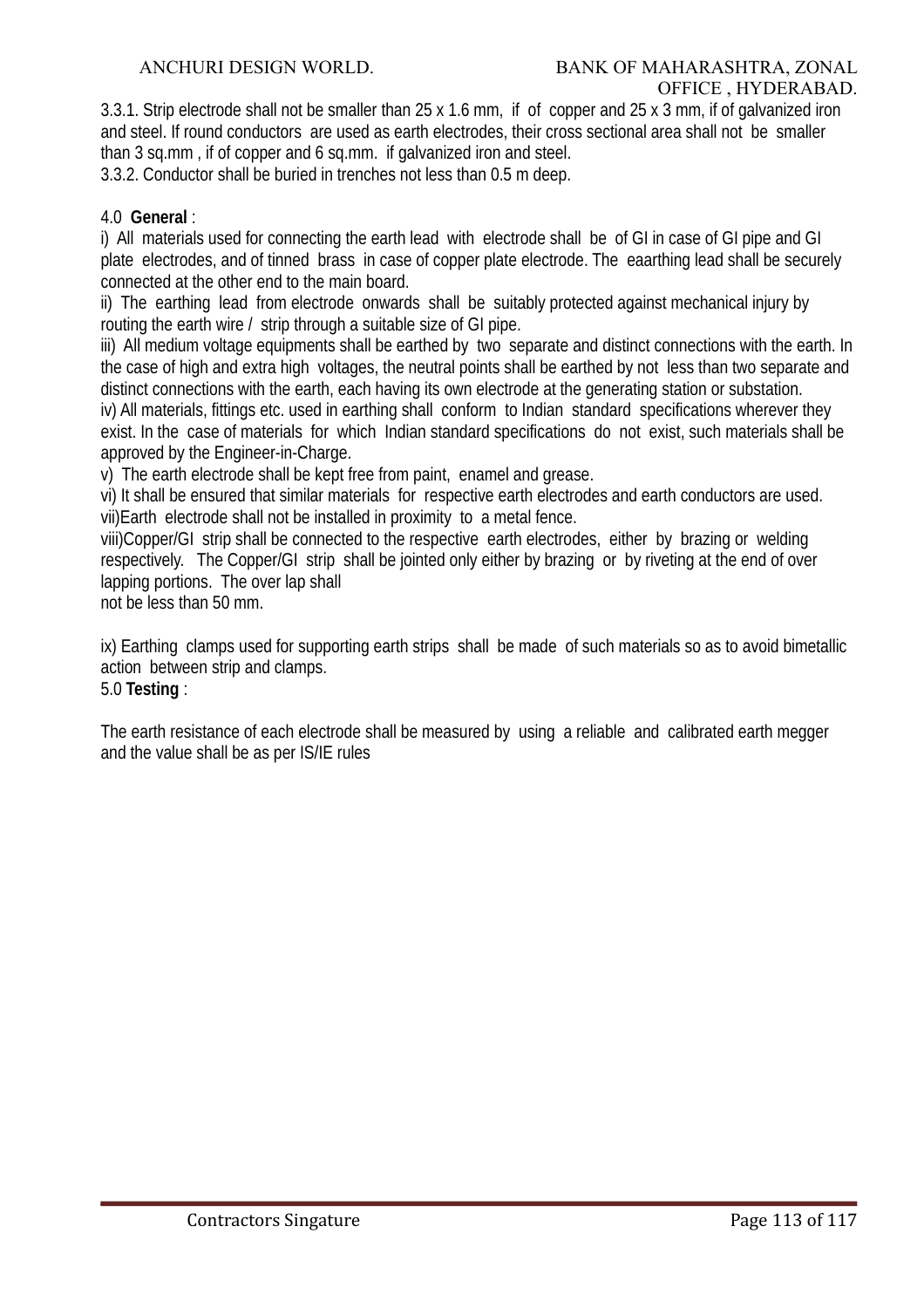3.3.1. Strip electrode shall not be smaller than 25 x 1.6 mm, if of copper and 25 x 3 mm, if of galvanized iron and steel. If round conductors are used as earth electrodes, their cross sectional area shall not be smaller than 3 sq.mm , if of copper and 6 sq.mm. if galvanized iron and steel.

3.3.2. Conductor shall be buried in trenches not less than 0.5 m deep.

# 4.0 **General** :

i) All materials used for connecting the earth lead with electrode shall be of GI in case of GI pipe and GI plate electrodes, and of tinned brass in case of copper plate electrode. The eaarthing lead shall be securely connected at the other end to the main board.

ii) The earthing lead from electrode onwards shall be suitably protected against mechanical injury by routing the earth wire / strip through a suitable size of GI pipe.

iii) All medium voltage equipments shall be earthed by two separate and distinct connections with the earth. In the case of high and extra high voltages, the neutral points shall be earthed by not less than two separate and distinct connections with the earth, each having its own electrode at the generating station or substation.

iv) All materials, fittings etc. used in earthing shall conform to Indian standard specifications wherever they exist. In the case of materials for which Indian standard specifications do not exist, such materials shall be approved by the Engineer-in-Charge.

v) The earth electrode shall be kept free from paint, enamel and grease.

vi) It shall be ensured that similar materials for respective earth electrodes and earth conductors are used. vii)Earth electrode shall not be installed in proximity to a metal fence.

viii)Copper/GI strip shall be connected to the respective earth electrodes, either by brazing or welding respectively. The Copper/GI strip shall be jointed only either by brazing or by riveting at the end of over lapping portions. The over lap shall

not be less than 50 mm.

ix) Earthing clamps used for supporting earth strips shall be made of such materials so as to avoid bimetallic action between strip and clamps.

# 5.0 **Testing** :

The earth resistance of each electrode shall be measured by using a reliable and calibrated earth megger and the value shall be as per IS/IE rules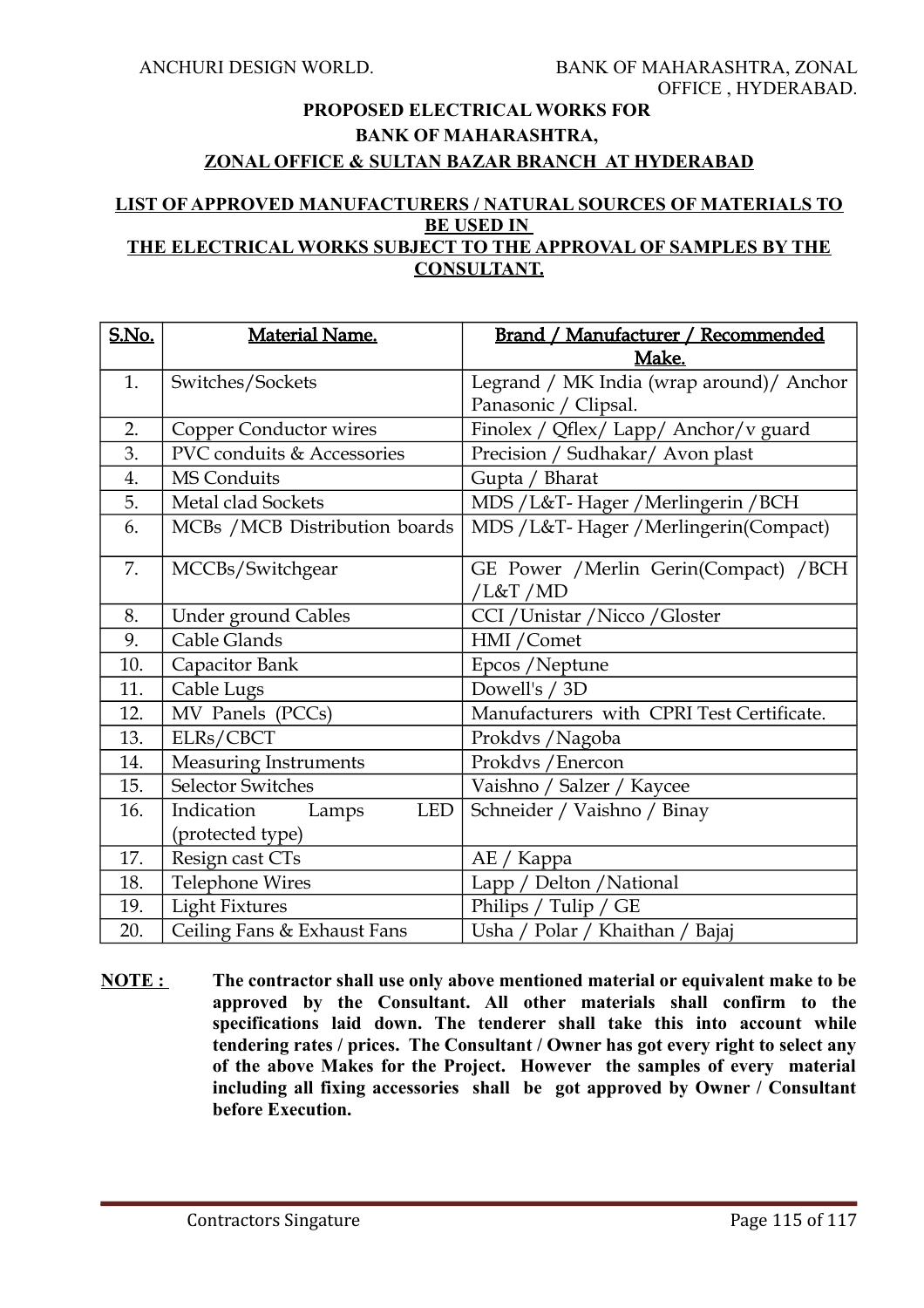# **PROPOSED ELECTRICAL WORKS FOR BANK OF MAHARASHTRA, ZONAL OFFICE & SULTAN BAZAR BRANCH AT HYDERABAD**

#### **LIST OF APPROVED MANUFACTURERS / NATURAL SOURCES OF MATERIALS TO BE USED IN THE ELECTRICAL WORKS SUBJECT TO THE APPROVAL OF SAMPLES BY THE CONSULTANT.**

| <b>S.No.</b> | <b>Material Name.</b>             | Brand / Manufacturer / Recommended                 |  |  |
|--------------|-----------------------------------|----------------------------------------------------|--|--|
|              |                                   | Make.                                              |  |  |
| 1.           | Switches/Sockets                  | Legrand / MK India (wrap around)/ Anchor           |  |  |
|              |                                   | Panasonic / Clipsal.                               |  |  |
| 2.           | Copper Conductor wires            | Finolex / Qflex/ Lapp/ Anchor/v guard              |  |  |
| 3.           | PVC conduits & Accessories        | Precision / Sudhakar/ Avon plast                   |  |  |
| 4.           | MS Conduits                       | Gupta / Bharat                                     |  |  |
| 5.           | Metal clad Sockets                | MDS / L&T-Hager / Merlingerin / BCH                |  |  |
| 6.           | MCBs / MCB Distribution boards    | MDS / L&T- Hager / Merlingerin(Compact)            |  |  |
| 7.           | MCCBs/Switchgear                  | GE Power / Merlin Gerin(Compact) / BCH<br>/L&T /MD |  |  |
| 8.           | <b>Under ground Cables</b>        | CCI / Unistar / Nicco / Gloster                    |  |  |
| 9.           | Cable Glands                      | HMI / Comet                                        |  |  |
| 10.          | Capacitor Bank                    | Epcos / Neptune                                    |  |  |
| 11.          | Cable Lugs                        | Dowell's / 3D                                      |  |  |
| 12.          | MV Panels (PCCs)                  | Manufacturers with CPRI Test Certificate.          |  |  |
| 13.          | ELRs/CBCT                         | Prokdvs / Nagoba                                   |  |  |
| 14.          | <b>Measuring Instruments</b>      | Prokdvs / Enercon                                  |  |  |
| 15.          | <b>Selector Switches</b>          | Vaishno / Salzer / Kaycee                          |  |  |
| 16.          | Indication<br><b>LED</b><br>Lamps | Schneider / Vaishno / Binay                        |  |  |
|              | (protected type)                  |                                                    |  |  |
| 17.          | Resign cast CTs                   | AE / Kappa                                         |  |  |
| 18.          | <b>Telephone Wires</b>            | Lapp / Delton / National                           |  |  |
| 19.          | <b>Light Fixtures</b>             | Philips / Tulip / GE                               |  |  |
| 20.          | Ceiling Fans & Exhaust Fans       | Usha / Polar / Khaithan / Bajaj                    |  |  |

**NOTE : The contractor shall use only above mentioned material or equivalent make to be approved by the Consultant. All other materials shall confirm to the specifications laid down. The tenderer shall take this into account while tendering rates / prices. The Consultant / Owner has got every right to select any of the above Makes for the Project. However the samples of every material including all fixing accessories shall be got approved by Owner / Consultant before Execution.**